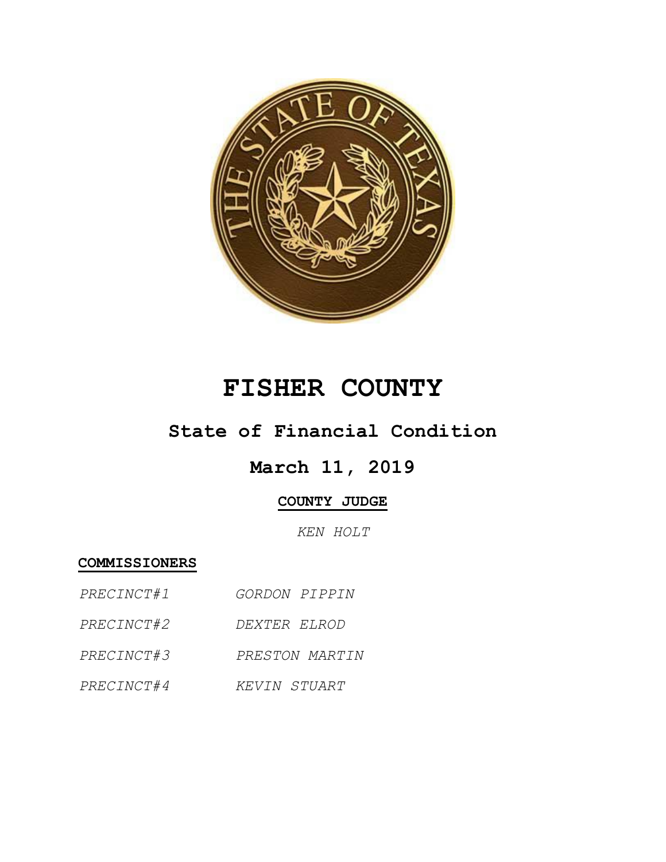

# **FISHER COUNTY**

## **State of Financial Condition**

## **March 11, 2019**

## **COUNTY JUDGE**

*KEN HOLT*

**COMMISSIONERS**

- *PRECINCT#1 GORDON PIPPIN*
- *PRECINCT#2 DEXTER ELROD*
- *PRECINCT#3 PRESTON MARTIN*
- *PRECINCT#4 KEVIN STUART*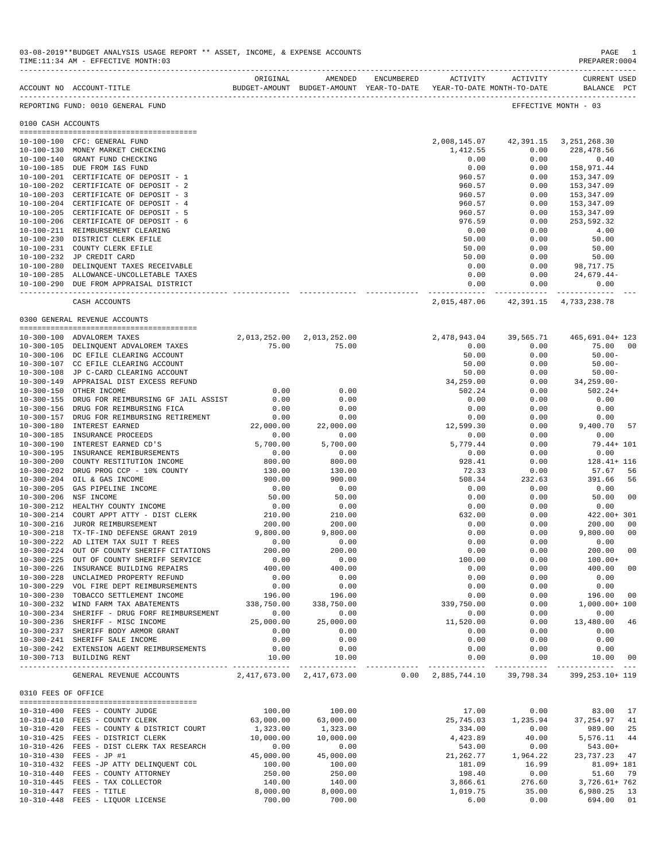|                     | BUDGET-AMOUNT BUDGET-AMOUNT YEAR-TO-DATE YEAR-TO-DATE MONTH-TO-DATE<br>ACCOUNT NO ACCOUNT-TITLE | ORIGINAL     | AMENDED      | ENCUMBERED | ACTIVITY     | ACTIVITY  | CURRENT USED<br>BALANCE PCT |
|---------------------|-------------------------------------------------------------------------------------------------|--------------|--------------|------------|--------------|-----------|-----------------------------|
|                     | REPORTING FUND: 0010 GENERAL FUND                                                               |              |              |            |              |           | EFFECTIVE MONTH - 03        |
| 0100 CASH ACCOUNTS  |                                                                                                 |              |              |            |              |           |                             |
|                     |                                                                                                 |              |              |            |              |           |                             |
|                     | 10-100-100 CFC: GENERAL FUND                                                                    |              |              |            | 2,008,145.07 | 42,391.15 | 3, 251, 268.30              |
|                     | 10-100-130 MONEY MARKET CHECKING                                                                |              |              |            | 1,412.55     | 0.00      | 228,478.56                  |
| $10 - 100 - 140$    | GRANT FUND CHECKING                                                                             |              |              |            | 0.00         | 0.00      | 0.40                        |
|                     | 10-100-185 DUE FROM I&S FUND                                                                    |              |              |            | 0.00         | 0.00      | 158,971.44                  |
|                     | 10-100-201 CERTIFICATE OF DEPOSIT - 1                                                           |              |              |            | 960.57       | 0.00      | 153, 347.09                 |
|                     | 10-100-202 CERTIFICATE OF DEPOSIT - 2                                                           |              |              |            |              |           |                             |
|                     |                                                                                                 |              |              |            | 960.57       | 0.00      | 153,347.09                  |
|                     | 10-100-203 CERTIFICATE OF DEPOSIT - 3                                                           |              |              |            | 960.57       | 0.00      | 153,347.09                  |
| $10 - 100 - 204$    | CERTIFICATE OF DEPOSIT - 4                                                                      |              |              |            | 960.57       | 0.00      | 153,347.09                  |
|                     | 10-100-205 CERTIFICATE OF DEPOSIT - 5                                                           |              |              |            | 960.57       | 0.00      | 153,347.09                  |
|                     | 10-100-206 CERTIFICATE OF DEPOSIT - 6                                                           |              |              |            | 976.59       | 0.00      | 253,592.32                  |
|                     | 10-100-211 REIMBURSEMENT CLEARING                                                               |              |              |            | 0.00         | 0.00      | 4.00                        |
| $10 - 100 - 230$    | DISTRICT CLERK EFILE                                                                            |              |              |            | 50.00        | 0.00      | 50.00                       |
|                     | 10-100-231 COUNTY CLERK EFILE                                                                   |              |              |            | 50.00        | 0.00      | 50.00                       |
|                     | 10-100-232 JP CREDIT CARD                                                                       |              |              |            | 50.00        | 0.00      | 50.00                       |
|                     | 10-100-280 DELINQUENT TAXES RECEIVABLE                                                          |              |              |            | 0.00         | 0.00      | 98,717.75                   |
|                     | 10-100-285 ALLOWANCE-UNCOLLETABLE TAXES                                                         |              |              |            | 0.00         | 0.00      | $24,679.44-$                |
|                     |                                                                                                 |              |              |            |              |           |                             |
|                     | 10-100-290 DUE FROM APPRAISAL DISTRICT                                                          |              |              |            | 0.00         | 0.00      | 0.00                        |
|                     |                                                                                                 |              |              |            | ------------ |           |                             |
|                     | CASH ACCOUNTS                                                                                   |              |              |            | 2,015,487.06 |           | 42, 391.15 4, 733, 238.78   |
|                     |                                                                                                 |              |              |            |              |           |                             |
|                     | 0300 GENERAL REVENUE ACCOUNTS                                                                   |              |              |            |              |           |                             |
|                     |                                                                                                 |              |              |            |              |           |                             |
|                     | 10-300-100 ADVALOREM TAXES                                                                      | 2,013,252.00 | 2,013,252.00 |            | 2,478,943.04 | 39,565.71 | 465,691.04+ 123             |
|                     | 10-300-105 DELINQUENT ADVALOREM TAXES                                                           | 75.00        | 75.00        |            | 0.00         | 0.00      | 75.00<br>00                 |
|                     | 10-300-106 DC EFILE CLEARING ACCOUNT                                                            |              |              |            | 50.00        | 0.00      | $50.00 -$                   |
|                     | 10-300-107 CC EFILE CLEARING ACCOUNT                                                            |              |              |            | 50.00        | 0.00      | $50.00 -$                   |
|                     |                                                                                                 |              |              |            |              |           | $50.00 -$                   |
|                     | 10-300-108 JP C-CARD CLEARING ACCOUNT                                                           |              |              |            | 50.00        | 0.00      |                             |
| $10 - 300 - 149$    | APPRAISAL DIST EXCESS REFUND                                                                    |              |              |            | 34,259.00    | 0.00      | $34, 259.00 -$              |
| $10 - 300 - 150$    | OTHER INCOME                                                                                    | 0.00         | 0.00         |            | 502.24       | 0.00      | $502.24+$                   |
| $10 - 300 - 155$    | DRUG FOR REIMBURSING GF JAIL ASSIST                                                             | 0.00         | 0.00         |            | 0.00         | 0.00      | 0.00                        |
| $10 - 300 - 156$    | DRUG FOR REIMBURSING FICA                                                                       | 0.00         | 0.00         |            | 0.00         | 0.00      | 0.00                        |
| $10 - 300 - 157$    | DRUG FOR REIMBURSING RETIREMENT                                                                 | 0.00         | 0.00         |            | 0.00         | 0.00      | 0.00                        |
| $10 - 300 - 180$    | <b>INTEREST EARNED</b>                                                                          | 22,000.00    | 22,000.00    |            | 12,599.30    | 0.00      | 9,400.70<br>57              |
| $10 - 300 - 185$    | INSURANCE PROCEEDS                                                                              | 0.00         | 0.00         |            | 0.00         | 0.00      | 0.00                        |
| $10 - 300 - 190$    | INTEREST EARNED CD'S                                                                            | 5,700.00     | 5,700.00     |            | 5,779.44     | 0.00      | 79.44+ 101                  |
| $10 - 300 - 195$    | INSURANCE REMIBURSEMENTS                                                                        | 0.00         | 0.00         |            | 0.00         | 0.00      | 0.00                        |
| $10 - 300 - 200$    | COUNTY RESTITUTION INCOME                                                                       | 800.00       | 800.00       |            | 928.41       | 0.00      | $128.41 + 116$              |
|                     |                                                                                                 |              |              |            |              |           |                             |
| $10 - 300 - 202$    | DRUG PROG CCP - 10% COUNTY                                                                      | 130.00       | 130.00       |            | 72.33        | 0.00      | 57.67<br>56                 |
| $10 - 300 - 204$    | OIL & GAS INCOME                                                                                | 900.00       | 900.00       |            | 508.34       | 232.63    | 391.66<br>56                |
| $10 - 300 - 205$    | GAS PIPELINE INCOME                                                                             | 0.00         | 0.00         |            | 0.00         | 0.00      | 0.00                        |
| $10 - 300 - 206$    | NSF INCOME                                                                                      | 50.00        | 50.00        |            | 0.00         | 0.00      | 50.00<br>00                 |
| $10 - 300 - 212$    | HEALTHY COUNTY INCOME                                                                           | 0.00         | 0.00         |            | 0.00         | 0.00      | 0.00                        |
| 10-300-214          | COURT APPT ATTY - DIST CLERK                                                                    | 210.00       | 210.00       |            | 632.00       | 0.00      | 422.00+ 301                 |
| $10 - 300 - 216$    | JUROR REIMBURSEMENT                                                                             | 200.00       | 200.00       |            | 0.00         | 0.00      | 200.00<br>00                |
| $10 - 300 - 218$    | TX-TF-IND DEFENSE GRANT 2019                                                                    | 9,800.00     | 9,800.00     |            | 0.00         | 0.00      | 9,800.00<br>00              |
|                     | 10-300-222 AD LITEM TAX SUIT T REES                                                             | 0.00         | 0.00         |            | 0.00         | 0.00      | 0.00                        |
| $10 - 300 - 224$    | OUT OF COUNTY SHERIFF CITATIONS                                                                 | 200.00       | 200.00       |            | 0.00         | 0.00      | 0 <sub>0</sub><br>200.00    |
|                     |                                                                                                 |              |              |            |              |           |                             |
| $10 - 300 - 225$    | OUT OF COUNTY SHERIFF SERVICE                                                                   | 0.00         | 0.00         |            | 100.00       | 0.00      | $100.00+$                   |
|                     | 10-300-226 INSURANCE BUILDING REPAIRS                                                           | 400.00       | 400.00       |            | 0.00         | 0.00      | 400.00<br>00                |
|                     | 10-300-228 UNCLAIMED PROPERTY REFUND                                                            | 0.00         | 0.00         |            | 0.00         | 0.00      | 0.00                        |
|                     | 10-300-229 VOL FIRE DEPT REIMBURSEMENTS                                                         | 0.00         | 0.00         |            | 0.00         | 0.00      | 0.00                        |
|                     | 10-300-230 TOBACCO SETTLEMENT INCOME                                                            | 196.00       | 196.00       |            | 0.00         | 0.00      | 196.00<br>00                |
|                     | 10-300-232 WIND FARM TAX ABATEMENTS                                                             | 338,750.00   | 338,750.00   |            | 339,750.00   | 0.00      | 1,000.00+ 100               |
|                     | 10-300-234 SHERIFF - DRUG FORF REIMBURSEMENT                                                    | 0.00         | 0.00         |            | 0.00         | 0.00      | 0.00                        |
|                     | 10-300-236 SHERIFF - MISC INCOME                                                                | 25,000.00    | 25,000.00    |            | 11,520.00    | 0.00      | 13,480.00<br>46             |
|                     | 10-300-237 SHERIFF BODY ARMOR GRANT                                                             | 0.00         | 0.00         |            | 0.00         | 0.00      | 0.00                        |
|                     | 10-300-241 SHERIFF SALE INCOME                                                                  | 0.00         | 0.00         |            | 0.00         | 0.00      | 0.00                        |
|                     | 10-300-242 EXTENSION AGENT REIMBURSEMENTS                                                       | 0.00         | 0.00         |            | 0.00         | 0.00      | 0.00                        |
|                     | 10-300-713 BUILDING RENT                                                                        | 10.00        | 10.00        |            | 0.00         | 0.00      | 10.00<br>00                 |
|                     |                                                                                                 |              |              |            |              |           |                             |
|                     | GENERAL REVENUE ACCOUNTS 2,417,673.00 2,417,673.00 0.00 2,885,744.10 39,798.34 399,253.10+ 119  |              |              |            |              |           |                             |
|                     |                                                                                                 |              |              |            |              |           |                             |
| 0310 FEES OF OFFICE |                                                                                                 |              |              |            |              |           |                             |
|                     |                                                                                                 |              |              |            |              |           |                             |
|                     | 10-310-400 FEES - COUNTY JUDGE                                                                  | 100.00       | 100.00       |            | 17.00        | 0.00      | 83.00 17                    |
|                     | 10-310-410 FEES - COUNTY CLERK                                                                  | 63,000.00    | 63,000.00    |            | 25,745.03    | 1,235.94  | 37, 254.97 41               |
|                     | 10-310-420 FEES - COUNTY & DISTRICT COURT                                                       | 1,323.00     | 1,323.00     |            | 334.00       | 0.00      | 989.00 25                   |
|                     | 10-310-425 FEES - DISTRICT CLERK                                                                | 10,000.00    | 10,000.00    |            | 4,423.89     | 40.00     | 5,576.11<br>44              |
|                     | 10-310-426 FEES - DIST CLERK TAX RESEARCH                                                       | 0.00         | 0.00         |            | 543.00       | 0.00      | $543.00+$                   |
|                     | 10-310-430 FEES - JP #1                                                                         | 45,000.00    | 45,000.00    |            | 21,262.77    | 1,964.22  | 23, 737. 23 47              |
|                     | 10-310-432 FEES -JP ATTY DELINQUENT COL                                                         | 100.00       | 100.00       |            | 181.09       | 16.99     | 81.09+ 181                  |
|                     | 10-310-440 FEES - COUNTY ATTORNEY                                                               | 250.00       | 250.00       |            | 198.40       | 0.00      | 51.60<br>79                 |
|                     | 10-310-445 FEES - TAX COLLECTOR                                                                 | 140.00       | 140.00       |            | 3,866.61     | 276.60    | 3,726.61+ 762               |
|                     | 10-310-447 FEES - TITLE                                                                         | 8,000.00     | 8,000.00     |            | 1,019.75     | 35.00     | 6,980.25<br>13              |
|                     | 10-310-448 FEES - LIQUOR LICENSE                                                                |              |              |            |              |           |                             |
|                     |                                                                                                 | 700.00       | 700.00       |            | 6.00         | 0.00      | 694.00<br>01                |

03-08-2019\*\*BUDGET ANALYSIS USAGE REPORT \*\* ASSET, INCOME, & EXPENSE ACCOUNTS<br>TIME:11:34 AM - EFFECTIVE MONTH:03

 $TIME: 11:34 AM - EFFECTIVE MOMTH:03$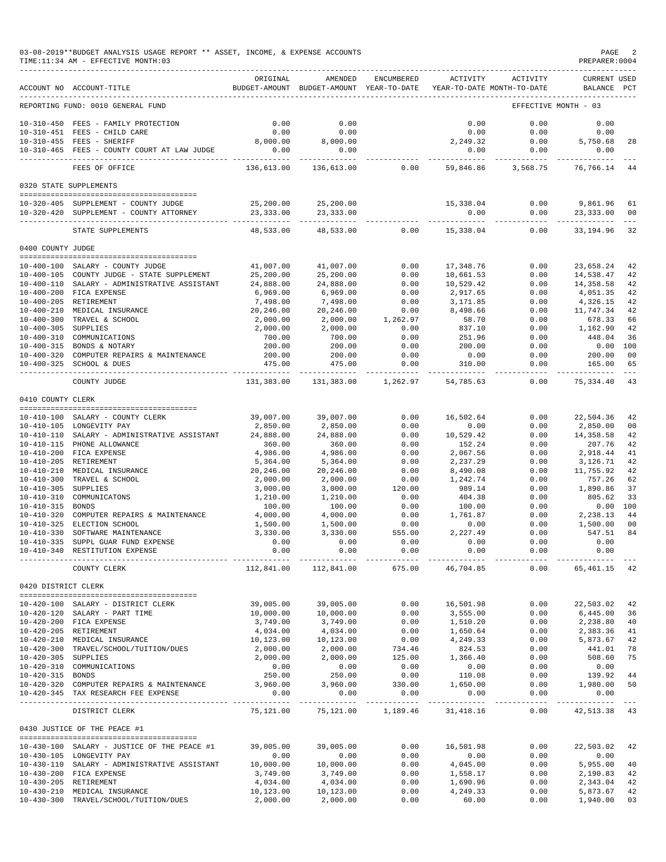|                     | 03-08-2019**BUDGET ANALYSIS USAGE REPORT ** ASSET, INCOME, & EXPENSE ACCOUNTS<br>TIME: 11:34 AM - EFFECTIVE MONTH: 03 |                                 |                                                                                |                    |                       |                      | PREPARER: 0004                     | PAGE 2         |
|---------------------|-----------------------------------------------------------------------------------------------------------------------|---------------------------------|--------------------------------------------------------------------------------|--------------------|-----------------------|----------------------|------------------------------------|----------------|
|                     | ACCOUNT NO ACCOUNT-TITLE                                                                                              | ORIGINAL                        | AMENDED<br>BUDGET-AMOUNT BUDGET-AMOUNT YEAR-TO-DATE YEAR-TO-DATE MONTH-TO-DATE | ENCUMBERED         | ACTIVITY              | ACTIVITY             | CURRENT USED<br>BALANCE PCT        |                |
|                     | REPORTING FUND: 0010 GENERAL FUND                                                                                     |                                 |                                                                                |                    |                       |                      | EFFECTIVE MONTH - 03               |                |
|                     | 10-310-450 FEES - FAMILY PROTECTION                                                                                   | 0.00                            | 0.00                                                                           |                    | 0.00                  | 0.00                 | 0.00                               |                |
|                     | 10-310-451 FEES - CHILD CARE                                                                                          | 0.00                            | 0.00                                                                           |                    | 0.00                  | 0.00                 | 0.00                               |                |
|                     | $\begin{smallmatrix}0.00\0.00\end{smallmatrix}$<br>10-310-455 FEES - SHERIFF                                          |                                 | 8,000.00                                                                       |                    | 2, 249.32             |                      | $0.00$ $0.00$ $5,750.68$           | 28             |
|                     | 10-310-465 FEES - COUNTY COURT AT LAW JUDGE 0.00                                                                      | -------------                   | 0.00<br>------------                                                           |                    | 0.00<br>----------    | 0.00<br>------------ | 0.00<br>----------                 |                |
|                     | FEES OF OFFICE                                                                                                        | 136,613.00                      | 136,613.00                                                                     | 0.00               | 59,846.86             | 3,568.75             | 76,766.14 44                       |                |
|                     | 0320 STATE SUPPLEMENTS                                                                                                |                                 |                                                                                |                    |                       |                      |                                    |                |
|                     | 10-320-405 SUPPLEMENT - COUNTY JUDGE                                                                                  |                                 | 25, 200.00 25, 200.00                                                          |                    | 15,338.04             | 0.00                 | 9,861.96 61                        |                |
|                     | 10-320-420 SUPPLEMENT - COUNTY ATTORNEY                                                                               | 23,333.00<br>---------- -       | 23,333.00                                                                      |                    | 0.00                  | 0.00                 | 23,333.00 00                       |                |
|                     | STATE SUPPLEMENTS                                                                                                     | 48,533.00                       |                                                                                | 48,533.00 0.00     |                       | 15,338.04 0.00       | 33, 194. 96 32                     |                |
| 0400 COUNTY JUDGE   |                                                                                                                       |                                 |                                                                                |                    |                       |                      |                                    |                |
|                     | 10-400-100 SALARY - COUNTY JUDGE                                                                                      | 41,007.00                       | 41,007.00                                                                      | 0.00               | 17,348.76             | 0.00                 | 23,658.24                          | 42             |
|                     | 10-400-105 COUNTY JUDGE - STATE SUPPLEMENT                                                                            | 25,200.00                       | 25,200.00                                                                      | 0.00               | 10,661.53             | 0.00                 | 14,538.47                          | 42             |
|                     | 10-400-110 SALARY - ADMINISTRATIVE ASSISTANT                                                                          | 24,888.00                       | 24,888.00                                                                      | 0.00               | 10,529.42             | 0.00                 | 14,358.58                          | 42             |
|                     | 10-400-200 FICA EXPENSE                                                                                               | 6,969.00                        | 6,969.00                                                                       | 0.00               | 2,917.65              | 0.00                 | 4,051.35                           | 42             |
|                     | 10-400-205 RETIREMENT                                                                                                 | 7,498.00                        | 7,498.00                                                                       | 0.00               | 3,171.85              | 0.00                 | 4,326.15                           | 42             |
|                     | 10-400-210 MEDICAL INSURANCE                                                                                          | 20,246.00                       | 20,246.00                                                                      | 0.00               | 8,498.66              | 0.00                 | 11,747.34                          | 42             |
|                     | 10-400-300 TRAVEL & SCHOOL                                                                                            | 2,000.00                        | 2,000.00                                                                       | 1,262.97           | 58.70                 | 0.00                 | 678.33                             | 66             |
| 10-400-305 SUPPLIES |                                                                                                                       | 2,000.00                        | 2,000.00                                                                       | 0.00               | 837.10                | 0.00                 | 1,162.90                           | 42             |
|                     | 10-400-310 COMMUNICATIONS                                                                                             | 700.00                          | 700.00                                                                         | 0.00               | 251.96                | 0.00                 | 448.04<br>$0.00$ 100               | 36             |
|                     | 10-400-315 BONDS & NOTARY<br>10-400-320 COMPUTER REPAIRS & MAINTENANCE                                                | 200.00<br>200.00                | 200.00<br>200.00                                                               | 0.00<br>0.00       | 200.00<br>0.00        | 0.00<br>0.00         | 200.00                             | 00             |
|                     | 10-400-325 SCHOOL & DUES                                                                                              | 475.00                          | 475.00                                                                         | 0.00               | 310.00                | 0.00                 | 165.00                             | 65             |
|                     | COUNTY JUDGE                                                                                                          | --- -------------<br>131,383.00 | 131,383.00                                                                     | 1,262.97           | 54,785.63             | 0.00                 | ------- -------------<br>75,334.40 | $- - -$<br>43  |
| 0410 COUNTY CLERK   |                                                                                                                       |                                 |                                                                                |                    |                       |                      |                                    |                |
|                     |                                                                                                                       |                                 |                                                                                |                    |                       |                      |                                    |                |
|                     | 10-410-100 SALARY - COUNTY CLERK                                                                                      | 39,007.00                       | 39,007.00                                                                      | 0.00               | 16,502.64             | 0.00                 | 22,504.36                          | 42             |
|                     | 10-410-105 LONGEVITY PAY                                                                                              | 2,850.00                        | 2,850.00                                                                       | 0.00<br>0.00       | 0.00                  | 0.00                 | 2,850.00                           | 00             |
|                     | 10-410-110 SALARY - ADMINISTRATIVE ASSISTANT<br>10-410-115 PHONE ALLOWANCE                                            | 24,888.00<br>360.00             | 24,888.00<br>360.00                                                            | 0.00               | 10,529.42<br>152.24   | 0.00<br>0.00         | 14,358.58<br>207.76                | 42<br>42       |
|                     | 10-410-200 FICA EXPENSE                                                                                               | 4,986.00                        | 4,986.00                                                                       | 0.00               | 2,067.56              | 0.00                 | 2,918.44                           | 41             |
|                     | 10-410-205 RETIREMENT                                                                                                 | 5,364.00                        | 5,364.00                                                                       | 0.00               | 2,237.29              | 0.00                 | 3,126.71                           | 42             |
|                     | 10-410-210 MEDICAL INSURANCE                                                                                          | 20,246.00                       | 20,246.00                                                                      | 0.00               | 8,490.08              | 0.00                 | 11,755.92                          | 42             |
|                     | 10-410-300 TRAVEL & SCHOOL                                                                                            | 2,000.00                        | 2,000.00                                                                       | 0.00               | 1,242.74              | 0.00                 | 757.26                             | 62             |
| 10-410-305 SUPPLIES |                                                                                                                       | 3,000.00                        | 3,000.00                                                                       | 120.00             | 989.14                | 0.00                 | 1,890.86                           | 37             |
|                     | 10-410-310 COMMUNICATONS                                                                                              | 1,210.00                        | 1,210.00                                                                       | 0.00               | 404.38                | 0.00                 | 805.62                             | 33             |
| 10-410-315 BONDS    | 10-410-320 COMPUTER REPAIRS & MAINTENANCE                                                                             | 100.00<br>4,000.00              | 100.00<br>4,000.00                                                             | 0.00<br>0.00       | 100.00<br>1,761.87    | 0.00<br>0.00         | 2,238.13                           | 0.00 100<br>44 |
|                     | 10-410-325 ELECTION SCHOOL                                                                                            | 1,500.00                        | 1,500.00                                                                       | 0.00               | 0.00                  | 0.00                 | 1,500.00                           | 00             |
|                     | 10-410-330 SOFTWARE MAINTENANCE                                                                                       | 3,330.00                        | 3,330.00                                                                       | 555.00             | 2,227.49              | 0.00                 | 547.51                             | 84             |
|                     | 10-410-335 SUPPL GUAR FUND EXPENSE                                                                                    | 0.00                            | 0.00                                                                           | 0.00               | 0.00                  | 0.00                 | 0.00                               |                |
|                     | 10-410-340 RESTITUTION EXPENSE                                                                                        | 0.00                            | 0.00                                                                           | 0.00               | 0.00                  | 0.00                 | 0.00                               |                |
|                     | COUNTY CLERK                                                                                                          |                                 | 112,841.00 112,841.00                                                          |                    | 675.00 46,704.85      | 0.00                 | 65, 461. 15 42                     |                |
| 0420 DISTRICT CLERK |                                                                                                                       |                                 |                                                                                |                    |                       |                      |                                    |                |
|                     |                                                                                                                       |                                 |                                                                                |                    |                       |                      |                                    |                |
|                     | 10-420-100 SALARY - DISTRICT CLERK                                                                                    | 39,005.00                       | 39,005.00<br>10,000.00                                                         | 0.00<br>0.00       | 16,501.98<br>3,555.00 | 0.00                 | 22,503.02 42                       |                |
|                     | 10-420-120 SALARY - PART TIME<br>10-420-200 FICA EXPENSE                                                              | 10,000.00<br>3,749.00           | 3,749.00                                                                       | 0.00               | 1,510.20              | 0.00<br>0.00         | 6,445.00 36<br>2,238.80            | 40             |
|                     | 10-420-205 RETIREMENT                                                                                                 | 4,034.00                        | 4,034.00                                                                       | 0.00               | 1,650.64              | 0.00                 | 2,383.36 41                        |                |
|                     | 10-420-210 MEDICAL INSURANCE                                                                                          | 10,123.00                       | 10,123.00                                                                      | 0.00               | 4,249.33              | 0.00                 | 5,873.67                           | 42             |
|                     | 10-420-300 TRAVEL/SCHOOL/TUITION/DUES                                                                                 | 2,000.00                        | 2,000.00                                                                       | 734.46             | 824.53                | 0.00                 | 441.01                             | 78             |
| 10-420-305 SUPPLIES |                                                                                                                       | 2,000.00                        | 2,000.00                                                                       | 125.00             | 1,366.40              | 0.00                 | 508.60                             | 75             |
|                     | 10-420-310 COMMUNICATIONS                                                                                             | 0.00                            | 0.00                                                                           | 0.00               | 0.00                  | 0.00                 | 0.00                               |                |
| 10-420-315 BONDS    |                                                                                                                       | 250.00                          | 250.00                                                                         | 0.00               | 110.08                | 0.00                 | 139.92 44                          |                |
|                     | 10-420-320 COMPUTER REPAIRS & MAINTENANCE<br>10-420-345 TAX RESEARCH FEE EXPENSE                                      | 3,960.00<br>0.00                | 3,960.00<br>0.00                                                               | 330.00<br>0.00     | 1,650.00<br>0.00      | 0.00<br>0.00         | 1,980.00<br>0.00                   | 50             |
|                     | DISTRICT CLERK                                                                                                        | 75,121.00                       | ______________                                                                 | 75,121.00 1,189.46 | 31,418.16             | 0.00                 | 42,513.38 43                       | $- - -$        |
|                     | 0430 JUSTICE OF THE PEACE #1                                                                                          |                                 |                                                                                |                    |                       |                      |                                    |                |
|                     | 10-430-100 SALARY - JUSTICE OF THE PEACE #1 39,005.00                                                                 |                                 | 39,005.00                                                                      | 0.00               | 16,501.98             | 0.00                 | 22,503.02                          | 42             |
|                     | 10-430-105 LONGEVITY PAY                                                                                              | 0.00                            | 0.00                                                                           | 0.00               | 0.00                  | 0.00                 | 0.00                               |                |
|                     | 10-430-110 SALARY - ADMINISTRATIVE ASSISTANT                                                                          | 10,000.00                       | 10,000.00                                                                      | 0.00               | 4,045.00              | 0.00                 | 5,955.00                           | 40             |
|                     | 10-430-200 FICA EXPENSE                                                                                               | 3,749.00                        | 3,749.00                                                                       | 0.00               | 1,558.17              | 0.00                 | 2,190.83 42                        |                |
|                     | 10-430-205 RETIREMENT                                                                                                 | 4,034.00                        | 4,034.00                                                                       | 0.00               | 1,690.96              | 0.00                 | 2,343.04                           | 42             |
|                     | 10-430-210 MEDICAL INSURANCE<br>10-430-300 TRAVEL/SCHOOL/TUITION/DUES                                                 | 10,123.00<br>2,000.00           | 10,123.00<br>2,000.00                                                          | 0.00<br>0.00       | 4,249.33<br>60.00     | 0.00<br>0.00         | 5,873.67<br>1,940.00               | 42<br>03       |
|                     |                                                                                                                       |                                 |                                                                                |                    |                       |                      |                                    |                |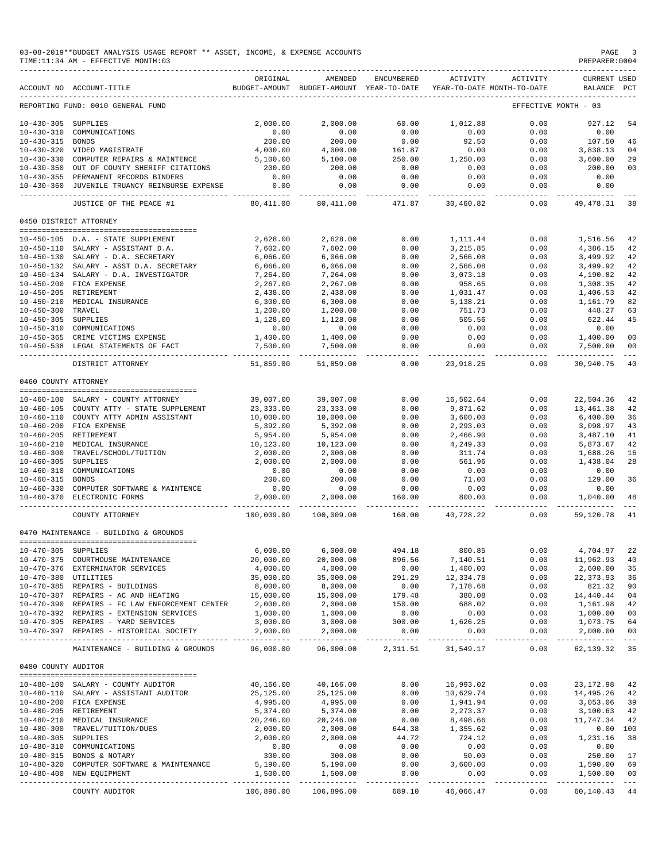### 03-08-2019\*\*BUDGET ANALYSIS USAGE REPORT \*\* ASSET, INCOME, & EXPENSE ACCOUNTS PAGE 3<br>TIME:11:34 AM - EFFECTIVE MONTH:03  $TIME: 11:34 AM - EFFECTIVE MOMTH:03$

|                                      | ACCOUNT NO ACCOUNT-TITLE                              | ORIGINAL                 | AMENDED<br>BUDGET-AMOUNT BUDGET-AMOUNT YEAR-TO-DATE | ENCUMBERED              | ACTIVITY           | ACTIVITY<br>YEAR-TO-DATE MONTH-TO-DATE | CURRENT USED<br><b>BALANCE</b> | PCT             |
|--------------------------------------|-------------------------------------------------------|--------------------------|-----------------------------------------------------|-------------------------|--------------------|----------------------------------------|--------------------------------|-----------------|
|                                      | REPORTING FUND: 0010 GENERAL FUND                     |                          |                                                     |                         |                    |                                        |                                |                 |
|                                      |                                                       |                          |                                                     |                         |                    |                                        | EFFECTIVE MONTH - 03           |                 |
| $10 - 430 - 305$                     | SUPPLIES                                              | 2,000.00                 | 2,000.00                                            | 60.00                   | 1,012.88           | 0.00                                   | 927.12                         | 54              |
| $10 - 430 - 310$                     | COMMUNICATIONS                                        | 0.00                     | 0.00                                                | 0.00                    | 0.00               | 0.00                                   | 0.00                           |                 |
| $10 - 430 - 315$<br>$10 - 430 - 320$ | <b>BONDS</b>                                          | 200.00                   | 200.00                                              | 0.00                    | 92.50<br>0.00      | 0.00                                   | 107.50                         | 46              |
| $10 - 430 - 330$                     | VIDEO MAGISTRATE<br>COMPUTER REPAIRS & MAINTENCE      | 4,000.00<br>5,100.00     | 4,000.00<br>5,100.00                                | 161.87<br>250.00        | 1,250.00           | 0.00<br>0.00                           | 3,838.13<br>3,600.00           | 04<br>29        |
| $10 - 430 - 350$                     | OUT OF COUNTY SHERIFF CITATIONS                       | 200.00                   | 200.00                                              | 0.00                    | 0.00               | 0.00                                   | 200.00                         | 00              |
| $10 - 430 - 355$                     | PERMANENT RECORDS BINDERS                             | 0.00                     | 0.00                                                | 0.00                    | 0.00               | 0.00                                   | 0.00                           |                 |
| $10 - 430 - 360$                     | JUVENILE TRUANCY REINBURSE EXPENSE                    | 0.00                     | 0.00                                                | 0.00                    | 0.00               | 0.00                                   | 0.00                           |                 |
|                                      |                                                       |                          |                                                     |                         |                    |                                        |                                |                 |
|                                      | JUSTICE OF THE PEACE #1                               | 80,411.00                | 80,411.00                                           | 471.87                  | 30,460.82          | 0.00                                   | 49, 478.31                     | 38              |
|                                      | 0450 DISTRICT ATTORNEY                                |                          |                                                     |                         |                    |                                        |                                |                 |
|                                      |                                                       |                          |                                                     |                         |                    |                                        |                                |                 |
|                                      | 10-450-105 D.A. - STATE SUPPLEMENT                    | 2,628.00                 | 2,628.00                                            | 0.00                    | 1,111.44           | 0.00                                   | 1,516.56                       | 42              |
| 10-450-110                           | SALARY - ASSISTANT D.A.                               | 7,602.00                 | 7,602.00                                            | 0.00                    | 3, 215.85          | 0.00                                   | 4,386.15                       | 42              |
| $10 - 450 - 130$                     | SALARY - D.A. SECRETARY                               | 6,066.00                 | 6,066.00                                            | 0.00                    | 2,566.08           | 0.00                                   | 3,499.92                       | 42              |
| $10 - 450 - 132$                     | SALARY - ASST D.A. SECRETARY                          | 6,066.00                 | 6,066.00                                            | 0.00                    | 2,566.08           | 0.00                                   | 3,499.92                       | 42              |
| $10 - 450 - 200$                     | 10-450-134 SALARY - D.A. INVESTIGATOR<br>FICA EXPENSE | 7,264.00                 | 7,264.00<br>2,267.00                                | 0.00                    | 3,073.18           | 0.00<br>0.00                           | 4,190.82                       | 42<br>42        |
| $10 - 450 - 205$                     | RETIREMENT                                            | 2,267.00                 |                                                     | 0.00<br>0.00            | 958.65             | 0.00                                   | 1,308.35                       | 42              |
|                                      | MEDICAL INSURANCE                                     | 2,438.00                 | 2,438.00                                            | 0.00                    | 1,031.47           |                                        | 1,406.53                       |                 |
| $10 - 450 - 210$                     |                                                       | 6,300.00                 | 6,300.00                                            |                         | 5,138.21           | 0.00                                   | 1,161.79                       | 82              |
| $10 - 450 - 300$<br>$10 - 450 - 305$ | TRAVEL                                                | 1,200.00                 | 1,200.00                                            | 0.00                    | 751.73             | 0.00                                   | 448.27                         | 63              |
|                                      | SUPPLIES                                              | 1,128.00                 | 1,128.00                                            | 0.00                    | 505.56             | 0.00                                   | 622.44                         | 45              |
| $10 - 450 - 310$                     | COMMUNICATIONS                                        | 0.00                     | 0.00                                                | 0.00                    | 0.00               | 0.00                                   | 0.00                           |                 |
| $10 - 450 - 365$                     | CRIME VICTIMS EXPENSE                                 | 1,400.00                 | 1,400.00                                            | 0.00                    | 0.00               | 0.00                                   | 1,400.00                       | 00              |
| $10 - 450 - 538$                     | LEGAL STATEMENTS OF FACT                              | 7,500.00                 | 7,500.00                                            | 0.00                    | 0.00               | 0.00                                   | 7,500.00<br>---------          | 00              |
|                                      | DISTRICT ATTORNEY                                     | 51,859.00                | 51,859.00                                           | 0.00                    | 20,918.25          | 0.00                                   | 30,940.75                      | 40              |
| 0460 COUNTY ATTORNEY                 |                                                       |                          |                                                     |                         |                    |                                        |                                |                 |
|                                      | 10-460-100 SALARY - COUNTY ATTORNEY                   | 39,007.00                | 39,007.00                                           | 0.00                    | 16,502.64          | 0.00                                   | 22,504.36                      | 42              |
| $10 - 460 - 105$                     | COUNTY ATTY - STATE SUPPLEMENT                        | 23, 333.00               | 23, 333.00                                          | 0.00                    | 9,871.62           | 0.00                                   | 13,461.38                      | 42              |
| $10 - 460 - 110$                     | COUNTY ATTY ADMIN ASSISTANT                           | 10,000.00                | 10,000.00                                           | 0.00                    | 3,600.00           | 0.00                                   | 6,400.00                       | 36              |
| $10 - 460 - 200$                     | FICA EXPENSE                                          | 5,392.00                 | 5,392.00                                            | 0.00                    | 2,293.03           | 0.00                                   | 3,098.97                       | 43              |
| $10 - 460 - 205$                     | RETIREMENT                                            | 5,954.00                 | 5,954.00                                            | 0.00                    | 2,466.90           | 0.00                                   | 3,487.10                       | 41              |
| $10 - 460 - 210$                     | MEDICAL INSURANCE                                     |                          |                                                     | 0.00                    |                    | 0.00                                   | 5,873.67                       | 42              |
| $10 - 460 - 300$                     | TRAVEL/SCHOOL/TUITION                                 | 10,123.00<br>2,000.00    | 10,123.00<br>2,000.00                               | 0.00                    | 4,249.33<br>311.74 | 0.00                                   | 1,688.26                       | 16              |
| $10 - 460 - 305$                     | SUPPLIES                                              | 2,000.00                 | 2,000.00                                            | 0.00                    | 561.96             | 0.00                                   | 1,438.04                       | 28              |
| $10 - 460 - 310$                     | COMMUNICATIONS                                        | 0.00                     |                                                     |                         |                    | 0.00                                   |                                |                 |
| $10 - 460 - 315$                     | BONDS                                                 | 200.00                   | 0.00<br>200.00                                      | 0.00                    | 0.00               | 0.00                                   | 0.00<br>129.00                 | 36              |
| $10 - 460 - 330$                     |                                                       |                          |                                                     | 0.00                    | 71.00              |                                        |                                |                 |
|                                      | COMPUTER SOFTWARE & MAINTENCE                         | 0.00                     | 0.00                                                | 0.00                    | 0.00               | 0.00                                   | 0.00                           |                 |
| $10 - 460 - 370$                     | ELECTRONIC FORMS                                      | 2,000.00                 | 2,000.00                                            | 160.00                  | 800.00             | 0.00                                   | 1,040.00                       | 48              |
|                                      | COUNTY ATTORNEY                                       | 100,009.00               | 100,009.00                                          | 160.00                  | 40.728.22          | 0.00                                   | 59,120.78                      | 41              |
|                                      | 0470 MAINTENANCE - BUILDING & GROUNDS                 |                          |                                                     |                         |                    |                                        |                                |                 |
| 10-470-305 SUPPLIES                  |                                                       | 6,000.00                 | 6,000.00                                            | 494.18                  | 800.85             | 0.00                                   | 4,704.97                       | 22              |
|                                      | 10-470-375 COURTHOUSE MAINTENANCE                     | 20,000.00                | 20,000.00                                           | 896.56                  | 7,140.51           | 0.00                                   | 11,962.93                      | 40              |
|                                      | 10-470-376 EXTERMINATOR SERVICES                      | 4,000.00                 | 4,000.00                                            | 0.00                    | 1,400.00           | 0.00                                   | 2,600.00                       | 35              |
| 10-470-380 UTILITIES                 |                                                       | 35,000.00                | 35,000.00                                           | 291.29                  | 12,334.78          | 0.00                                   | 22, 373.93                     | 36              |
|                                      | 10-470-385 REPAIRS - BUILDINGS                        | 8,000.00                 | 8,000.00                                            | 0.00                    | 7,178.68           | 0.00                                   | 821.32                         | 90              |
|                                      | 10-470-387 REPAIRS - AC AND HEATING                   | 15,000.00                | 15,000.00                                           | 179.48                  | 380.08             | 0.00                                   | 14,440.44                      | 04              |
|                                      | 10-470-390 REPAIRS - FC LAW ENFORCEMENT CENTER        | 2,000.00                 | 2,000.00                                            | 150.00                  | 688.02             | 0.00                                   | 1,161.98                       | 42              |
|                                      | 10-470-392 REPAIRS - EXTENSION SERVICES               | 1,000.00                 | 1,000.00                                            | 0.00                    | 0.00               | 0.00                                   | 1,000.00                       | 00              |
|                                      | 10-470-395 REPAIRS - YARD SERVICES                    | 3,000.00                 | 3,000.00                                            | 300.00                  | 1,626.25           | 0.00                                   | 1,073.75                       | 64              |
|                                      | 10-470-397 REPAIRS - HISTORICAL SOCIETY               | 2,000.00                 | 2,000.00                                            | 0.00                    | 0.00               | 0.00                                   | 2,000.00                       | 00              |
|                                      | MAINTENANCE - BUILDING & GROUNDS                      | 96,000.00                | --------------<br>96,000.00                         | 2,311.51                | 31,549.17          | 0.00                                   | 62,139.32                      | 35              |
| 0480 COUNTY AUDITOR                  |                                                       |                          |                                                     |                         |                    |                                        |                                |                 |
|                                      |                                                       |                          |                                                     |                         |                    |                                        |                                |                 |
|                                      | 10-480-100 SALARY - COUNTY AUDITOR                    | 40,166.00                | 40,166.00                                           | 0.00                    | 16,993.02          | 0.00                                   | 23,172.98                      | 42              |
|                                      | 10-480-110 SALARY - ASSISTANT AUDITOR                 | 25,125.00                | 25,125.00                                           | 0.00                    | 10,629.74          | 0.00                                   | 14,495.26                      | 42              |
|                                      | 10-480-200 FICA EXPENSE                               | 4,995.00                 | 4,995.00                                            | 0.00                    | 1,941.94           | 0.00                                   | 3,053.06                       | 39              |
|                                      | 10-480-205 RETIREMENT                                 | 5,374.00                 | 5,374.00                                            | 0.00                    | 2,273.37           | 0.00                                   | 3,100.63                       | 42              |
|                                      | 10-480-210 MEDICAL INSURANCE                          | 20,246.00                | 20,246.00                                           | 0.00                    | 8,498.66           | 0.00                                   | 11,747.34                      | 42              |
|                                      | 10-480-300 TRAVEL/TUITION/DUES                        | 2,000.00                 | 2,000.00                                            | 644.38                  | 1,355.62           | 0.00                                   |                                | 0.00 100        |
| 10-480-305 SUPPLIES                  |                                                       | 2,000.00                 | 2,000.00                                            | 44.72                   | 724.12             | 0.00                                   | 1,231.16                       | 38              |
|                                      | 10-480-310 COMMUNICATIONS                             | 0.00                     | 0.00                                                | 0.00                    | 0.00               | 0.00                                   | 0.00                           |                 |
|                                      | 10-480-315 BONDS & NOTARY                             | 300.00                   | 300.00                                              | 0.00                    | 50.00              | 0.00                                   | 250.00                         | 17              |
|                                      | 10-480-320 COMPUTER SOFTWARE & MAINTENANCE            | 5,190.00                 | 5,190.00                                            | 0.00                    | 3,600.00           | 0.00                                   | 1,590.00                       | 69              |
|                                      | 10-480-400 NEW EQUIPMENT                              | 1,500.00                 | 1,500.00                                            | 0.00                    | 0.00               | 0.00                                   | 1,500.00                       | 00              |
|                                      | COUNTY AUDITOR                                        | ----------<br>106,896.00 | ______________<br>106,896.00                        | _____________<br>689.10 | 46,066.47          | ----------<br>0.00                     | -------------<br>60,140.43     | $- - - -$<br>44 |
|                                      |                                                       |                          |                                                     |                         |                    |                                        |                                |                 |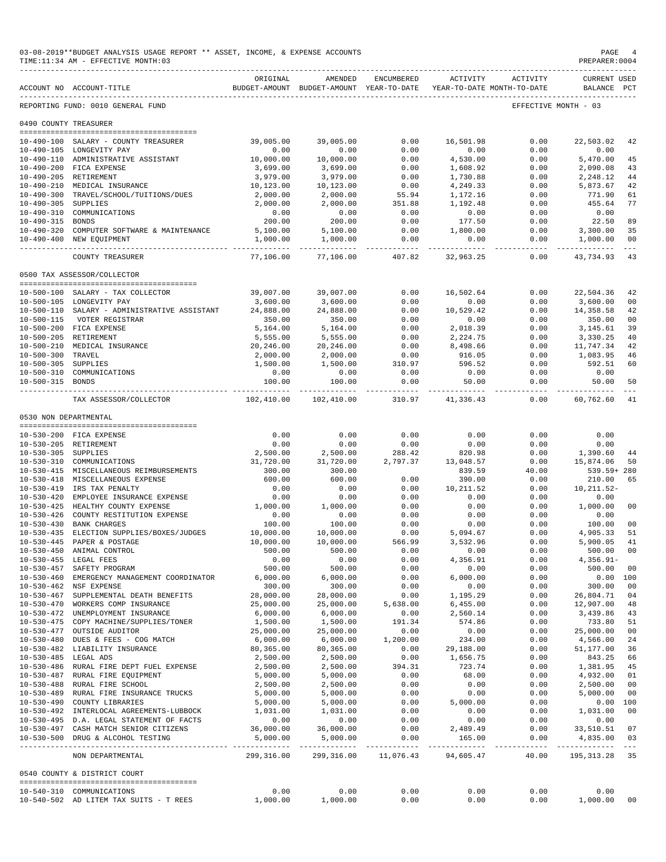|                                          | 03-08-2019**BUDGET ANALYSIS USAGE REPORT ** ASSET, INCOME, & EXPENSE ACCOUNTS<br>TIME:11:34 AM - EFFECTIVE MONTH:03 |                       |                                                                                |                |                      |                      | $\mathop{\mathtt{PAGE}}$<br>PREPARER:0004 | 4                         |
|------------------------------------------|---------------------------------------------------------------------------------------------------------------------|-----------------------|--------------------------------------------------------------------------------|----------------|----------------------|----------------------|-------------------------------------------|---------------------------|
|                                          | ACCOUNT NO ACCOUNT-TITLE                                                                                            | ORIGINAL              | AMENDED<br>BUDGET-AMOUNT BUDGET-AMOUNT YEAR-TO-DATE YEAR-TO-DATE MONTH-TO-DATE | ENCUMBERED     |                      | ACTIVITY ACTIVITY    | <b>CURRENT USED</b><br>BALANCE PCT        |                           |
|                                          | ------------------------------<br>REPORTING FUND: 0010 GENERAL FUND                                                 |                       |                                                                                |                |                      | EFFECTIVE MONTH - 03 |                                           |                           |
| 0490 COUNTY TREASURER                    |                                                                                                                     |                       |                                                                                |                |                      |                      |                                           |                           |
|                                          | 10-490-100 SALARY - COUNTY TREASURER                                                                                | 39,005.00             | 39,005.00                                                                      | 0.00           | 16,501.98            | 0.00                 | 22,503.02                                 | 42                        |
|                                          | 10-490-105 LONGEVITY PAY                                                                                            | 0.00                  | 0.00                                                                           | 0.00           | 0.00                 | 0.00                 | 0.00                                      |                           |
|                                          | 10-490-110 ADMINISTRATIVE ASSISTANT                                                                                 | 10,000.00             | 10,000.00                                                                      | 0.00           | 4,530.00             | 0.00                 | 5,470.00                                  | 45                        |
|                                          | 10-490-200 FICA EXPENSE                                                                                             | 3,699.00              | 3,699.00                                                                       | 0.00           | 1,608.92             | 0.00                 | 2,090.08                                  | 43                        |
|                                          | 10-490-205 RETIREMENT                                                                                               | 3,979.00              | 3,979.00                                                                       | 0.00           | 1,730.88             | 0.00                 | 2,248.12                                  | 44                        |
|                                          | 10-490-210 MEDICAL INSURANCE<br>10-490-300 TRAVEL/SCHOOL/TUITIONS/DUES                                              | 10,123.00<br>2,000.00 | 10,123.00<br>2,000.00                                                          | 0.00<br>55.94  | 4,249.33<br>1,172.16 | 0.00<br>0.00         | 5,873.67<br>771.90                        | 42<br>61                  |
| 10-490-305 SUPPLIES                      |                                                                                                                     | 2,000.00              | 2,000.00                                                                       | 351.88         | 1,192.48             | 0.00                 | 455.64                                    | 77                        |
|                                          | 10-490-310 COMMUNICATIONS                                                                                           | 0.00                  | 0.00                                                                           | 0.00           | 0.00                 | 0.00                 | 0.00                                      |                           |
| 10-490-315 BONDS                         |                                                                                                                     | 200.00                | 200.00                                                                         | 0.00           | 177.50               | 0.00                 | 22.50                                     | 89                        |
|                                          | 10-490-320 COMPUTER SOFTWARE & MAINTENANCE                                                                          | 5,100.00              | 5,100.00                                                                       | 0.00           | 1,800.00             | 0.00                 | 3,300.00                                  | 35                        |
|                                          | 10-490-400 NEW EQUIPMENT                                                                                            | 1,000.00              | 1,000.00                                                                       | 0.00           | 0.00                 | 0.00                 | 1,000.00                                  | 0 <sup>0</sup><br>$- - -$ |
|                                          | COUNTY TREASURER                                                                                                    | 77,106.00             | 77,106.00                                                                      | 407.82         | 32,963.25            | 0.00                 | 43,734.93                                 | 43                        |
|                                          | 0500 TAX ASSESSOR/COLLECTOR                                                                                         |                       |                                                                                |                |                      |                      |                                           |                           |
|                                          |                                                                                                                     |                       |                                                                                |                |                      |                      |                                           |                           |
|                                          | 10-500-100 SALARY - TAX COLLECTOR<br>10-500-105 LONGEVITY PAY                                                       | 39,007.00<br>3,600.00 | 39,007.00<br>3,600.00                                                          | 0.00<br>0.00   | 16,502.64<br>0.00    | 0.00<br>0.00         | 22,504.36<br>3,600.00                     | 42<br>0 <sub>0</sub>      |
|                                          | 10-500-110 SALARY - ADMINISTRATIVE ASSISTANT                                                                        | 24,888.00             | 24,888.00                                                                      | 0.00           | 10,529.42            | 0.00                 | 14,358.58                                 | 42                        |
| $10 - 500 - 115$                         | VOTER REGISTRAR                                                                                                     | 350.00                | 350.00                                                                         | 0.00           | 0.00                 | 0.00                 | 350.00                                    | 0 <sub>0</sub>            |
|                                          | 10-500-200 FICA EXPENSE                                                                                             | 5,164.00              | 5,164.00                                                                       | 0.00           | 2,018.39             | 0.00                 | 3,145.61                                  | 39                        |
|                                          | 10-500-205 RETIREMENT                                                                                               | 5,555.00              | 5,555.00                                                                       | 0.00           | 2,224.75             | 0.00                 | 3,330.25                                  | 40                        |
|                                          | 10-500-210 MEDICAL INSURANCE                                                                                        | 20,246.00             | 20,246.00                                                                      | 0.00           | 8,498.66             | 0.00                 | 11,747.34                                 | 42                        |
| 10-500-300 TRAVEL<br>10-500-305 SUPPLIES |                                                                                                                     | 2,000.00<br>1,500.00  | 2,000.00<br>1,500.00                                                           | 0.00<br>310.97 | 916.05<br>596.52     | 0.00<br>0.00         | 1,083.95<br>592.51                        | 46<br>60                  |
|                                          | 10-500-310 COMMUNICATIONS                                                                                           | 0.00                  | 0.00                                                                           | 0.00           | 0.00                 | 0.00                 | 0.00                                      |                           |
| 10-500-315 BONDS                         |                                                                                                                     | 100.00                | 100.00<br>--------------                                                       | 0.00           | 50.00<br>___________ | 0.00<br>-----------  | 50.00<br>------------                     | 50                        |
|                                          | TAX ASSESSOR/COLLECTOR                                                                                              | 102,410.00            | 102,410.00                                                                     | -----------    | 310.97 41,336.43     | 0.00                 | 60,762.60                                 | 41                        |
| 0530 NON DEPARTMENTAL                    |                                                                                                                     |                       |                                                                                |                |                      |                      |                                           |                           |
|                                          | --------------------------------------                                                                              |                       |                                                                                |                |                      |                      |                                           |                           |
|                                          | 10-530-200 FICA EXPENSE                                                                                             | 0.00                  | 0.00<br>0.00                                                                   | 0.00           | 0.00                 | 0.00                 | 0.00                                      |                           |
| 10-530-305 SUPPLIES                      | 10-530-205 RETIREMENT                                                                                               | 0.00<br>2,500.00      | 2,500.00                                                                       | 0.00<br>288.42 | 0.00<br>820.98       | 0.00<br>0.00         | 0.00<br>1,390.60                          | 44                        |
|                                          | 10-530-310 COMMUNICATIONS                                                                                           | 31,720.00             | 31,720.00                                                                      | 2,797.37       | 13,048.57            | 0.00                 | 15,874.06                                 | 50                        |
|                                          | 10-530-415 MISCELLANEOUS REIMBURSEMENTS                                                                             | 300.00                | 300.00                                                                         |                | 839.59               | 40.00                | 539.59+ 280                               |                           |
|                                          | 10-530-418 MISCELLANEOUS EXPENSE                                                                                    | 600.00                | 600.00                                                                         | 0.00           | 390.00               | 0.00                 | 210.00                                    | 65                        |
|                                          | 10-530-419 IRS TAX PENALTY                                                                                          | 0.00                  | 0.00                                                                           | 0.00           | 10,211.52            | 0.00                 | $10, 211.52 -$                            |                           |
|                                          | 10-530-420 EMPLOYEE INSURANCE EXPENSE                                                                               | 0.00                  | 0.00                                                                           | 0.00           | 0.00                 | 0.00                 | 0.00                                      |                           |
|                                          | 10-530-425 HEALTHY COUNTY EXPENSE<br>10-530-426 COUNTY RESTITUTION EXPENSE                                          | 1,000.00<br>0.00      | 1,000.00<br>0.00                                                               | 0.00<br>0.00   | 0.00<br>0.00         | 0.00<br>0.00         | 1,000.00<br>0.00                          | 0 <sub>0</sub>            |
|                                          | 10-530-430 BANK CHARGES                                                                                             | 100.00                | 100.00                                                                         | 0.00           | 0.00                 | 0.00                 | 100.00                                    | 0 <sub>0</sub>            |
|                                          | 10-530-435 ELECTION SUPPLIES/BOXES/JUDGES                                                                           | 10,000.00             | 10,000.00                                                                      | 0.00           | 5,094.67             | 0.00                 | 4,905.33                                  | 51                        |
|                                          | 10-530-445 PAPER & POSTAGE                                                                                          | 10,000.00             | 10,000.00                                                                      | 566.99         | 3,532.96             | 0.00                 | 5,900.05                                  | 41                        |
|                                          | 10-530-450 ANIMAL CONTROL                                                                                           | 500.00                | 500.00                                                                         | 0.00           | 0.00                 | 0.00                 | 500.00                                    | 0 <sub>0</sub>            |
|                                          | 10-530-455 LEGAL FEES                                                                                               | 0.00                  | 0.00                                                                           | 0.00           | 4,356.91             | 0.00                 | $4,356.91-$                               |                           |
| $10 - 530 - 457$                         | SAFETY PROGRAM                                                                                                      | 500.00                | 500.00                                                                         | 0.00           | 0.00                 | 0.00                 | 500.00                                    | 0 <sub>0</sub>            |
| $10 - 530 - 460$                         | EMERGENCY MANAGEMENT COORDINATOR<br>10-530-462 NSF EXPENSE                                                          | 6,000.00<br>300.00    | 6,000.00<br>300.00                                                             | 0.00<br>0.00   | 6,000.00<br>0.00     | 0.00<br>0.00         | 0.00 100<br>300.00                        | 0 <sub>0</sub>            |
| $10 - 530 - 467$                         | SUPPLEMENTAL DEATH BENEFITS                                                                                         | 28,000.00             | 28,000.00                                                                      | 0.00           | 1,195.29             | 0.00                 | 26,804.71                                 | 04                        |
| $10 - 530 - 470$                         | WORKERS COMP INSURANCE                                                                                              | 25,000.00             | 25,000.00                                                                      | 5,638.00       | 6,455.00             | 0.00                 | 12,907.00                                 | 48                        |
|                                          | 10-530-472 UNEMPLOYMENT INSURANCE                                                                                   | 6,000.00              | 6,000.00                                                                       | 0.00           | 2,560.14             | 0.00                 | 3,439.86                                  | 43                        |
|                                          | 10-530-475 COPY MACHINE/SUPPLIES/TONER                                                                              | 1,500.00              | 1,500.00                                                                       | 191.34         | 574.86               | 0.00                 | 733.80                                    | 51                        |
|                                          | 10-530-477 OUTSIDE AUDITOR                                                                                          | 25,000.00             | 25,000.00                                                                      | 0.00           | 0.00                 | 0.00                 | 25,000.00                                 | 0 <sub>0</sub>            |
|                                          | 10-530-480 DUES & FEES - COG MATCH<br>10-530-482 LIABILITY INSURANCE                                                | 6,000.00<br>80,365.00 | 6,000.00                                                                       | 1,200.00       | 234.00<br>29,188.00  | 0.00                 | 4,566.00<br>51,177.00                     | 24                        |
| 10-530-485 LEGAL ADS                     |                                                                                                                     | 2,500.00              | 80,365.00<br>2,500.00                                                          | 0.00<br>0.00   | 1,656.75             | 0.00<br>0.00         | 843.25                                    | 36<br>66                  |
|                                          | 10-530-486 RURAL FIRE DEPT FUEL EXPENSE                                                                             | 2,500.00              | 2,500.00                                                                       | 394.31         | 723.74               | 0.00                 | 1,381.95                                  | 45                        |
|                                          | 10-530-487 RURAL FIRE EQUIPMENT                                                                                     | 5,000.00              | 5,000.00                                                                       | 0.00           | 68.00                | 0.00                 | 4,932.00                                  | 01                        |
|                                          | 10-530-488 RURAL FIRE SCHOOL                                                                                        | 2,500.00              | 2,500.00                                                                       | 0.00           | 0.00                 | 0.00                 | 2,500.00                                  | 0 <sub>0</sub>            |
|                                          | 10-530-489 RURAL FIRE INSURANCE TRUCKS                                                                              | 5,000.00              | 5,000.00                                                                       | 0.00           | 0.00                 | 0.00                 | 5,000.00                                  | 0 <sub>0</sub>            |
|                                          | 10-530-490 COUNTY LIBRARIES                                                                                         | 5,000.00              | 5,000.00                                                                       | 0.00           | 5,000.00             | 0.00                 | 0.00 100                                  |                           |
|                                          | 10-530-492 INTERLOCAL AGREEMENTS-LUBBOCK<br>10-530-495 D.A. LEGAL STATEMENT OF FACTS                                | 1,031.00<br>0.00      | 1,031.00<br>0.00                                                               | 0.00<br>0.00   | 0.00<br>0.00         | 0.00<br>0.00         | 1,031.00<br>0.00                          | 0 <sub>0</sub>            |
|                                          | 10-530-497 CASH MATCH SENIOR CITIZENS                                                                               | 36,000.00             | 36,000.00                                                                      | 0.00           | 2,489.49             | 0.00                 | 33,510.51                                 | 07                        |
|                                          | 10-530-500 DRUG & ALCOHOL TESTING                                                                                   | 5,000.00              | 5,000.00                                                                       | 0.00           | 165.00               | 0.00                 | 4,835.00                                  | 03                        |
|                                          | NON DEPARTMENTAL                                                                                                    | 299,316.00            | 299,316.00                                                                     | 11,076.43      | 94,605.47            | 40.00                | 195,313.28                                | 35                        |
|                                          | 0540 COUNTY & DISTRICT COURT                                                                                        |                       |                                                                                |                |                      |                      |                                           |                           |
|                                          |                                                                                                                     |                       |                                                                                |                |                      |                      |                                           |                           |
|                                          | 10-540-310 COMMUNICATIONS<br>10-540-502 AD LITEM TAX SUITS - T REES                                                 | 0.00<br>1,000.00      | 0.00<br>1,000.00                                                               | 0.00<br>0.00   | 0.00<br>0.00         | 0.00<br>0.00         | 0.00<br>1,000.00                          | 0 <sub>0</sub>            |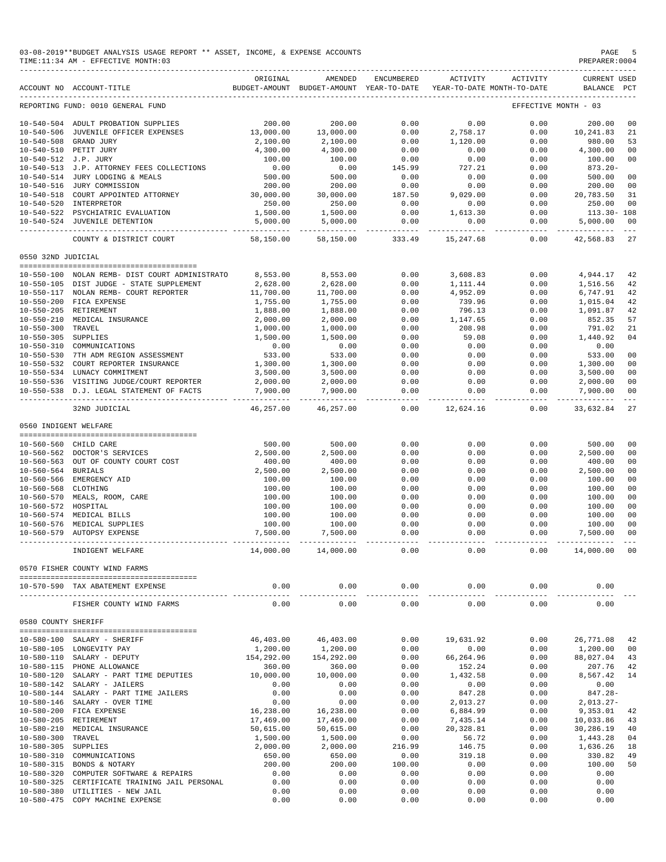|                                          | 03-08-2019**BUDGET ANALYSIS USAGE REPORT ** ASSET, INCOME, & EXPENSE ACCOUNTS<br>TIME:11:34 AM - EFFECTIVE MONTH:03 |                         |                                                                                                                                                                                                                                                                              |                        |                                         |                      | PAGE<br>PREPARER: 0004                                                                                                                                                     |                                  |
|------------------------------------------|---------------------------------------------------------------------------------------------------------------------|-------------------------|------------------------------------------------------------------------------------------------------------------------------------------------------------------------------------------------------------------------------------------------------------------------------|------------------------|-----------------------------------------|----------------------|----------------------------------------------------------------------------------------------------------------------------------------------------------------------------|----------------------------------|
|                                          | ACCOUNT NO ACCOUNT-TITLE                                                                                            | ORIGINAL                | AMENDED<br>BUDGET-AMOUNT BUDGET-AMOUNT YEAR-TO-DATE YEAR-TO-DATE MONTH-TO-DATE                                                                                                                                                                                               | ENCUMBERED             |                                         | ACTIVITY ACTIVITY    | CURRENT USED<br>BALANCE PCT                                                                                                                                                |                                  |
|                                          | REPORTING FUND: 0010 GENERAL FUND                                                                                   |                         |                                                                                                                                                                                                                                                                              |                        |                                         |                      | EFFECTIVE MONTH - 03                                                                                                                                                       |                                  |
|                                          | 10-540-504 ADULT PROBATION SUPPLIES                                                                                 | 200.00                  | 200.00                                                                                                                                                                                                                                                                       | 0.00                   | 0.00                                    | 0.00                 | 200.00                                                                                                                                                                     | 0 <sub>0</sub>                   |
|                                          | 10-540-506 JUVENILE OFFICER EXPENSES                                                                                | 13,000.00               | 13,000.00                                                                                                                                                                                                                                                                    | 0.00                   | 2,758.17                                | 0.00                 | 10,241.83                                                                                                                                                                  | 21                               |
|                                          | 10-540-508 GRAND JURY                                                                                               | 2,100.00                | 2,100.00                                                                                                                                                                                                                                                                     | 0.00                   | 1,120.00                                | 0.00                 | 980.00                                                                                                                                                                     | 53                               |
|                                          | 10-540-510 PETIT JURY                                                                                               | 4,300.00                | 4,300.00                                                                                                                                                                                                                                                                     | 0.00                   | 0.00                                    | 0.00                 | 4,300.00                                                                                                                                                                   | 0 <sub>0</sub>                   |
| 10-540-512 J.P. JURY                     | 10-540-513 J.P. ATTORNEY FEES COLLECTIONS                                                                           | 100.00<br>0.00          | 100.00<br>0.00                                                                                                                                                                                                                                                               | 0.00<br>145.99         | 0.00<br>727.21                          | 0.00<br>0.00         | 100.00<br>$873.20 -$                                                                                                                                                       | 0 <sub>0</sub>                   |
|                                          | 10-540-514 JURY LODGING & MEALS                                                                                     | 500.00                  | 500.00                                                                                                                                                                                                                                                                       | 0.00                   | 0.00                                    | 0.00                 | 500.00                                                                                                                                                                     | 0 <sub>0</sub>                   |
|                                          | 10-540-516 JURY COMMISSION                                                                                          | 200.00                  | 200.00                                                                                                                                                                                                                                                                       | 0.00                   | 0.00                                    | 0.00                 | 200.00                                                                                                                                                                     | 0 <sub>0</sub>                   |
|                                          | 10-540-518 COURT APPOINTED ATTORNEY                                                                                 | 30,000.00               | 30,000.00                                                                                                                                                                                                                                                                    | 187.50                 | 9,029.00                                | 0.00                 | 20,783.50                                                                                                                                                                  | 31                               |
|                                          | 10-540-520 INTERPRETOR                                                                                              | 250.00                  | 250.00                                                                                                                                                                                                                                                                       | 0.00                   | 0.00                                    | 0.00                 | 250.00                                                                                                                                                                     | 0 <sub>0</sub>                   |
|                                          | 10-540-522 PSYCHIATRIC EVALUATION<br>10-540-524 JUVENILE DETENTION                                                  | 1,500.00<br>5,000.00    | 1,500.00<br>5,000.00                                                                                                                                                                                                                                                         | 0.00<br>0.00           | 1,613.30<br>0.00                        | 0.00<br>0.00         | 113.30-108<br>5,000.00                                                                                                                                                     | 0 <sub>0</sub>                   |
|                                          | COUNTY & DISTRICT COURT                                                                                             | 58,150.00               | 58,150.00                                                                                                                                                                                                                                                                    | 333.49                 | 15,247.68                               | 0.00                 | 42,568.83                                                                                                                                                                  | -27                              |
| 0550 32ND JUDICIAL                       |                                                                                                                     |                         |                                                                                                                                                                                                                                                                              |                        |                                         |                      |                                                                                                                                                                            |                                  |
|                                          | 10-550-100 NOLAN REMB- DIST COURT ADMINISTRATO                                                                      | 8,553.00                | 8,553.00                                                                                                                                                                                                                                                                     | 0.00                   | 3,608.83                                | 0.00                 | 4,944.17                                                                                                                                                                   | 42                               |
|                                          | 10-550-105 DIST JUDGE - STATE SUPPLEMENT                                                                            | 2,628.00                | 2,628.00                                                                                                                                                                                                                                                                     | 0.00                   | 1,111.44                                | 0.00                 | 1,516.56                                                                                                                                                                   | 42                               |
|                                          | 10-550-117 NOLAN REMB- COURT REPORTER                                                                               | 11,700.00               | 11,700.00                                                                                                                                                                                                                                                                    | 0.00                   | 4,952.09                                | 0.00                 | 6,747.91                                                                                                                                                                   | 42                               |
|                                          | 10-550-200 FICA EXPENSE                                                                                             | 1,755.00                | 1,755.00                                                                                                                                                                                                                                                                     | 0.00                   | 739.96                                  | 0.00                 | 1,015.04                                                                                                                                                                   | 42                               |
|                                          | 10-550-205 RETIREMENT                                                                                               | 1,888.00                | 1,888.00                                                                                                                                                                                                                                                                     | 0.00                   | 796.13                                  | 0.00                 | 1,091.87                                                                                                                                                                   | 42                               |
|                                          | 10-550-210 MEDICAL INSURANCE                                                                                        | 2,000.00                | 2,000.00                                                                                                                                                                                                                                                                     | 0.00                   | 1,147.65                                | 0.00                 | 852.35                                                                                                                                                                     | 57                               |
| 10-550-300 TRAVEL                        |                                                                                                                     | 1,000.00                | 1,000.00                                                                                                                                                                                                                                                                     | 0.00                   | 208.98                                  | 0.00                 | 791.02                                                                                                                                                                     | 21                               |
| 10-550-305 SUPPLIES                      |                                                                                                                     | 1,500.00<br>0.00        | 1,500.00                                                                                                                                                                                                                                                                     | 0.00                   | 59.08                                   | 0.00<br>0.00         | 1,440.92                                                                                                                                                                   | 04                               |
|                                          | 10-550-310 COMMUNICATIONS<br>10-550-530 7TH ADM REGION ASSESSMENT                                                   | 533.00                  | 0.00<br>533.00                                                                                                                                                                                                                                                               | 0.00<br>0.00           | 0.00<br>0.00                            | 0.00                 | 0.00<br>533.00                                                                                                                                                             | 0 <sub>0</sub>                   |
|                                          | 10-550-532 COURT REPORTER INSURANCE                                                                                 | 1,300.00                | 1,300.00                                                                                                                                                                                                                                                                     | 0.00                   | 0.00                                    | 0.00                 | 1,300.00                                                                                                                                                                   | 0 <sub>0</sub>                   |
|                                          | 10-550-534 LUNACY COMMITMENT                                                                                        | 3,500.00                | 3,500.00                                                                                                                                                                                                                                                                     | 0.00                   | 0.00                                    | 0.00                 | 3,500.00                                                                                                                                                                   | 0 <sub>0</sub>                   |
|                                          | 10-550-536 VISITING JUDGE/COURT REPORTER                                                                            | 2,000.00                | 2,000.00                                                                                                                                                                                                                                                                     | 0.00                   | 0.00                                    | 0.00                 | 2,000.00                                                                                                                                                                   | 0 <sub>0</sub>                   |
|                                          | 10-550-538 D.J. LEGAL STATEMENT OF FACTS                                                                            | 7,900.00<br>----------- | 7,900.00<br>--------------                                                                                                                                                                                                                                                   | 0.00<br>______________ | 0.00<br>------------                    | 0.00<br>------------ | 7,900.00<br>--------------                                                                                                                                                 | 0 <sub>0</sub><br>$- - -$        |
|                                          | 32ND JUDICIAL                                                                                                       | 46,257.00               | 46,257.00                                                                                                                                                                                                                                                                    | 0.00                   | 12,624.16                               | 0.00                 | 33,632.84                                                                                                                                                                  | 27                               |
| 0560 INDIGENT WELFARE                    |                                                                                                                     |                         |                                                                                                                                                                                                                                                                              |                        |                                         |                      |                                                                                                                                                                            |                                  |
|                                          | 10-560-560 CHILD CARE                                                                                               | 500.00                  | 500.00                                                                                                                                                                                                                                                                       | 0.00                   | 0.00                                    | 0.00                 | 500.00                                                                                                                                                                     | 0 <sub>0</sub>                   |
|                                          | 10-560-562 DOCTOR'S SERVICES                                                                                        | 2,500.00                | 2,500.00                                                                                                                                                                                                                                                                     | 0.00                   | 0.00                                    | 0.00                 | 2,500.00                                                                                                                                                                   | 0 <sub>0</sub>                   |
|                                          | 10-560-563 OUT OF COUNTY COURT COST                                                                                 | 400.00                  | 400.00                                                                                                                                                                                                                                                                       | 0.00                   | 0.00                                    | 0.00                 | 400.00                                                                                                                                                                     | 0 <sub>0</sub>                   |
| 10-560-564 BURIALS                       |                                                                                                                     | 2,500.00                | 2,500.00                                                                                                                                                                                                                                                                     | 0.00                   | 0.00                                    | 0.00                 | 2,500.00                                                                                                                                                                   | 0 <sub>0</sub>                   |
|                                          | 10-560-566 EMERGENCY AID                                                                                            | 100.00                  | 100.00                                                                                                                                                                                                                                                                       | 0.00                   | 0.00                                    | 0.00                 | 100.00                                                                                                                                                                     | 0 <sub>0</sub>                   |
| 10-560-568 CLOTHING                      |                                                                                                                     | 100.00                  | 100.00                                                                                                                                                                                                                                                                       | 0.00                   | 0.00                                    | 0.00                 | 100.00                                                                                                                                                                     | 0 <sub>0</sub>                   |
| 10-560-572 HOSPITAL                      | 10-560-570 MEALS, ROOM, CARE                                                                                        | 100.00<br>100.00        | 100.00<br>100.00                                                                                                                                                                                                                                                             | 0.00<br>0.00           | 0.00<br>0.00                            | 0.00<br>0.00         | 100.00<br>100.00                                                                                                                                                           | 0 <sub>0</sub><br>0 <sub>0</sub> |
|                                          | 10-560-574 MEDICAL BILLS                                                                                            | 100.00                  | 100.00                                                                                                                                                                                                                                                                       | 0.00                   | 0.00                                    | 0.00                 | 100.00                                                                                                                                                                     | 0 <sub>0</sub>                   |
|                                          | 10-560-576 MEDICAL SUPPLIES                                                                                         | 100.00                  | 100.00                                                                                                                                                                                                                                                                       | 0.00                   | 0.00                                    | 0.00                 | 100.00                                                                                                                                                                     | 0 <sub>0</sub>                   |
|                                          | 10-560-579 AUTOPSY EXPENSE                                                                                          | 7,500.00                | 7,500.00                                                                                                                                                                                                                                                                     | 0.00                   | 0.00                                    | 0.00                 | 7,500.00                                                                                                                                                                   | 0 <sub>0</sub>                   |
|                                          | INDIGENT WELFARE                                                                                                    |                         | $14,000.00$ $14,000.00$ 0.00 0.00 0.00 $14,000.00$ 00                                                                                                                                                                                                                        |                        |                                         |                      |                                                                                                                                                                            |                                  |
|                                          | 0570 FISHER COUNTY WIND FARMS                                                                                       |                         |                                                                                                                                                                                                                                                                              |                        |                                         |                      |                                                                                                                                                                            |                                  |
|                                          | 10-570-590 TAX ABATEMENT EXPENSE                                                                                    |                         | $0.00$ $0.00$ $0.00$ $0.00$                                                                                                                                                                                                                                                  |                        | 0.00                                    | 0.00                 | 0.00                                                                                                                                                                       |                                  |
|                                          |                                                                                                                     |                         | . _ _ _ _ _ _ _ _ _ _ _                                                                                                                                                                                                                                                      | ------------           | . <u>.</u> .                            |                      |                                                                                                                                                                            |                                  |
| 0580 COUNTY SHERIFF                      | FISHER COUNTY WIND FARMS                                                                                            | 0.00                    | 0.00                                                                                                                                                                                                                                                                         | 0.00                   | 0.00                                    | 0.00                 | 0.00                                                                                                                                                                       |                                  |
|                                          |                                                                                                                     |                         |                                                                                                                                                                                                                                                                              |                        |                                         |                      |                                                                                                                                                                            |                                  |
|                                          | 10-580-100 SALARY - SHERIFF                                                                                         |                         |                                                                                                                                                                                                                                                                              |                        | 19,631.92                               |                      | $\begin{array}{cccc} 0.00 & & & & & \\ 0.00 & & & & 1.5 \\ 0.00 & & & 88,027.04 \\ \text{on} & & & 207.76 \\ \text{on} & & & 2.567.42 \\ 0.00 & & & & 0.00 \\ \end{array}$ | 42                               |
|                                          | 10-580-105 LONGEVITY PAY                                                                                            |                         |                                                                                                                                                                                                                                                                              |                        | $0.00$<br>66, 264.96                    |                      |                                                                                                                                                                            | 0 <sub>0</sub>                   |
|                                          | 10-580-110 SALARY - DEPUTY<br>10-580-115 PHONE ALLOWANCE                                                            | 154,292.00              |                                                                                                                                                                                                                                                                              |                        | 66, 264.96<br>152.24<br>152.24          |                      |                                                                                                                                                                            | 43<br>42                         |
|                                          | 10-580-120 SALARY - PART TIME DEPUTIES                                                                              | 10,000.00               |                                                                                                                                                                                                                                                                              |                        | 1,432.58                                |                      |                                                                                                                                                                            | 14                               |
|                                          | 10-580-142 SALARY - JAILERS                                                                                         |                         |                                                                                                                                                                                                                                                                              |                        |                                         |                      |                                                                                                                                                                            |                                  |
|                                          | 10-580-144 SALARY - PART TIME JAILERS                                                                               |                         |                                                                                                                                                                                                                                                                              |                        | $0.00$<br>847.28                        |                      | $0.00$ $847.28 -$                                                                                                                                                          |                                  |
|                                          | 10-580-146 SALARY - OVER TIME                                                                                       |                         |                                                                                                                                                                                                                                                                              |                        | 2,013.27                                | 0.00                 | 2,013.27-                                                                                                                                                                  |                                  |
|                                          | 10-580-200 FICA EXPENSE                                                                                             |                         | $\begin{array}{cccc} 46,403.00 & 46,403.00 & 0.00 \\ 1,200.00 & 1,200.00 & 0.00 \\ 154,292.00 & 154,292.00 & 0.00 \\ 360.00 & 360.00 & 0.00 \\ 10,000.00 & 10,000.00 & 0.00 \\ 0.00 & 0.00 & 0.00 & 0.00 \\ 0.00 & 0.00 & 0.00 & 0.00 \\ 16,238.00 & 16,238.00 & 0.00 \\ 17$ |                        | 6,884.99                                | 0.00                 | $9,353.01$<br>$10,033.86$<br>$30,286.19$                                                                                                                                   | 42                               |
|                                          | 10-580-205 RETIREMENT                                                                                               |                         |                                                                                                                                                                                                                                                                              |                        | 7,435.14                                | 0.00                 |                                                                                                                                                                            | 43                               |
|                                          | 10-580-210 MEDICAL INSURANCE                                                                                        |                         |                                                                                                                                                                                                                                                                              |                        |                                         | 0.00                 |                                                                                                                                                                            | 40<br>04                         |
| 10-580-300 TRAVEL<br>10-580-305 SUPPLIES |                                                                                                                     |                         |                                                                                                                                                                                                                                                                              |                        |                                         | 0.00<br>0.00         | 1,443.28<br>1,636.26                                                                                                                                                       | 18                               |
|                                          | 10-580-310 COMMUNICATIONS                                                                                           | 650.00                  |                                                                                                                                                                                                                                                                              | 0.00                   | 20, 328.81<br>56.72<br>146.75<br>319.18 | 0.00                 | 330.82                                                                                                                                                                     | 49                               |
|                                          | 10-580-315 BONDS & NOTARY                                                                                           | 200.00                  | $650.00$<br>200.00                                                                                                                                                                                                                                                           | 100.00                 | 0.00                                    | 0.00                 | 100.00                                                                                                                                                                     | 50                               |
|                                          | 10-580-320 COMPUTER SOFTWARE & REPAIRS                                                                              | 0.00                    | 0.00                                                                                                                                                                                                                                                                         | 0.00                   | 0.00                                    | 0.00                 | 0.00                                                                                                                                                                       |                                  |
|                                          | 10-580-325 CERTIFICATE TRAINING JAIL PERSONAL                                                                       | 0.00                    |                                                                                                                                                                                                                                                                              | 0.00                   | 0.00                                    | 0.00                 | 0.00                                                                                                                                                                       |                                  |
|                                          | 10-580-380 UTILITIES - NEW JAIL                                                                                     | 0.00                    | $0.00$<br>$0.00$                                                                                                                                                                                                                                                             | 0.00                   | 0.00                                    | 0.00                 | 0.00                                                                                                                                                                       |                                  |
|                                          | 10-580-475 COPY MACHINE EXPENSE                                                                                     | 0.00                    | 0.00                                                                                                                                                                                                                                                                         | 0.00                   | 0.00                                    | 0.00                 | 0.00                                                                                                                                                                       |                                  |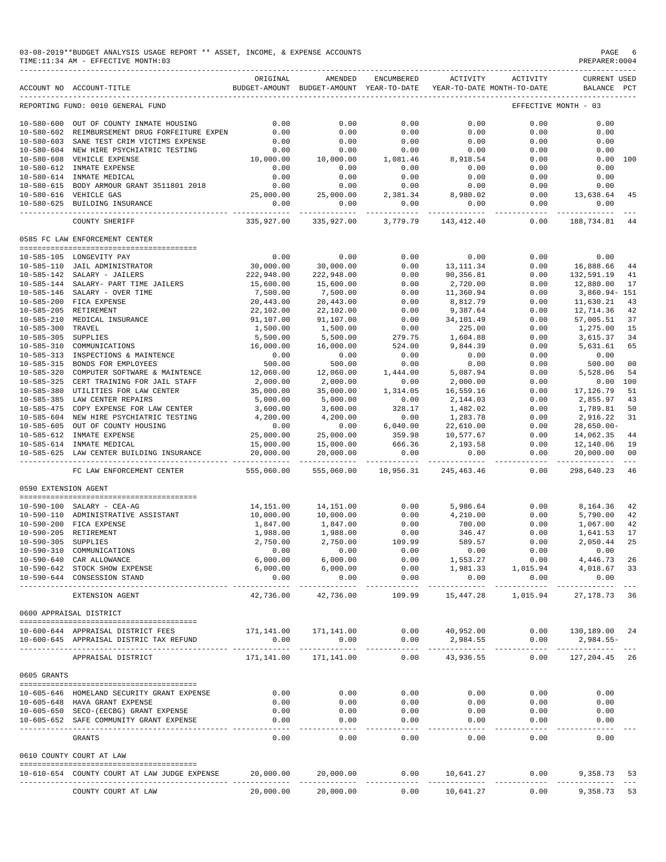|                      | 03-08-2019**BUDGET ANALYSIS USAGE REPORT ** ASSET, INCOME, & EXPENSE ACCOUNTS<br>TIME: 11:34 AM - EFFECTIVE MONTH: 03 |                       |                                |                                  |                       |                                                                                          | PAGE<br>PREPARER: 0004             | -6                   |
|----------------------|-----------------------------------------------------------------------------------------------------------------------|-----------------------|--------------------------------|----------------------------------|-----------------------|------------------------------------------------------------------------------------------|------------------------------------|----------------------|
|                      | ACCOUNT NO ACCOUNT-TITLE                                                                                              | ORIGINAL              | AMENDED                        | ENCUMBERED                       |                       | ACTIVITY ACTIVITY<br>BUDGET-AMOUNT BUDGET-AMOUNT YEAR-TO-DATE YEAR-TO-DATE MONTH-TO-DATE | <b>CURRENT USED</b><br>BALANCE PCT |                      |
|                      | REPORTING FUND: 0010 GENERAL FUND                                                                                     |                       |                                |                                  |                       |                                                                                          | EFFECTIVE MONTH - 03               |                      |
|                      | 10-580-600 OUT OF COUNTY INMATE HOUSING                                                                               | 0.00                  | 0.00                           | 0.00                             | 0.00                  | 0.00                                                                                     | 0.00                               |                      |
|                      | 10-580-602 REIMBURSEMENT DRUG FORFEITURE EXPEN 0.00                                                                   |                       | 0.00                           | 0.00                             | 0.00                  | 0.00                                                                                     | 0.00                               |                      |
|                      | 10-580-603 SANE TEST CRIM VICTIMS EXPENSE                                                                             | 0.00                  | 0.00                           | 0.00                             | 0.00                  | 0.00                                                                                     | 0.00                               |                      |
|                      | 10-580-604 NEW HIRE PSYCHIATRIC TESTING                                                                               | 0.00                  | 0.00                           | 0.00                             | 0.00                  | 0.00                                                                                     | 0.00                               |                      |
|                      | 10-580-608 VEHICLE EXPENSE                                                                                            | 10,000.00             | 10,000.00                      | 1,081.46                         | 8,918.54              | 0.00                                                                                     |                                    | 0.00 100             |
|                      | 10-580-612 INMATE EXPENSE                                                                                             | 0.00                  | 0.00                           | 0.00                             | 0.00                  | 0.00                                                                                     | 0.00                               |                      |
|                      | 10-580-614 INMATE MEDICAL                                                                                             | 0.00                  | 0.00                           | 0.00                             | 0.00                  | 0.00                                                                                     | 0.00                               |                      |
|                      | 10-580-615 BODY ARMOUR GRANT 3511801 2018                                                                             | 0.00                  | 0.00                           | 0.00                             | 0.00                  | 0.00                                                                                     | 0.00                               |                      |
|                      | 10-580-616 VEHICLE GAS<br>10-580-625 BUILDING INSURANCE                                                               | 25,000.00<br>0.00     | 25,000.00<br>0.00              | 2,381.34<br>0.00                 | 8,980.02<br>0.00      | 0.00<br>0.00                                                                             | 13,638.64<br>0.00                  | 45                   |
|                      | COUNTY SHERIFF                                                                                                        | 335,927.00            | -------------<br>335,927.00    | -------- -<br>3,779.79           | 143,412.40            | 0.00                                                                                     | -------------<br>188,734.81        | - 44                 |
|                      | 0585 FC LAW ENFORCEMENT CENTER                                                                                        |                       |                                |                                  |                       |                                                                                          |                                    |                      |
|                      | --------------------------------------<br>10-585-105 LONGEVITY PAY                                                    | 0.00                  | 0.00                           | 0.00                             | 0.00                  | 0.00                                                                                     | 0.00                               |                      |
|                      |                                                                                                                       | 30,000.00             | 30,000.00                      | 0.00                             | 13, 111.34            | 0.00                                                                                     | 16,888.66                          | 44                   |
|                      | 10-585-110 JAIL ADMINISTRATOR<br>10-585-142 SALARY - JAILERS                                                          | 222,948.00            | 222,948.00                     | 0.00                             | 90,356.81             | 0.00                                                                                     | 132,591.19                         | 41                   |
|                      | 10-585-144 SALARY- PART TIME JAILERS                                                                                  | 15,600.00             | 15,600.00                      | 0.00                             | 2,720.00              | 0.00                                                                                     | 12,880.00                          | 17                   |
|                      | 10-585-146 SALARY - OVER TIME                                                                                         | 7,500.00              | 7,500.00                       | 0.00                             | 11,360.94             | 0.00                                                                                     | 3,860.94- 151                      |                      |
|                      | 10-585-200 FICA EXPENSE                                                                                               | 20,443.00             | 20,443.00                      | 0.00                             | 8,812.79              | 0.00                                                                                     | 11,630.21                          | 43                   |
|                      | 10-585-205 RETIREMENT                                                                                                 | 22,102.00             | 22,102.00                      | 0.00                             | 9,387.64              | 0.00                                                                                     | 12,714.36                          | 42                   |
|                      | 10-585-210 MEDICAL INSURANCE                                                                                          | 91,107.00             | 91,107.00                      | 0.00                             | 34,101.49             | 0.00                                                                                     | 57,005.51                          | 37                   |
| 10-585-300 TRAVEL    |                                                                                                                       | 1,500.00              | 1,500.00                       | 0.00                             | 225.00                | 0.00                                                                                     | 1,275.00                           | 15                   |
| 10-585-305 SUPPLIES  |                                                                                                                       | 5,500.00              | 5,500.00                       | 279.75                           | 1,604.88              | 0.00                                                                                     | 3,615.37                           | 34                   |
|                      | 10-585-310 COMMUNICATIONS                                                                                             | 16,000.00             | 16,000.00                      | 524.00                           | 9,844.39              | 0.00                                                                                     | 5,631.61                           | 65                   |
|                      | 10-585-313 INSPECTIONS & MAINTENCE                                                                                    | 0.00                  | 0.00                           | 0.00                             | 0.00                  | 0.00                                                                                     | 0.00                               |                      |
|                      | 10-585-315 BONDS FOR EMPLOYEES                                                                                        | 500.00<br>12,060.00   | 500.00                         | 0.00                             | 0.00                  | 0.00                                                                                     | 500.00                             | 0 <sub>0</sub><br>54 |
|                      | 10-585-320 COMPUTER SOFTWARE & MAINTENCE<br>10-585-325 CERT TRAINING FOR JAIL STAFF                                   | 2,000.00              | 12,060.00<br>2,000.00          | 1,444.00<br>0.00                 | 5,087.94<br>2,000.00  | 0.00<br>0.00                                                                             | 5,528.06                           | 0.00 100             |
|                      | 10-585-380 UTILITIES FOR LAW CENTER                                                                                   | 35,000.00             | 35,000.00                      | 1,314.05                         | 16,559.16             | 0.00                                                                                     | 17,126.79                          | 51                   |
|                      | 10-585-385 LAW CENTER REPAIRS                                                                                         | 5,000.00              | 5,000.00                       |                                  | 2,144.03              | 0.00                                                                                     | 2,855.97                           | 43                   |
|                      | 10-585-475 COPY EXPENSE FOR LAW CENTER                                                                                | 3,600.00              | 3,600.00                       | $0.00$<br>328.17                 | 1,482.02              | 0.00                                                                                     | 1,789.81                           | 50                   |
|                      | 10-585-604 NEW HIRE PSYCHIATRIC TESTING                                                                               | 4,200.00              | 4,200.00                       | 0.00                             | 1,283.78              | 0.00                                                                                     | 2,916.22                           | 31                   |
|                      | 10-585-605 OUT OF COUNTY HOUSING                                                                                      | 0.00                  | 0.00                           | 6,040.00                         | 22,610.00             | 0.00                                                                                     | $28,650.00 -$                      |                      |
|                      | 10-585-612 INMATE EXPENSE                                                                                             | 25,000.00             | 25,000.00                      | 359.98                           | 10,577.67             | 0.00                                                                                     | 14,062.35                          | 44                   |
|                      | 10-585-614 INMATE MEDICAL                                                                                             | 15,000.00             | 15,000.00                      | 666.36                           | 2,193.58              | 0.00                                                                                     | 12,140.06                          | 19                   |
|                      | 10-585-625 LAW CENTER BUILDING INSURANCE                                                                              | 20,000.00             | 20,000.00                      | 0.00                             | 0.00                  | 0.00                                                                                     | 20,000.00                          | 00                   |
|                      | FC LAW ENFORCEMENT CENTER                                                                                             | 555,060.00            | 555,060.00                     | 10,956.31                        | 245,463.46            | 0.00                                                                                     | 298,640.23                         | 46                   |
| 0590 EXTENSION AGENT |                                                                                                                       |                       |                                |                                  |                       |                                                                                          |                                    |                      |
|                      | 10-590-100 SALARY - CEA-AG                                                                                            |                       | 14, 151.00    14, 151.00       | 0.00                             | 5,986.64              | 0.00                                                                                     | 8,164.36                           | 42                   |
|                      |                                                                                                                       | 10,000.00             | 10,000.00                      | 0.00                             | 4,210.00              | 0.00                                                                                     | 5,790.00                           | 42                   |
|                      | 10-590-110 ADMINISTRATIVE ASSISTANT<br>10-590-200 FICA EXPENSE<br>10-500-205 PUTIDIMUMUM                              | 1,847.00              | 1,847.00                       | 0.00                             | 780.00                | 0.00                                                                                     | 1,067.00                           | 42                   |
|                      | 10-590-205 RETIREMENT                                                                                                 |                       | 1,988.00 1,988.00              | 0.00                             | 346.47                | 0.00                                                                                     | 1,641.53 17                        |                      |
| 10-590-305 SUPPLIES  |                                                                                                                       | 2,750.00              | 2,750.00                       | 109.99                           | 589.57                | 0.00                                                                                     | 2,050.44 25                        |                      |
|                      | 10-590-310 COMMUNICATIONS                                                                                             | 0.00                  | 0.00                           | 0.00                             | 0.00                  | 0.00                                                                                     | 0.00                               |                      |
|                      | 10-590-640 CAR ALLOWANCE                                                                                              | 6,000.00              | 6,000.00                       | 0.00                             | 1,553.27              | $1,553.27$ 0.00<br>$1,981.33$ $1,015.94$                                                 | 4,446.73                           | 26                   |
|                      | 10-590-642 STOCK SHOW EXPENSE                                                                                         | 6,000.00              | 6,000.00                       | 0.00                             |                       |                                                                                          | 4,018.67                           | 33                   |
|                      | 10-590-644 CONSESSION STAND                                                                                           | 0.00<br>------------- | 0.00<br>-----------            | 0.00<br>------------             | 0.00<br>----------- - | 0.00                                                                                     | 0.00<br>                           |                      |
|                      | EXTENSION AGENT                                                                                                       | 42,736.00             | 42,736.00                      | 109.99                           | 15,447.28             | 1,015.94                                                                                 | 27,178.73                          | 36                   |
|                      | 0600 APPRAISAL DISTRICT                                                                                               |                       |                                |                                  |                       |                                                                                          |                                    |                      |
|                      | 10-600-644 APPRAISAL DISTRICT FEES                                                                                    |                       | 171, 141.00    171, 141.00     |                                  | 0.00 40,952.00        |                                                                                          | $0.00$ 130,189.00 24               |                      |
|                      | 10-600-645 APPRAISAL DISTRIC TAX REFUND                                                                               | 0.00                  | 0.00                           | 0.00<br>----------- ------------ | 2,984.55              | 0.00                                                                                     | 2,984.55-                          |                      |
|                      | APPRAISAL DISTRICT                                                                                                    |                       | 171,141.00 171,141.00          | 0.00                             | 43,936.55             |                                                                                          | $0.00$ 127, 204.45 26              |                      |
| 0605 GRANTS          |                                                                                                                       |                       |                                |                                  |                       |                                                                                          |                                    |                      |
|                      | 10-605-646 HOMELAND SECURITY GRANT EXPENSE                                                                            | 0.00                  | 0.00                           | 0.00                             | 0.00                  | 0.00                                                                                     | 0.00                               |                      |
|                      | 10-605-648 HAVA GRANT EXPENSE                                                                                         | 0.00                  | 0.00                           | 0.00                             | 0.00                  | 0.00                                                                                     | 0.00                               |                      |
|                      | 10-605-650 SECO-(EECBG) GRANT EXPENSE                                                                                 | 0.00                  | 0.00                           | 0.00                             | 0.00                  | 0.00                                                                                     | 0.00                               |                      |
|                      | 10-605-652 SAFE COMMUNITY GRANT EXPENSE                                                                               | 0.00                  | 0.00                           | 0.00                             | 0.00                  | 0.00                                                                                     | 0.00                               |                      |
|                      | GRANTS                                                                                                                | -------------<br>0.00 | ---------<br>0.00              | ------<br>0.00                   | ----------<br>0.00    | 0.00                                                                                     | 0.00                               |                      |
|                      | 0610 COUNTY COURT AT LAW                                                                                              |                       |                                |                                  |                       |                                                                                          |                                    |                      |
|                      | 10-610-654 COUNTY COURT AT LAW JUDGE EXPENSE                                                                          |                       |                                |                                  |                       | $20,000.00$ $20,000.00$ $0.00$ $10,641.27$ $0.00$ $9,358.73$ 53                          |                                    |                      |
|                      |                                                                                                                       |                       | -------------- ------------- - |                                  |                       |                                                                                          |                                    |                      |
|                      | COUNTY COURT AT LAW                                                                                                   | 20,000.00             | 20,000.00                      | 0.00                             | 10,641.27             | 0.00                                                                                     | 9,358.73 53                        |                      |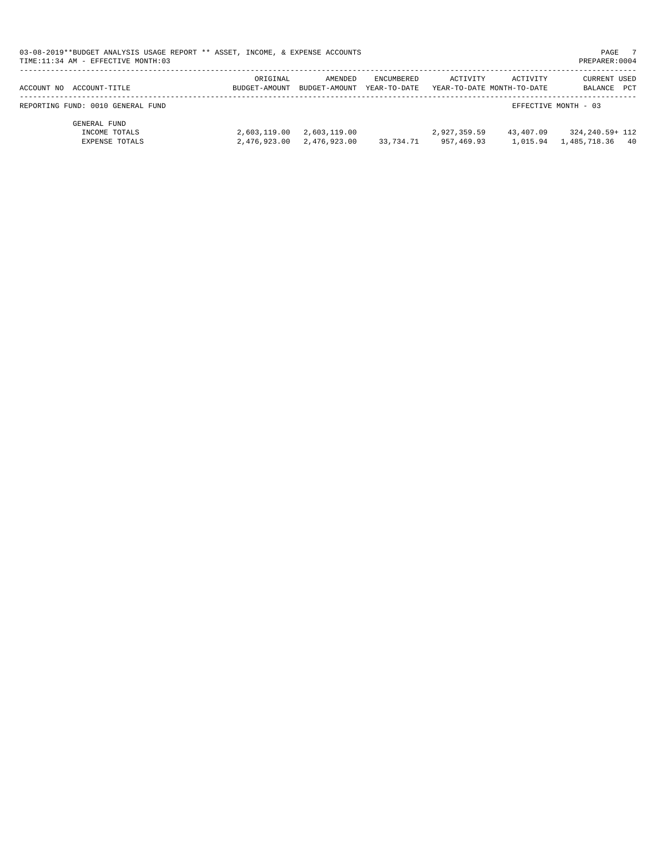| 03-08-2019**BUDGET ANALYSIS USAGE REPORT ** ASSET, INCOME, & EXPENSE ACCOUNTS<br>PREPARER:0004<br>TIME: 11:34 AM - EFFECTIVE MONTH: 03 |                           |                                       |            |              |                                        |                                    |  |
|----------------------------------------------------------------------------------------------------------------------------------------|---------------------------|---------------------------------------|------------|--------------|----------------------------------------|------------------------------------|--|
| ACCOUNT NO ACCOUNT-TITLE                                                                                                               | ORIGINAL<br>BUDGET-AMOUNT | AMENDED<br>BUDGET-AMOUNT YEAR-TO-DATE | ENCUMBERED | ACTIVITY     | ACTIVITY<br>YEAR-TO-DATE MONTH-TO-DATE | <b>CURRENT USED</b><br>BALANCE PCT |  |
| REPORTING FUND: 0010 GENERAL FUND                                                                                                      |                           |                                       |            |              |                                        | EFFECTIVE MONTH - 03               |  |
| GENERAL FUND<br>INCOME TOTALS                                                                                                          |                           | 2,603,119.00 2,603,119.00             |            | 2,927,359.59 | 43,407.09                              | 324,240.59+ 112                    |  |

EXPENSE TOTALS 2,476,923.00 2,476,923.00 33,734.71 957,469.93 1,015.94 1,485,718.36 40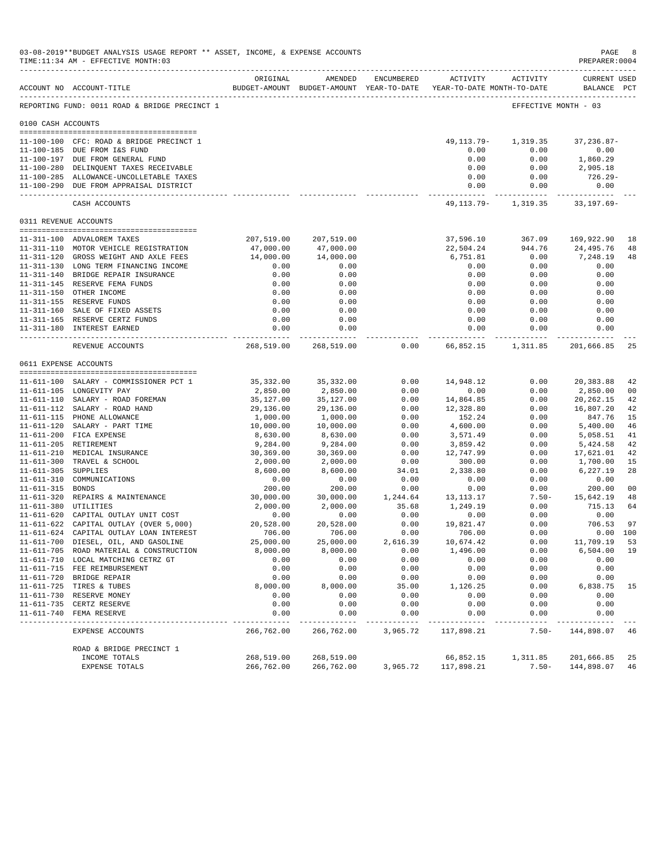|                       | 03-08-2019**BUDGET ANALYSIS USAGE REPORT ** ASSET, INCOME, & EXPENSE ACCOUNTS<br>TIME:11:34 AM - EFFECTIVE MONTH:03 |                          |                        |                      |                                                                     |                      | PAGE<br>PREPARER: 0004             | -8             |
|-----------------------|---------------------------------------------------------------------------------------------------------------------|--------------------------|------------------------|----------------------|---------------------------------------------------------------------|----------------------|------------------------------------|----------------|
|                       | ACCOUNT NO ACCOUNT-TITLE                                                                                            | ORIGINAL                 | AMENDED                | ENCUMBERED           | BUDGET-AMOUNT BUDGET-AMOUNT YEAR-TO-DATE YEAR-TO-DATE MONTH-TO-DATE | ACTIVITY ACTIVITY    | <b>CURRENT USED</b><br>BALANCE PCT |                |
|                       | REPORTING FUND: 0011 ROAD & BRIDGE PRECINCT 1                                                                       |                          |                        |                      |                                                                     | EFFECTIVE MONTH - 03 |                                    |                |
| 0100 CASH ACCOUNTS    |                                                                                                                     |                          |                        |                      |                                                                     |                      |                                    |                |
|                       | 11-100-100 CFC: ROAD & BRIDGE PRECINCT 1                                                                            |                          |                        |                      | 49,113.79-                                                          | 1,319.35             | $37, 236.87 -$                     |                |
|                       | 11-100-185 DUE FROM I&S FUND                                                                                        |                          |                        |                      | 0.00                                                                | 0.00                 | 0.00                               |                |
|                       | 11-100-197 DUE FROM GENERAL FUND                                                                                    |                          |                        |                      | 0.00                                                                | 0.00                 | 1,860.29                           |                |
|                       | 11-100-280 DELINQUENT TAXES RECEIVABLE                                                                              |                          |                        |                      | 0.00<br>0.00                                                        | 0.00<br>0.00         | 2,905.18<br>726.29-                |                |
|                       | 11-100-285 ALLOWANCE-UNCOLLETABLE TAXES<br>11-100-290 DUE FROM APPRAISAL DISTRICT                                   |                          |                        |                      | 0.00                                                                | 0.00                 | 0.00                               |                |
|                       | CASH ACCOUNTS                                                                                                       |                          |                        |                      | ---------------<br>49,113.79-                                       | ------<br>1,319.35   | $33,197.69-$                       |                |
| 0311 REVENUE ACCOUNTS |                                                                                                                     |                          |                        |                      |                                                                     |                      |                                    |                |
|                       |                                                                                                                     |                          |                        |                      |                                                                     |                      |                                    |                |
|                       | 11-311-100 ADVALOREM TAXES                                                                                          | 207,519.00               | 207,519.00             |                      | 37,596.10                                                           | 367.09               | 169,922.90                         | 18             |
|                       | 11-311-110 MOTOR VEHICLE REGISTRATION<br>11-311-120 GROSS WEIGHT AND AXLE FEES                                      | 47,000.00<br>14,000.00   | 47,000.00<br>14,000.00 |                      | 22,504.24<br>6,751.81                                               | 944.76<br>0.00       | 24,495.76<br>7,248.19              | 48<br>48       |
|                       | 11-311-130 LONG TERM FINANCING INCOME                                                                               | 0.00                     | 0.00                   |                      | 0.00                                                                | 0.00                 | 0.00                               |                |
|                       | 11-311-140 BRIDGE REPAIR INSURANCE                                                                                  | 0.00                     | 0.00                   |                      | 0.00                                                                | 0.00                 | 0.00                               |                |
|                       | 11-311-145 RESERVE FEMA FUNDS                                                                                       | 0.00                     | 0.00                   |                      | 0.00                                                                | 0.00                 | 0.00                               |                |
|                       | 11-311-150 OTHER INCOME                                                                                             | 0.00                     | 0.00                   |                      | 0.00                                                                | 0.00                 | 0.00                               |                |
|                       | 11-311-155 RESERVE FUNDS                                                                                            | 0.00                     | 0.00                   |                      | 0.00                                                                | 0.00                 | 0.00                               |                |
|                       | 11-311-160 SALE OF FIXED ASSETS                                                                                     | 0.00                     | 0.00                   |                      | 0.00                                                                | 0.00                 | 0.00                               |                |
|                       | 11-311-165 RESERVE CERTZ FUNDS                                                                                      | 0.00                     | 0.00                   |                      | 0.00                                                                | 0.00                 | 0.00                               |                |
|                       | 11-311-180 INTEREST EARNED                                                                                          | 0.00                     | 0.00<br>------------   |                      | 0.00                                                                | 0.00                 | 0.00<br>. _ _ _ _ _ _ _ _ _ _ _ _  |                |
|                       | REVENUE ACCOUNTS                                                                                                    | 268,519.00               | 268,519.00             | 0.00                 | 66,852.15                                                           | 1,311.85             | 201,666.85                         | 25             |
| 0611 EXPENSE ACCOUNTS |                                                                                                                     |                          |                        |                      |                                                                     |                      |                                    |                |
|                       | --------------------------------------<br>11-611-100 SALARY - COMMISSIONER PCT 1                                    | 35,332.00                | 35, 332.00             | 0.00                 | 14,948.12                                                           | 0.00                 | 20,383.88                          | 42             |
|                       | 11-611-105 LONGEVITY PAY                                                                                            | 2,850.00                 | 2,850.00               | 0.00                 | 0.00                                                                | 0.00                 | 2,850.00                           | 0 <sub>0</sub> |
|                       | 11-611-110 SALARY - ROAD FOREMAN                                                                                    | 35,127.00                | 35,127.00              | 0.00                 | 14,864.85                                                           | 0.00                 | 20, 262.15                         | 42             |
|                       | 11-611-112 SALARY - ROAD HAND                                                                                       | 29,136.00                | 29,136.00              | 0.00                 | 12,328.80                                                           | 0.00                 | 16,807.20                          | 42             |
|                       | 11-611-115 PHONE ALLOWANCE                                                                                          | 1,000.00                 | 1,000.00               | 0.00                 | 152.24                                                              | 0.00                 | 847.76                             | 15             |
|                       | 11-611-120 SALARY - PART TIME                                                                                       | 10,000.00                | 10,000.00              | 0.00                 | 4,600.00                                                            | 0.00                 | 5,400.00                           | 46             |
|                       | 11-611-200 FICA EXPENSE                                                                                             | 8,630.00                 | 8,630.00               | 0.00                 | 3,571.49                                                            | 0.00                 | 5,058.51                           | 41             |
|                       | 11-611-205 RETIREMENT                                                                                               | 9,284.00                 | 9,284.00               | 0.00                 | 3,859.42                                                            | 0.00                 | 5,424.58                           | 42             |
|                       | 11-611-210 MEDICAL INSURANCE                                                                                        | 30,369.00                | 30,369.00              | 0.00                 | 12,747.99                                                           | 0.00                 | 17,621.01                          | 42             |
|                       | 11-611-300 TRAVEL & SCHOOL                                                                                          | 2,000.00                 | 2,000.00               | 0.00                 | 300.00                                                              | 0.00                 | 1,700.00                           | 15             |
| 11-611-305 SUPPLIES   | 11-611-310 COMMUNICATIONS                                                                                           | 8,600.00<br>0.00         | 8,600.00<br>0.00       | 34.01<br>0.00        | 2,338.80<br>0.00                                                    | 0.00<br>0.00         | 6,227.19<br>0.00                   | 28             |
| 11-611-315 BONDS      |                                                                                                                     | 200.00                   | 200.00                 | 0.00                 | 0.00                                                                | 0.00                 | 200.00                             | 0 <sub>0</sub> |
|                       | 11-611-320 REPAIRS & MAINTENANCE                                                                                    | 30,000.00                | 30,000.00              | 1,244.64             | 13,113.17                                                           | $7.50 -$             | 15,642.19                          | 48             |
| 11-611-380 UTILITIES  |                                                                                                                     | 2,000.00                 | 2,000.00               | 35.68                | 1,249.19                                                            | 0.00                 | 715.13                             | 64             |
|                       | 11-611-620 CAPITAL OUTLAY UNIT COST                                                                                 | 0.00                     | 0.00                   | 0.00                 | 0.00                                                                | 0.00                 | 0.00                               |                |
|                       | 11-611-622 CAPITAL OUTLAY (OVER 5,000)                                                                              | 20,528.00                | 20,528.00              | 0.00                 | 19,821.47                                                           | 0.00                 | 706.53                             | 97             |
|                       | 11-611-624 CAPITAL OUTLAY LOAN INTEREST                                                                             | 706.00                   | 706.00                 | 0.00                 | 706.00                                                              | 0.00                 | 0.00 100                           |                |
|                       | 11-611-700 DIESEL, OIL, AND GASOLINE                                                                                | 25,000.00                | 25,000.00              | 2,616.39             | 10,674.42                                                           | 0.00                 | 11,709.19                          | 53             |
|                       | 11-611-705 ROAD MATERIAL & CONSTRUCTION                                                                             | 8,000.00                 | 8,000.00               | 0.00                 | 1,496.00                                                            | 0.00                 | 6,504.00                           | 19             |
|                       | 11-611-710 LOCAL MATCHING CETRZ GT                                                                                  | 0.00                     | 0.00                   | 0.00                 | 0.00                                                                | 0.00                 | 0.00                               |                |
|                       | 11-611-715 FEE REIMBURSEMENT                                                                                        | 0.00                     | 0.00                   | 0.00                 | 0.00                                                                | 0.00                 | 0.00                               |                |
|                       | 11-611-720 BRIDGE REPAIR                                                                                            | 0.00                     | 0.00                   | 0.00                 | 0.00                                                                | 0.00                 | 0.00                               |                |
|                       | 11-611-725 TIRES & TUBES                                                                                            | 8,000.00                 | 8,000.00               | 35.00                | 1,126.25                                                            | 0.00                 | 6,838.75                           | 15             |
|                       | 11-611-730 RESERVE MONEY<br>11-611-735 CERTZ RESERVE                                                                | 0.00<br>0.00             | 0.00<br>0.00           | 0.00<br>0.00         | 0.00<br>0.00                                                        | 0.00<br>0.00         | 0.00<br>0.00                       |                |
| $11 - 611 - 740$      | FEMA RESERVE                                                                                                        | 0.00                     | 0.00                   | 0.00                 | 0.00                                                                | 0.00                 | 0.00                               |                |
|                       | EXPENSE ACCOUNTS                                                                                                    | ----------<br>266,762.00 | ------<br>266,762.00   | --------<br>3,965.72 | 117,898.21                                                          | $7.50 -$             | 144,898.07                         | 46             |
|                       | ROAD & BRIDGE PRECINCT 1                                                                                            |                          |                        |                      |                                                                     |                      |                                    |                |
|                       | INCOME TOTALS                                                                                                       | 268,519.00               | 268,519.00             |                      | 66,852.15                                                           | 1,311.85             | 201,666.85                         | 25             |
|                       | EXPENSE TOTALS                                                                                                      | 266,762.00               | 266,762.00             | 3,965.72             | 117,898.21                                                          | $7.50 -$             | 144,898.07                         | 46             |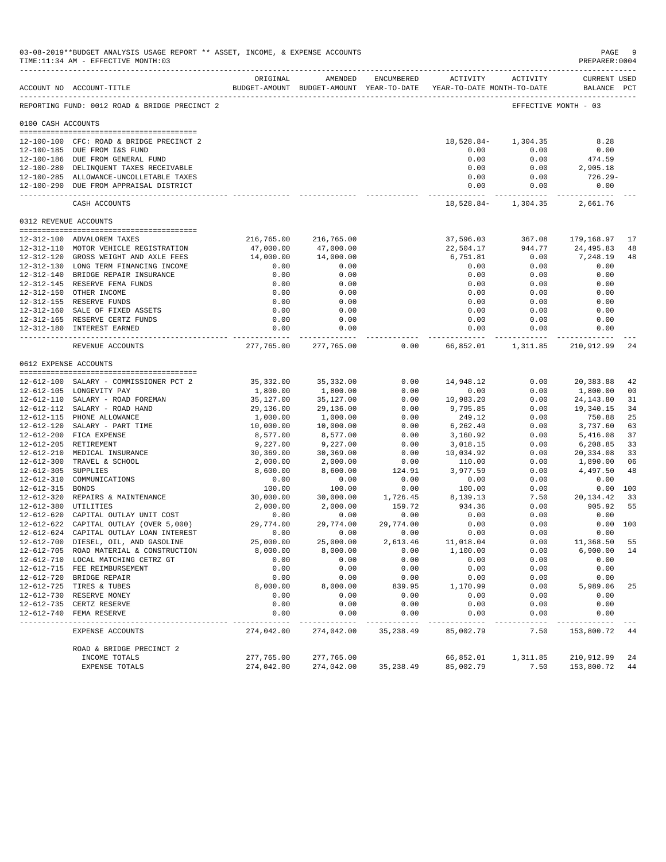|                     | 03-08-2019**BUDGET ANALYSIS USAGE REPORT ** ASSET, INCOME, & EXPENSE ACCOUNTS<br>TIME: 11:34 AM - EFFECTIVE MONTH: 03<br>________________________________ |                      |                                                                                |                |                                    |                                                | PAGE<br>PREPARER: 0004             | 9        |
|---------------------|-----------------------------------------------------------------------------------------------------------------------------------------------------------|----------------------|--------------------------------------------------------------------------------|----------------|------------------------------------|------------------------------------------------|------------------------------------|----------|
|                     | ACCOUNT NO ACCOUNT-TITLE                                                                                                                                  | ORIGINAL             | AMENDED<br>BUDGET-AMOUNT BUDGET-AMOUNT YEAR-TO-DATE YEAR-TO-DATE MONTH-TO-DATE |                | ---------------------------------- | ENCUMBERED ACTIVITY ACTIVITY                   | <b>CURRENT USED</b><br>BALANCE PCT |          |
|                     | REPORTING FUND: 0012 ROAD & BRIDGE PRECINCT 2                                                                                                             |                      |                                                                                |                |                                    |                                                | EFFECTIVE MONTH - 03               |          |
| 0100 CASH ACCOUNTS  |                                                                                                                                                           |                      |                                                                                |                |                                    |                                                |                                    |          |
|                     | 12-100-100 CFC: ROAD & BRIDGE PRECINCT 2                                                                                                                  |                      |                                                                                |                | 18,528.84-                         | 1,304.35                                       | 8.28                               |          |
|                     | 12-100-185 DUE FROM I&S FUND                                                                                                                              |                      |                                                                                |                | 0.00                               | 0.00                                           | 0.00                               |          |
|                     | 12-100-186 DUE FROM GENERAL FUND                                                                                                                          |                      |                                                                                |                | 0.00                               | 0.00                                           | 474.59                             |          |
|                     | 12-100-280 DELINQUENT TAXES RECEIVABLE                                                                                                                    |                      |                                                                                |                | 0.00                               | 0.00                                           | 2,905.18                           |          |
|                     | 12-100-285 ALLOWANCE-UNCOLLETABLE TAXES<br>12-100-290 DUE FROM APPRAISAL DISTRICT                                                                         |                      |                                                                                |                | 0.00<br>0.00                       | 0.00<br>0.00                                   | $726.29-$<br>0.00                  |          |
|                     | CASH ACCOUNTS                                                                                                                                             |                      |                                                                                |                | 18,528.84-                         | 1,304.35                                       | 2,661.76                           |          |
|                     | 0312 REVENUE ACCOUNTS                                                                                                                                     |                      |                                                                                |                |                                    |                                                |                                    |          |
|                     |                                                                                                                                                           |                      |                                                                                |                |                                    |                                                |                                    |          |
|                     | 12-312-100 ADVALOREM TAXES                                                                                                                                |                      | 216,765.00 216,765.00                                                          |                | 37,596.03                          | 367.08                                         | 179,168.97                         | 17       |
|                     | 12-312-110 MOTOR VEHICLE REGISTRATION                                                                                                                     | 47,000.00            | 47,000.00                                                                      |                | 22,504.17                          | 944.77                                         | 24,495.83                          | 48       |
|                     | 12-312-120 GROSS WEIGHT AND AXLE FEES<br>12-312-130 LONG TERM FINANCING INCOME                                                                            | 14,000.00<br>0.00    | 14,000.00<br>0.00                                                              |                | 6,751.81<br>0.00                   | 0.00<br>0.00                                   | 7,248.19<br>0.00                   | 48       |
|                     | 12-312-140 BRIDGE REPAIR INSURANCE                                                                                                                        | 0.00                 | 0.00                                                                           |                | 0.00                               | 0.00                                           | 0.00                               |          |
|                     | 12-312-145 RESERVE FEMA FUNDS                                                                                                                             | 0.00                 | 0.00                                                                           |                | 0.00                               | 0.00                                           | 0.00                               |          |
|                     | 12-312-150 OTHER INCOME                                                                                                                                   | 0.00                 | 0.00                                                                           |                | 0.00                               | 0.00                                           | 0.00                               |          |
|                     | 12-312-155 RESERVE FUNDS                                                                                                                                  | 0.00                 | 0.00                                                                           |                | 0.00                               | 0.00                                           | 0.00                               |          |
|                     | 12-312-160 SALE OF FIXED ASSETS                                                                                                                           | 0.00                 | 0.00                                                                           |                | 0.00                               | 0.00                                           | 0.00                               |          |
|                     | 12-312-165 RESERVE CERTZ FUNDS                                                                                                                            | 0.00                 | 0.00                                                                           |                | 0.00                               | 0.00                                           | 0.00                               |          |
|                     | 12-312-180 INTEREST EARNED                                                                                                                                | 0.00<br>.            | 0.00<br>-------------                                                          |                | 0.00                               | 0.00<br>------------ ------------- ----------- | 0.00                               |          |
|                     | REVENUE ACCOUNTS                                                                                                                                          | 277,765.00           | 277,765.00                                                                     | 0.00           | 66,852.01                          | 1,311.85                                       | 210,912.99                         | 24       |
|                     | 0612 EXPENSE ACCOUNTS                                                                                                                                     |                      |                                                                                |                |                                    |                                                |                                    |          |
|                     | 12-612-100 SALARY - COMMISSIONER PCT 2                                                                                                                    | 35,332.00            | 35,332.00                                                                      | 0.00           | 14,948.12                          | 0.00                                           | 20,383.88                          | 42       |
|                     | 12-612-105 LONGEVITY PAY                                                                                                                                  | 1,800.00             | 1,800.00                                                                       | 0.00           | 0.00                               | 0.00                                           | 1,800.00                           | 00       |
|                     | 12-612-110 SALARY - ROAD FOREMAN                                                                                                                          | 35,127.00            | 35,127.00                                                                      | 0.00           | 10,983.20                          | 0.00                                           | 24, 143.80                         | 31       |
|                     | 12-612-112 SALARY - ROAD HAND                                                                                                                             | 29,136.00            | 29,136.00                                                                      | 0.00           | 9,795.85                           | 0.00                                           | 19,340.15                          | 34       |
|                     | 12-612-115 PHONE ALLOWANCE                                                                                                                                | 1,000.00             | 1,000.00                                                                       | 0.00           | 249.12                             | 0.00                                           | 750.88                             | 25       |
|                     | 12-612-120 SALARY - PART TIME                                                                                                                             | 10,000.00            | 10,000.00                                                                      | 0.00           | 6, 262.40                          | 0.00                                           | 3,737.60                           | 63       |
|                     | 12-612-200 FICA EXPENSE                                                                                                                                   | 8,577.00             | 8,577.00                                                                       | 0.00           | 3,160.92                           | 0.00                                           | 5,416.08                           | 37       |
|                     | 12-612-205 RETIREMENT                                                                                                                                     | 9,227.00             | 9,227.00                                                                       | 0.00           | 3,018.15                           | 0.00                                           | 6,208.85                           | 33       |
|                     | 12-612-210 MEDICAL INSURANCE                                                                                                                              | 30,369.00            | 30,369.00                                                                      | 0.00           | 10,034.92                          | 0.00                                           | 20,334.08                          | 33       |
| 12-612-305 SUPPLIES | 12-612-300 TRAVEL & SCHOOL                                                                                                                                | 2,000.00<br>8,600.00 | 2,000.00<br>8,600.00                                                           | 0.00<br>124.91 | 110.00<br>3,977.59                 | 0.00<br>0.00                                   | 1,890.00<br>4,497.50               | 06<br>48 |
|                     | 12-612-310 COMMUNICATIONS                                                                                                                                 | 0.00                 | 0.00                                                                           | 0.00           | 0.00                               | 0.00                                           | 0.00                               |          |
| 12-612-315 BONDS    |                                                                                                                                                           | 100.00               | 100.00                                                                         | 0.00           | 100.00                             | 0.00                                           |                                    | 0.00 100 |
|                     | 12-612-320 REPAIRS & MAINTENANCE                                                                                                                          | 30,000.00            | 30,000.00                                                                      | 1,726.45       | 8,139.13                           | 7.50                                           | 20,134.42                          | 33       |
|                     |                                                                                                                                                           | 2,000.00             | 2,000.00                                                                       | 159.72         | 934.36                             | 0.00                                           | 905.92                             | 55       |
|                     | 12-612-620 CAPITAL OUTLAY UNIT COST<br>12-612-620 CAPITAL OUTLAY UNIT COST                                                                                | 0.00                 | 0.00                                                                           | 0.00           | 0.00                               | 0.00                                           | 0.00                               |          |
|                     | 12-612-620 CAPITAL OUTLAY UNIT CUST<br>12-612-622 CAPITAL OUTLAY (OVER 5,000) 29,774.00<br>10 612-624 CAPITAL OUTLAY LOAN INTEREST 0.00                   |                      | 29,774.00                                                                      | 29,774.00      | 0.00                               | 0.00                                           |                                    | 0.00 100 |
|                     |                                                                                                                                                           |                      | 0.00                                                                           | 0.00           | 0.00                               | 0.00                                           | 0.00                               |          |
|                     | 12-612-700 DIESEL, OIL, AND GASOLINE                                                                                                                      | 25,000.00            | 25,000.00                                                                      | 2,613.46       | 11,018.04                          | 0.00                                           | 11,368.50                          | 55       |
|                     | 12-612-705 ROAD MATERIAL & CONSTRUCTION                                                                                                                   | 8,000.00             | 8,000.00                                                                       | 0.00           | 1,100.00                           | 0.00                                           | 6,900.00                           | 14       |
|                     | 12-612-710 LOCAL MATCHING CETRZ GT                                                                                                                        | 0.00                 | 0.00                                                                           | 0.00           | 0.00                               | 0.00                                           | 0.00                               |          |
|                     | 12-612-715 FEE REIMBURSEMENT<br>12-612-720 BRIDGE REPAIR                                                                                                  | 0.00<br>0.00         | 0.00<br>0.00                                                                   | 0.00<br>0.00   | 0.00<br>0.00                       | 0.00<br>0.00                                   | 0.00<br>0.00                       |          |
|                     | 12-612-725 TIRES & TUBES                                                                                                                                  | 8,000.00             | 8,000.00                                                                       | 839.95         | 1,170.99                           | 0.00                                           | 5,989.06                           | 25       |
|                     | 12-612-730 RESERVE MONEY                                                                                                                                  | 0.00                 | 0.00                                                                           | 0.00           | 0.00                               | 0.00                                           | 0.00                               |          |
|                     | 12-612-735 CERTZ RESERVE                                                                                                                                  | 0.00                 | 0.00                                                                           | 0.00           | 0.00                               | 0.00                                           | 0.00                               |          |
|                     | 12-612-740 FEMA RESERVE                                                                                                                                   | 0.00<br>---------    | 0.00                                                                           | 0.00           | 0.00                               | 0.00                                           | 0.00                               |          |
|                     | EXPENSE ACCOUNTS                                                                                                                                          | 274,042.00           | 274,042.00                                                                     | 35, 238.49     | 85,002.79                          | 7.50                                           | 153,800.72                         | 44       |
|                     | ROAD & BRIDGE PRECINCT 2                                                                                                                                  |                      |                                                                                |                |                                    |                                                |                                    |          |
|                     | INCOME TOTALS                                                                                                                                             | 277,765.00           | 277,765.00                                                                     |                | 66,852.01                          | 1,311.85                                       | 210,912.99                         | 24       |
|                     | EXPENSE TOTALS                                                                                                                                            | 274,042.00           | 274,042.00                                                                     | 35, 238.49     | 85,002.79                          | 7.50                                           | 153,800.72                         | 44       |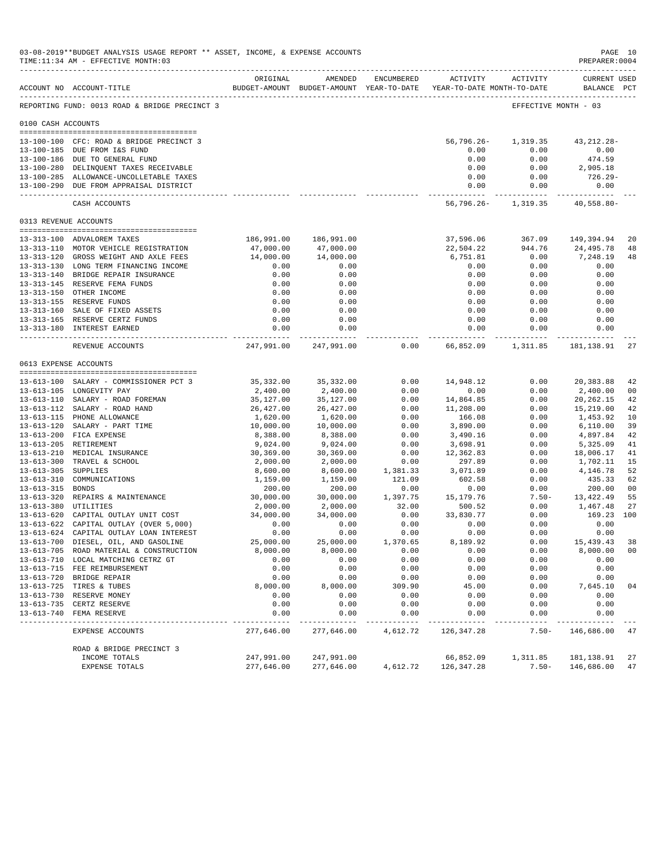|                       | 03-08-2019**BUDGET ANALYSIS USAGE REPORT ** ASSET, INCOME, & EXPENSE ACCOUNTS<br>TIME:11:34 AM - EFFECTIVE MONTH:03 |                          |                        |                      |                                                                     |                          | PREPARER: 0004                     | PAGE 10        |
|-----------------------|---------------------------------------------------------------------------------------------------------------------|--------------------------|------------------------|----------------------|---------------------------------------------------------------------|--------------------------|------------------------------------|----------------|
|                       | ACCOUNT NO ACCOUNT-TITLE                                                                                            | ORIGINAL                 | AMENDED                | ENCUMBERED           | BUDGET-AMOUNT BUDGET-AMOUNT YEAR-TO-DATE YEAR-TO-DATE MONTH-TO-DATE | ACTIVITY ACTIVITY        | <b>CURRENT USED</b><br>BALANCE PCT |                |
|                       | REPORTING FUND: 0013 ROAD & BRIDGE PRECINCT 3                                                                       |                          |                        |                      |                                                                     | EFFECTIVE MONTH - 03     |                                    |                |
| 0100 CASH ACCOUNTS    |                                                                                                                     |                          |                        |                      |                                                                     |                          |                                    |                |
|                       | 13-100-100 CFC: ROAD & BRIDGE PRECINCT 3                                                                            |                          |                        |                      | $56,796.26 -$                                                       | 1,319.35                 | 43, 212. 28-                       |                |
|                       | 13-100-185 DUE FROM I&S FUND                                                                                        |                          |                        |                      | 0.00                                                                | 0.00                     | 0.00                               |                |
|                       | 13-100-186 DUE TO GENERAL FUND                                                                                      |                          |                        |                      | 0.00                                                                | 0.00                     | 474.59                             |                |
|                       | 13-100-280 DELINQUENT TAXES RECEIVABLE<br>13-100-285 ALLOWANCE-UNCOLLETABLE TAXES                                   |                          |                        |                      | 0.00<br>0.00                                                        | 0.00<br>0.00             | 2,905.18<br>726.29-                |                |
|                       | 13-100-290 DUE FROM APPRAISAL DISTRICT                                                                              |                          |                        |                      | 0.00                                                                | 0.00                     | 0.00                               |                |
|                       | CASH ACCOUNTS                                                                                                       |                          |                        |                      | ------------- -<br>56,796.26-                                       | ------------<br>1,319.35 | $40,558.80 -$                      |                |
| 0313 REVENUE ACCOUNTS |                                                                                                                     |                          |                        |                      |                                                                     |                          |                                    |                |
|                       |                                                                                                                     |                          |                        |                      |                                                                     |                          |                                    |                |
|                       | 13-313-100 ADVALOREM TAXES                                                                                          | 186,991.00               | 186,991.00             |                      | 37,596.06                                                           | 367.09                   | 149,394.94                         | 20             |
|                       | 13-313-110 MOTOR VEHICLE REGISTRATION<br>13-313-120 GROSS WEIGHT AND AXLE FEES                                      | 47,000.00<br>14,000.00   | 47,000.00<br>14,000.00 |                      | 22,504.22<br>6,751.81                                               | 944.76<br>0.00           | 24,495.78<br>7,248.19              | 48<br>48       |
|                       | 13-313-130 LONG TERM FINANCING INCOME                                                                               | 0.00                     | 0.00                   |                      | 0.00                                                                | 0.00                     | 0.00                               |                |
|                       | 13-313-140 BRIDGE REPAIR INSURANCE                                                                                  | 0.00                     | 0.00                   |                      | 0.00                                                                | 0.00                     | 0.00                               |                |
|                       | 13-313-145 RESERVE FEMA FUNDS                                                                                       | 0.00                     | 0.00                   |                      | 0.00                                                                | 0.00                     | 0.00                               |                |
|                       | 13-313-150 OTHER INCOME                                                                                             | 0.00                     | 0.00                   |                      | 0.00                                                                | 0.00                     | 0.00                               |                |
|                       | 13-313-155 RESERVE FUNDS                                                                                            | 0.00                     | 0.00                   |                      | 0.00                                                                | 0.00                     | 0.00                               |                |
|                       | 13-313-160 SALE OF FIXED ASSETS                                                                                     | 0.00                     | 0.00                   |                      | 0.00                                                                | 0.00                     | 0.00                               |                |
|                       | 13-313-165 RESERVE CERTZ FUNDS                                                                                      | 0.00                     | 0.00                   |                      | 0.00                                                                | 0.00                     | 0.00                               |                |
|                       | 13-313-180 INTEREST EARNED                                                                                          | 0.00                     | 0.00<br>______________ |                      | 0.00                                                                | 0.00                     | 0.00<br>-------------              |                |
|                       | REVENUE ACCOUNTS                                                                                                    | 247,991.00               | 247,991.00             | 0.00                 | 66,852.09                                                           | 1,311.85                 | 181,138.91                         | 27             |
| 0613 EXPENSE ACCOUNTS |                                                                                                                     |                          |                        |                      |                                                                     |                          |                                    |                |
|                       | -------------------------------------<br>13-613-100 SALARY - COMMISSIONER PCT 3                                     | 35,332.00                | 35, 332.00             | 0.00                 | 14,948.12                                                           | 0.00                     | 20,383.88                          | 42             |
|                       | 13-613-105 LONGEVITY PAY                                                                                            | 2,400.00                 | 2,400.00               | 0.00                 | 0.00                                                                | 0.00                     | 2,400.00                           | 0 <sub>0</sub> |
|                       | 13-613-110 SALARY - ROAD FOREMAN                                                                                    | 35,127.00                | 35,127.00              | 0.00                 | 14,864.85                                                           | 0.00                     | 20, 262.15                         | 42             |
|                       | 13-613-112 SALARY - ROAD HAND                                                                                       | 26,427.00                | 26,427.00              | 0.00                 | 11,208.00                                                           | 0.00                     | 15,219.00                          | 42             |
|                       | 13-613-115 PHONE ALLOWANCE                                                                                          | 1,620.00                 | 1,620.00               | 0.00                 | 166.08                                                              | 0.00                     | 1,453.92                           | 10             |
|                       | 13-613-120 SALARY - PART TIME                                                                                       | 10,000.00                | 10,000.00              | 0.00                 | 3,890.00                                                            | 0.00                     | 6,110.00                           | 39             |
|                       | 13-613-200 FICA EXPENSE                                                                                             | 8,388.00                 | 8,388.00               | 0.00                 | 3,490.16                                                            | 0.00                     | 4,897.84                           | 42             |
|                       | 13-613-205 RETIREMENT                                                                                               | 9,024.00                 | 9,024.00               | 0.00                 | 3,698.91                                                            | 0.00                     | 5,325.09                           | 41             |
|                       | 13-613-210 MEDICAL INSURANCE                                                                                        | 30,369.00                | 30,369.00              | 0.00                 | 12,362.83                                                           | 0.00                     | 18,006.17                          | 41             |
|                       | 13-613-300 TRAVEL & SCHOOL                                                                                          | 2,000.00                 | 2,000.00               | 0.00                 | 297.89                                                              | 0.00                     | 1,702.11                           | 15             |
| 13-613-305 SUPPLIES   | 13-613-310 COMMUNICATIONS                                                                                           | 8,600.00<br>1,159.00     | 8,600.00<br>1,159.00   | 1,381.33<br>121.09   | 3,071.89<br>602.58                                                  | 0.00<br>0.00             | 4,146.78<br>435.33                 | 52<br>62       |
| 13-613-315 BONDS      |                                                                                                                     | 200.00                   | 200.00                 | 0.00                 | 0.00                                                                | 0.00                     | 200.00                             | 0 <sub>0</sub> |
|                       | 13-613-320 REPAIRS & MAINTENANCE                                                                                    | 30,000.00                | 30,000.00              | 1,397.75             | 15,179.76                                                           | $7.50 -$                 | 13,422.49                          | 55             |
| 13-613-380 UTILITIES  |                                                                                                                     | 2,000.00                 | 2,000.00               | 32.00                | 500.52                                                              | 0.00                     | 1,467.48                           | 27             |
|                       | 13-613-620 CAPITAL OUTLAY UNIT COST                                                                                 | 34,000.00                | 34,000.00              | 0.00                 | 33,830.77                                                           | 0.00                     | 169.23 100                         |                |
|                       | 13-613-622 CAPITAL OUTLAY (OVER 5,000)                                                                              | 0.00                     | 0.00                   | 0.00                 | 0.00                                                                | 0.00                     | 0.00                               |                |
|                       | 13-613-624 CAPITAL OUTLAY LOAN INTEREST                                                                             | 0.00                     | 0.00                   | 0.00                 | 0.00                                                                | 0.00                     | 0.00                               |                |
|                       | 13-613-700 DIESEL, OIL, AND GASOLINE                                                                                | 25,000.00                | 25,000.00              | 1,370.65             | 8,189.92                                                            | 0.00                     | 15,439.43                          | 38             |
|                       | 13-613-705 ROAD MATERIAL & CONSTRUCTION                                                                             | 8,000.00                 | 8,000.00               | 0.00                 | 0.00                                                                | 0.00                     | 8,000.00                           | 0 <sub>0</sub> |
|                       | 13-613-710 LOCAL MATCHING CETRZ GT                                                                                  | 0.00                     | 0.00                   | 0.00                 | 0.00                                                                | 0.00                     | 0.00                               |                |
|                       | 13-613-715 FEE REIMBURSEMENT                                                                                        | 0.00                     | 0.00                   | 0.00                 | 0.00                                                                | 0.00                     | 0.00                               |                |
|                       | 13-613-720 BRIDGE REPAIR                                                                                            | 0.00                     | 0.00                   | 0.00                 | 0.00                                                                | 0.00                     | 0.00                               |                |
|                       | 13-613-725 TIRES & TUBES                                                                                            | 8,000.00                 | 8,000.00               | 309.90               | 45.00                                                               | 0.00                     | 7,645.10                           | 04             |
|                       | 13-613-730 RESERVE MONEY                                                                                            | 0.00                     | 0.00                   | 0.00                 | 0.00                                                                | 0.00                     | 0.00                               |                |
|                       | 13-613-735 CERTZ RESERVE<br>13-613-740 FEMA RESERVE                                                                 | 0.00<br>0.00             | 0.00<br>0.00           | 0.00<br>0.00         | 0.00<br>0.00                                                        | 0.00<br>0.00             | 0.00<br>0.00                       |                |
|                       | EXPENSE ACCOUNTS                                                                                                    | ----------<br>277,646.00 | -----<br>277,646.00    | --------<br>4,612.72 | 126,347.28                                                          | $7.50 -$                 | 146,686.00                         | 47             |
|                       | ROAD & BRIDGE PRECINCT 3                                                                                            |                          |                        |                      |                                                                     |                          |                                    |                |
|                       | INCOME TOTALS                                                                                                       | 247,991.00               | 247,991.00             |                      | 66,852.09                                                           | 1,311.85                 | 181,138.91                         | 27             |
|                       | EXPENSE TOTALS                                                                                                      | 277,646.00               | 277,646.00             | 4,612.72             | 126, 347.28                                                         | $7.50 -$                 | 146,686.00                         | 47             |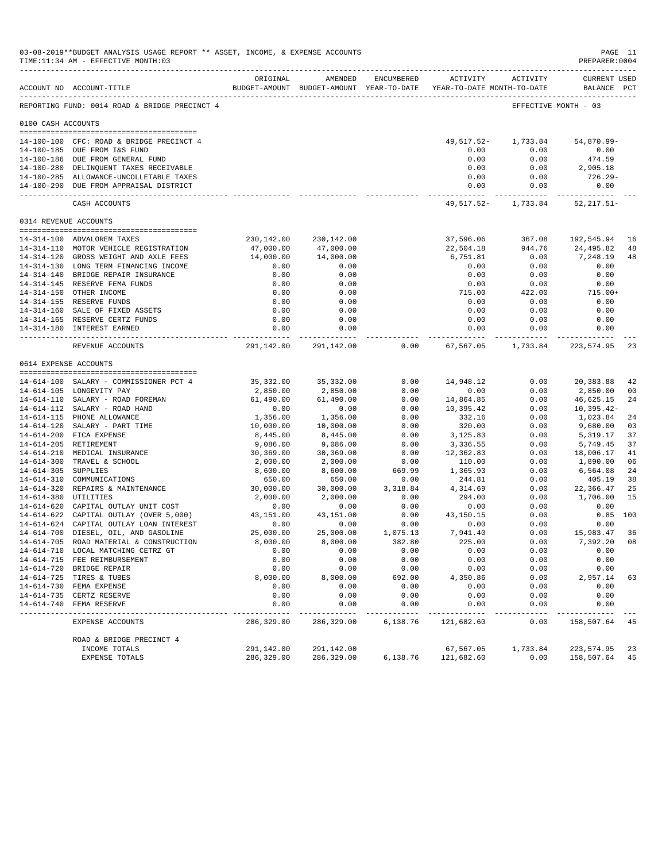|                     | 03-08-2019**BUDGET ANALYSIS USAGE REPORT ** ASSET, INCOME, & EXPENSE ACCOUNTS<br>TIME: 11:34 AM - EFFECTIVE MONTH: 03 |                              |                                                                                |                  |                                                         |                          | PREPARER: 0004                             | PAGE 11 |
|---------------------|-----------------------------------------------------------------------------------------------------------------------|------------------------------|--------------------------------------------------------------------------------|------------------|---------------------------------------------------------|--------------------------|--------------------------------------------|---------|
|                     | ACCOUNT NO ACCOUNT-TITLE                                                                                              | ORIGINAL                     | AMENDED<br>BUDGET-AMOUNT BUDGET-AMOUNT YEAR-TO-DATE YEAR-TO-DATE MONTH-TO-DATE | ENCUMBERED       | ----------------------------------<br>ACTIVITY ACTIVITY |                          | <b>CURRENT USED</b><br>BALANCE PCT         |         |
|                     | REPORTING FUND: 0014 ROAD & BRIDGE PRECINCT 4                                                                         |                              |                                                                                |                  |                                                         | EFFECTIVE MONTH - 03     |                                            |         |
| 0100 CASH ACCOUNTS  |                                                                                                                       |                              |                                                                                |                  |                                                         |                          |                                            |         |
|                     |                                                                                                                       |                              |                                                                                |                  |                                                         |                          |                                            |         |
|                     | 14-100-100 CFC: ROAD & BRIDGE PRECINCT 4                                                                              |                              |                                                                                |                  | 49,517.52-                                              | 1,733.84                 | 54,870.99-                                 |         |
|                     | 14-100-185 DUE FROM I&S FUND                                                                                          |                              |                                                                                |                  | 0.00                                                    | 0.00                     | 0.00                                       |         |
|                     | 14-100-186 DUE FROM GENERAL FUND                                                                                      |                              |                                                                                |                  | 0.00                                                    | 0.00                     | 474.59                                     |         |
|                     | 14-100-280 DELINQUENT TAXES RECEIVABLE<br>14-100-285 ALLOWANCE-UNCOLLETABLE TAXES                                     |                              |                                                                                |                  | 0.00<br>0.00                                            | 0.00<br>0.00             | 2,905.18<br>726.29-                        |         |
|                     | 14-100-290 DUE FROM APPRAISAL DISTRICT                                                                                |                              |                                                                                |                  | 0.00                                                    | 0.00                     | 0.00                                       |         |
|                     | CASH ACCOUNTS                                                                                                         |                              |                                                                                |                  | ________________<br>49,517.52-                          | 1,733.84                 | $52, 217.51 -$                             |         |
|                     | 0314 REVENUE ACCOUNTS                                                                                                 |                              |                                                                                |                  |                                                         |                          |                                            |         |
|                     |                                                                                                                       |                              |                                                                                |                  |                                                         |                          |                                            |         |
|                     | 14-314-100 ADVALOREM TAXES                                                                                            | 230,142.00                   | 230,142.00                                                                     |                  | 37,596.06                                               | 367.08                   | 192,545.94                                 | 16      |
|                     | 14-314-110 MOTOR VEHICLE REGISTRATION                                                                                 | 47,000.00                    | 47,000.00                                                                      |                  | 22,504.18                                               | 944.76                   | 24,495.82                                  | 48      |
|                     | 14-314-120 GROSS WEIGHT AND AXLE FEES                                                                                 | 14,000.00                    | 14,000.00                                                                      |                  | 6,751.81                                                | 0.00                     | 7,248.19                                   | 48      |
|                     | 14-314-130 LONG TERM FINANCING INCOME                                                                                 | 0.00                         | 0.00                                                                           |                  | 0.00                                                    | 0.00                     | 0.00                                       |         |
|                     | 14-314-140 BRIDGE REPAIR INSURANCE                                                                                    | 0.00                         | 0.00                                                                           |                  | 0.00                                                    | 0.00                     | 0.00                                       |         |
|                     | 14-314-145 RESERVE FEMA FUNDS<br>14-314-150 OTHER INCOME                                                              | 0.00                         | 0.00                                                                           |                  | 0.00                                                    | 0.00                     | 0.00<br>$715.00+$                          |         |
|                     | 14-314-155 RESERVE FUNDS                                                                                              | 0.00<br>0.00                 | 0.00<br>0.00                                                                   |                  | 715.00<br>0.00                                          | 422.00<br>0.00           | 0.00                                       |         |
|                     | 14-314-160 SALE OF FIXED ASSETS                                                                                       | 0.00                         | 0.00                                                                           |                  | 0.00                                                    | 0.00                     | 0.00                                       |         |
|                     | 14-314-165 RESERVE CERTZ FUNDS                                                                                        | 0.00                         | 0.00                                                                           |                  | 0.00                                                    | 0.00                     | 0.00                                       |         |
|                     | 14-314-180 INTEREST EARNED                                                                                            | 0.00                         | 0.00                                                                           |                  | 0.00                                                    | 0.00                     | 0.00                                       |         |
|                     | REVENUE ACCOUNTS                                                                                                      | ------------ -<br>291,142.00 | -------------<br>291,142.00                                                    | 0.00             | .<br>67,567.05                                          | ------------<br>1,733.84 | . _ _ _ _ _ _ _ _ _ _ _ _ _<br>223, 574.95 | 23      |
|                     | 0614 EXPENSE ACCOUNTS                                                                                                 |                              |                                                                                |                  |                                                         |                          |                                            |         |
|                     |                                                                                                                       |                              |                                                                                |                  |                                                         |                          |                                            |         |
|                     | 14-614-100 SALARY - COMMISSIONER PCT 4                                                                                | 35,332.00                    | 35,332.00                                                                      | 0.00             | 14,948.12                                               | 0.00                     | 20,383.88                                  | 42      |
|                     | 14-614-105 LONGEVITY PAY                                                                                              | 2,850.00                     | 2,850.00                                                                       | 0.00             | 0.00                                                    | 0.00                     | 2,850.00                                   | 00      |
|                     | 14-614-110 SALARY - ROAD FOREMAN<br>14-614-112 SALARY - ROAD HAND                                                     | 61,490.00<br>0.00            | 61,490.00<br>0.00                                                              | 0.00<br>0.00     | 14,864.85<br>10,395.42                                  | 0.00<br>0.00             | 46,625.15<br>$10,395.42-$                  | 24      |
|                     | 14-614-115 PHONE ALLOWANCE                                                                                            | 1,356.00                     | 1,356.00                                                                       | 0.00             | 332.16                                                  | 0.00                     | 1,023.84                                   | 24      |
|                     | 14-614-120 SALARY - PART TIME                                                                                         | 10,000.00                    | 10,000.00                                                                      | 0.00             | 320.00                                                  | 0.00                     | 9,680.00                                   | 03      |
|                     | 14-614-200 FICA EXPENSE                                                                                               | 8,445.00                     | 8,445.00                                                                       | 0.00             | 3,125.83                                                | 0.00                     | 5,319.17                                   | 37      |
|                     | 14-614-205 RETIREMENT                                                                                                 | 9,086.00                     | 9,086.00                                                                       | 0.00             | 3,336.55                                                | 0.00                     | 5,749.45                                   | 37      |
|                     | 14-614-210 MEDICAL INSURANCE                                                                                          | 30,369.00                    | 30,369.00                                                                      | 0.00             | 12,362.83                                               | 0.00                     | 18,006.17                                  | 41      |
|                     | 14-614-300 TRAVEL & SCHOOL                                                                                            | 2,000.00                     | 2,000.00                                                                       | 0.00             | 110.00                                                  | 0.00                     | 1,890.00                                   | 06      |
| 14-614-305 SUPPLIES |                                                                                                                       | 8,600.00                     | 8,600.00                                                                       | 669.99           | 1,365.93                                                | 0.00                     | 6,564.08                                   | 24      |
|                     | 14-614-310 COMMUNICATIONS                                                                                             | 650.00                       | 650.00                                                                         | 0.00             | 244.81                                                  | 0.00                     | 405.19                                     | 38      |
|                     | 14-614-320 REPAIRS & MAINTENANCE                                                                                      | 30,000.00                    | 30,000.00                                                                      | 3,318.84         | 4,314.69                                                | 0.00                     | 22,366.47                                  | 25      |
|                     | 14-614-380 UTILITIES                                                                                                  | 2,000.00                     | 2,000.00                                                                       | 0.00             | 294.00                                                  | 0.00                     | 1,706.00                                   | 15      |
|                     | 14-614-620 CAPITAL OUTLAY UNIT COST                                                                                   | 0.00                         | 0.00                                                                           | 0.00             | 0.00                                                    | 0.00                     | 0.00                                       |         |
|                     | 14-614-622 CAPITAL OUTLAY (OVER 5,000)                                                                                | 43,151.00                    | 43, 151.00                                                                     | 0.00             | 43, 150. 15                                             | 0.00                     | $0.85$ 100                                 |         |
|                     | 14-614-624 CAPITAL OUTLAY LOAN INTEREST<br>14-614-700 DIESEL, OIL, AND GASOLINE                                       | 0.00<br>25,000.00            | 0.00<br>25,000.00                                                              | 0.00<br>1,075.13 | 0.00<br>7,941.40                                        | 0.00<br>0.00             | 0.00<br>15,983.47                          | 36      |
|                     | 14-614-705 ROAD MATERIAL & CONSTRUCTION                                                                               | 8,000.00                     | 8,000.00                                                                       | 382.80           | 225.00                                                  | 0.00                     | 7,392.20                                   | 08      |
|                     | 14-614-710 LOCAL MATCHING CETRZ GT                                                                                    | 0.00                         | 0.00                                                                           | 0.00             | 0.00                                                    | 0.00                     | 0.00                                       |         |
|                     | 14-614-715 FEE REIMBURSEMENT                                                                                          | 0.00                         | 0.00                                                                           | 0.00             | 0.00                                                    | 0.00                     | 0.00                                       |         |
|                     | 14-614-720 BRIDGE REPAIR                                                                                              | 0.00                         | 0.00                                                                           | 0.00             | 0.00                                                    | 0.00                     | 0.00                                       |         |
|                     | 14-614-725 TIRES & TUBES                                                                                              | 8,000.00                     | 8,000.00                                                                       | 692.00           | 4,350.86                                                | 0.00                     | 2,957.14                                   | 63      |
|                     | 14-614-730 FEMA EXPENSE                                                                                               | 0.00                         | 0.00                                                                           | 0.00             | 0.00                                                    | 0.00                     | 0.00                                       |         |
|                     | 14-614-735 CERTZ RESERVE                                                                                              | 0.00                         | 0.00                                                                           | 0.00             | 0.00                                                    | 0.00                     | 0.00                                       |         |
| $14 - 614 - 740$    | FEMA RESERVE                                                                                                          | 0.00                         | 0.00                                                                           | 0.00             | 0.00                                                    | 0.00                     | 0.00                                       |         |
|                     | EXPENSE ACCOUNTS                                                                                                      | 286,329.00                   | 286,329.00                                                                     | 6,138.76         | 121,682.60                                              | 0.00                     | 158,507.64                                 | 45      |
|                     | ROAD & BRIDGE PRECINCT 4                                                                                              |                              |                                                                                |                  |                                                         |                          |                                            |         |
|                     | INCOME TOTALS                                                                                                         | 291,142.00                   | 291,142.00                                                                     |                  | 67,567.05                                               | 1,733.84                 | 223, 574.95                                | 23      |
|                     | <b>EXPENSE TOTALS</b>                                                                                                 | 286,329.00                   | 286,329.00                                                                     | 6,138.76         | 121,682.60                                              | 0.00                     | 158,507.64                                 | 45      |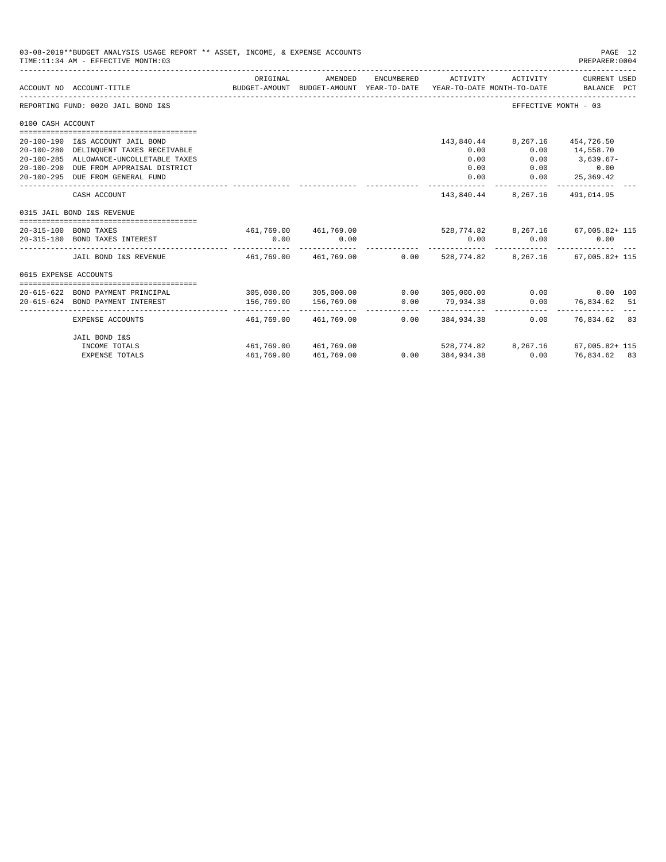| 03-08-2019**BUDGET ANALYSIS USAGE REPORT ** ASSET, INCOME, & EXPENSE ACCOUNTS<br>PAGE 12<br>TIME: 11:34 AM - EFFECTIVE MONTH: 03<br>PREPARER:0004 |                                         |            |                                      |            |                                                                                 |                      |                                                                    |  |
|---------------------------------------------------------------------------------------------------------------------------------------------------|-----------------------------------------|------------|--------------------------------------|------------|---------------------------------------------------------------------------------|----------------------|--------------------------------------------------------------------|--|
|                                                                                                                                                   | ACCOUNT NO ACCOUNT-TITLE                | ORIGINAL   | AMENDED                              | ENCUMBERED | ACTIVITY<br>BUDGET-AMOUNT BUDGET-AMOUNT YEAR-TO-DATE YEAR-TO-DATE MONTH-TO-DATE | ACTIVITY             | CURRENT USED<br>BALANCE PCT                                        |  |
|                                                                                                                                                   | REPORTING FUND: 0020 JAIL BOND I&S      |            |                                      |            |                                                                                 | EFFECTIVE MONTH - 03 |                                                                    |  |
| 0100 CASH ACCOUNT                                                                                                                                 |                                         |            |                                      |            |                                                                                 |                      |                                                                    |  |
|                                                                                                                                                   |                                         |            |                                      |            |                                                                                 |                      |                                                                    |  |
|                                                                                                                                                   | 20-100-190 I&S ACCOUNT JAIL BOND        |            |                                      |            | 143,840.44                                                                      | 8,267.16             | 454,726.50                                                         |  |
|                                                                                                                                                   | 20-100-280 DELINQUENT TAXES RECEIVABLE  |            |                                      |            | 0.00                                                                            | 0.00                 | 14,558.70                                                          |  |
|                                                                                                                                                   | 20-100-285 ALLOWANCE-UNCOLLETABLE TAXES |            |                                      |            | 0.00                                                                            | 0.00                 | $3,639.67-$                                                        |  |
|                                                                                                                                                   | 20-100-290 DUE FROM APPRAISAL DISTRICT  |            |                                      |            | 0.00                                                                            | 0.00                 | 0.00                                                               |  |
|                                                                                                                                                   | 20-100-295 DUE FROM GENERAL FUND        |            |                                      |            | 0.00<br>-----------                                                             | 0.00                 | 25,369.42<br>-------------                                         |  |
|                                                                                                                                                   | CASH ACCOUNT                            |            |                                      |            | 143,840.44                                                                      |                      | 8, 267.16 491, 014.95                                              |  |
|                                                                                                                                                   | 0315 JAIL BOND I&S REVENUE              |            |                                      |            |                                                                                 |                      |                                                                    |  |
|                                                                                                                                                   | 20-315-100 BOND TAXES                   |            |                                      |            |                                                                                 |                      | 461,769.00 461,769.00 528,774.82 8,267.16 67,005.82+115            |  |
|                                                                                                                                                   | 20-315-180 BOND TAXES INTEREST          | 0.00       | 0.00                                 |            | 0.00                                                                            | 0.00                 | 0.00                                                               |  |
|                                                                                                                                                   | JAIL BOND I&S REVENUE                   |            |                                      |            |                                                                                 |                      | 461.769.00  461.769.00  0.00  528.774.82  8.267.16  67.005.82+ 115 |  |
| 0615 EXPENSE ACCOUNTS                                                                                                                             |                                         |            |                                      |            |                                                                                 |                      |                                                                    |  |
|                                                                                                                                                   | 20-615-622 BOND PAYMENT PRINCIPAL       |            | 305,000.00 305,000.00                |            | 0.0000305,000.00                                                                | 0.00                 | 0.00 100                                                           |  |
|                                                                                                                                                   | 20-615-624 BOND PAYMENT INTEREST        | 156,769.00 | 156,769.00                           | 0.00       | 79,934.38                                                                       | 0.00                 | 76,834.62 51                                                       |  |
|                                                                                                                                                   | EXPENSE ACCOUNTS                        | .          | -----------<br>461,769.00 461,769.00 | 0.00       | ---------------<br>384,934,38                                                   | 0.00                 | 76,834.62 83                                                       |  |
|                                                                                                                                                   | JAIL BOND I&S                           |            |                                      |            |                                                                                 |                      |                                                                    |  |
|                                                                                                                                                   | INCOME TOTALS                           |            | 461,769.00 461,769.00                |            |                                                                                 |                      | 528,774.82 8,267.16 67,005.82+ 115                                 |  |
|                                                                                                                                                   | <b>EXPENSE TOTALS</b>                   | 461,769.00 | 461,769.00                           | 0.00       | 384,934.38                                                                      | 0.00                 | 76,834.62 83                                                       |  |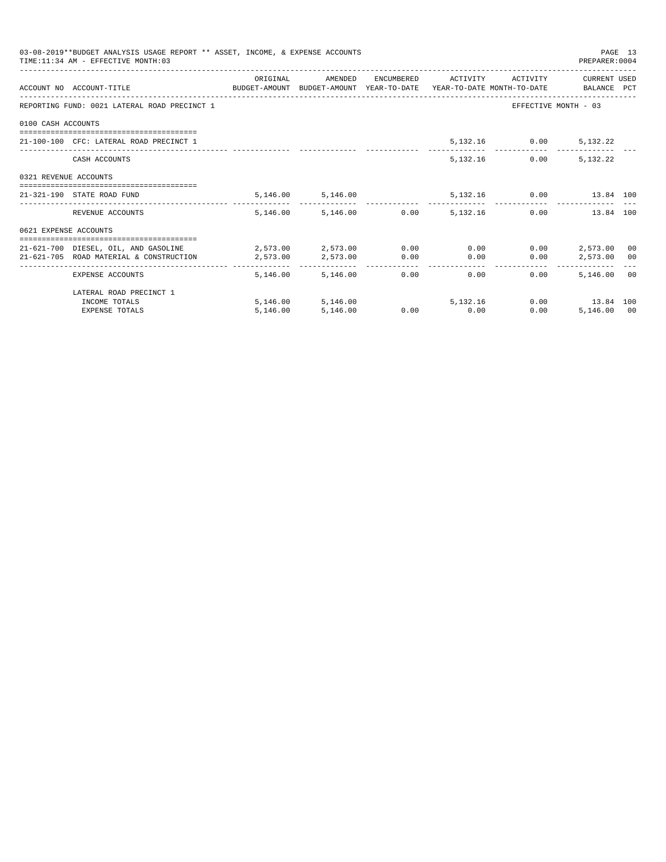|                       | 03-08-2019**BUDGET ANALYSIS USAGE REPORT ** ASSET, INCOME, & EXPENSE ACCOUNTS<br>TIME: 11:34 AM - EFFECTIVE MONTH: 03 |          |                                           |             |                   |                                           | PREPARER: 0004       | PAGE 13 |
|-----------------------|-----------------------------------------------------------------------------------------------------------------------|----------|-------------------------------------------|-------------|-------------------|-------------------------------------------|----------------------|---------|
|                       | ACCOUNT NO ACCOUNT-TITLE COMPUTE BUDGET-AMOUNT BUDGET-AMOUNT YEAR-TO-DATE YEAR-TO-DATE MONTH-TO-DATE BALANCE PCT      | ORIGINAL | AMENDED                                   |             |                   | ENCUMBERED ACTIVITY ACTIVITY CURRENT USED |                      |         |
|                       | REPORTING FUND: 0021 LATERAL ROAD PRECINCT 1                                                                          |          |                                           |             |                   |                                           | EFFECTIVE MONTH - 03 |         |
| 0100 CASH ACCOUNTS    |                                                                                                                       |          |                                           |             |                   |                                           |                      |         |
|                       | 21-100-100 CFC: LATERAL ROAD PRECINCT 1                                                                               |          |                                           |             |                   | 5,132.16 0.00                             | 5,132.22             |         |
|                       | CASH ACCOUNTS                                                                                                         |          |                                           |             |                   | 5, 132. 16<br>0.00                        | 5,132.22             |         |
| 0321 REVENUE ACCOUNTS |                                                                                                                       |          |                                           |             |                   |                                           |                      |         |
|                       | 21-321-190 STATE ROAD FUND                                                                                            |          | 5,146.00 5,146.00 5,132.16 0.00 13.84 100 |             |                   |                                           |                      |         |
|                       | REVENUE ACCOUNTS                                                                                                      |          | 5,146.00 5,146.00 0.00 5,132.16           |             |                   |                                           | 0.00 13.84 100       |         |
| 0621 EXPENSE ACCOUNTS |                                                                                                                       |          |                                           |             |                   |                                           |                      |         |
|                       | 21-621-700 DIESEL, OIL, AND GASOLINE $2,573.00$ $2,573.00$ $0.00$ $0.00$ $0.00$                                       |          |                                           |             |                   | 0.00                                      | 2,573.00             | 00      |
|                       | 21-621-705 ROAD MATERIAL & CONSTRUCTION                                                                               | 2,573.00 | 2,573.00                                  | 0.00        | 0.00              | 0.00                                      | 2,573.00 00          |         |
|                       | EXPENSE ACCOUNTS                                                                                                      | 5,146,00 | 5,146.00                                  |             | $0.00$ and $0.00$ | 0.00<br>0.00                              | 5,146,00 00          |         |
|                       | LATERAL ROAD PRECINCT 1                                                                                               |          |                                           |             |                   |                                           |                      |         |
|                       | INCOME TOTALS                                                                                                         |          | 5,146.00 5,146.00 5,132.16                |             |                   |                                           | 0.00 13.84 100       |         |
|                       | <b>EXPENSE TOTALS</b>                                                                                                 | 5,146.00 | 5,146.00                                  | $0.00$ 0.00 |                   | 0.00                                      | 5,146.00 00          |         |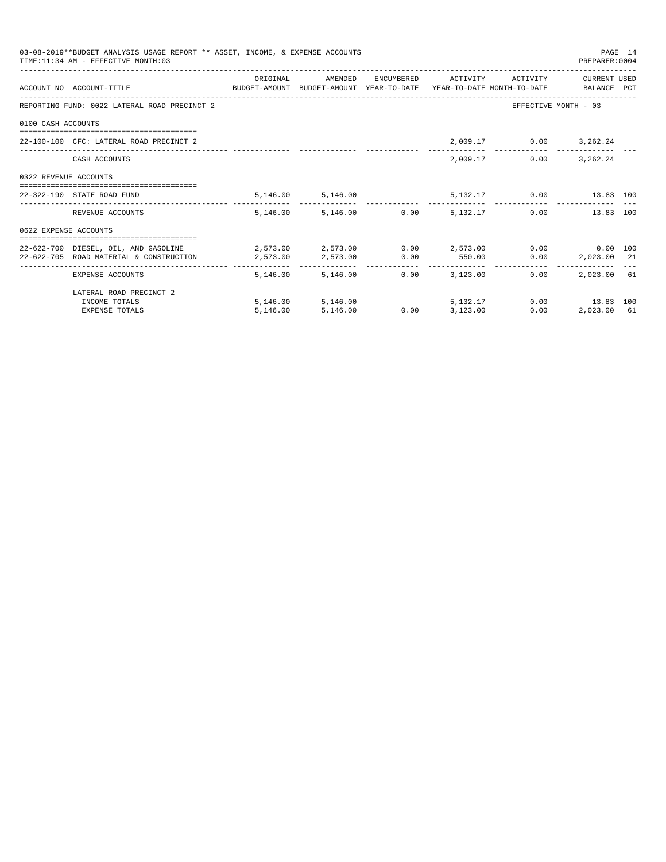|                       | 03-08-2019**BUDGET ANALYSIS USAGE REPORT ** ASSET, INCOME, & EXPENSE ACCOUNTS<br>TIME: 11:34 AM - EFFECTIVE MONTH: 03 |                                                                                                                                                                                                                             |                                 |                                    |                         | PREPARER: 0004                               | PAGE 14 |
|-----------------------|-----------------------------------------------------------------------------------------------------------------------|-----------------------------------------------------------------------------------------------------------------------------------------------------------------------------------------------------------------------------|---------------------------------|------------------------------------|-------------------------|----------------------------------------------|---------|
|                       |                                                                                                                       | ORIGINAL                                                                                                                                                                                                                    | AMENDED                         | ENCUMBERED ACTIVITY                | ACTIVITY                | CURRENT USED                                 |         |
|                       | ACCOUNT NO ACCOUNT-TITLE COMPUTE BUDGET-AMOUNT BUDGET-AMOUNT YEAR-TO-DATE YEAR-TO-DATE MONTH-TO-DATE BALANCE PCT      |                                                                                                                                                                                                                             |                                 |                                    |                         |                                              |         |
|                       | REPORTING FUND: 0022 LATERAL ROAD PRECINCT 2                                                                          |                                                                                                                                                                                                                             |                                 |                                    |                         | EFFECTIVE MONTH - 03                         |         |
| 0100 CASH ACCOUNTS    |                                                                                                                       |                                                                                                                                                                                                                             |                                 |                                    |                         |                                              |         |
|                       | $22-100-100$ CFC: LATERAL ROAD PRECINCT 2                                                                             |                                                                                                                                                                                                                             |                                 |                                    | 2,009.17 0.00 3,262.24  |                                              |         |
|                       | CASH ACCOUNTS                                                                                                         |                                                                                                                                                                                                                             |                                 | 2,009.17                           | 0.00                    | 3,262.24                                     |         |
| 0322 REVENUE ACCOUNTS |                                                                                                                       |                                                                                                                                                                                                                             |                                 |                                    |                         |                                              |         |
|                       | 22-322-190 STATE ROAD FUND                                                                                            |                                                                                                                                                                                                                             | 5, 146.00 5, 146.00             |                                    | 5,132.17 0.00 13.83 100 |                                              |         |
|                       | REVENUE ACCOUNTS                                                                                                      |                                                                                                                                                                                                                             | 5,146.00 5,146.00 0.00 5,132.17 |                                    |                         | 0.00<br>13.83 100                            |         |
| 0622 EXPENSE ACCOUNTS |                                                                                                                       |                                                                                                                                                                                                                             |                                 |                                    |                         |                                              |         |
|                       | 22-622-700 DIESEL, OIL, AND GASOLINE                                                                                  | $2.573.00$ $2.573.00$ $2.573.00$ $2.573.00$ $2.573.00$ $2.573.00$ $2.573.00$ $2.573.00$ $2.573.00$ $2.573.00$ $2.573.00$ $2.573.00$ $2.573.00$ $2.573.00$ $2.573.00$ $2.573.00$ $2.573.00$ $2.573.00$ $2.573.00$ $2.573.00$ |                                 |                                    |                         |                                              |         |
|                       | 22-622-705 ROAD MATERIAL & CONSTRUCTION 2,573.00                                                                      |                                                                                                                                                                                                                             | 2,573.00 0.00                   | 550.00                             |                         | $0.00$ 2,023.00 21                           |         |
|                       | EXPENSE ACCOUNTS                                                                                                      | 5,146.00                                                                                                                                                                                                                    | 5,146.00                        | -------------<br>$0.00$ $3.123.00$ | 0.00                    | -----------------------------<br>2,023.00 61 |         |
|                       | LATERAL ROAD PRECINCT 2                                                                                               |                                                                                                                                                                                                                             |                                 |                                    |                         |                                              |         |
|                       | INCOME TOTALS                                                                                                         |                                                                                                                                                                                                                             | 5,146.00 5,146.00 5,132.17      |                                    |                         | $0.00$ 13.83 100                             |         |
|                       | <b>EXPENSE TOTALS</b>                                                                                                 | 5,146.00                                                                                                                                                                                                                    | 5.146.00                        | $0.00$ $3,123.00$                  | 0.00                    | 2,023,00 61                                  |         |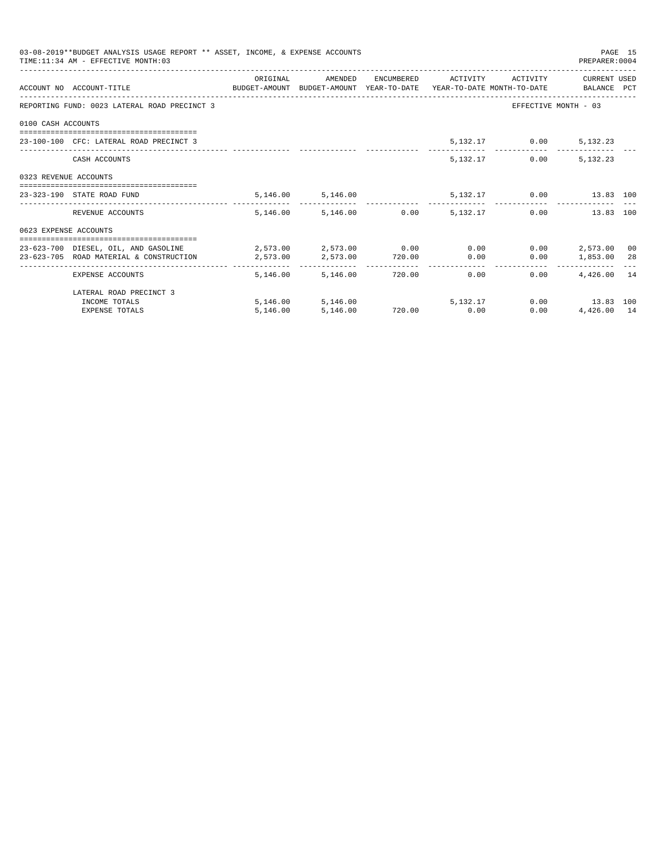|                       | 03-08-2019**BUDGET ANALYSIS USAGE REPORT ** ASSET, INCOME, & EXPENSE ACCOUNTS<br>TIME: 11:34 AM - EFFECTIVE MONTH: 03 |          |                                 |  |                                      | PREPARER: 0004                           | PAGE 15 |
|-----------------------|-----------------------------------------------------------------------------------------------------------------------|----------|---------------------------------|--|--------------------------------------|------------------------------------------|---------|
|                       | ACCOUNT NO ACCOUNT-TITLE COMPUTE SUDGET-AMOUNT BUDGET-AMOUNT YEAR-TO-DATE YEAR-TO-DATE MONTH-TO-DATE BALANCE PCT      | ORIGINAL |                                 |  | AMENDED ENCUMBERED ACTIVITY ACTIVITY | CURRENT USED                             |         |
|                       | REPORTING FUND: 0023 LATERAL ROAD PRECINCT 3                                                                          |          |                                 |  |                                      | EFFECTIVE MONTH - 03                     |         |
| 0100 CASH ACCOUNTS    |                                                                                                                       |          |                                 |  |                                      |                                          |         |
|                       | 23-100-100 CFC: LATERAL ROAD PRECINCT 3                                                                               |          |                                 |  | 5,132.17 0.00 5,132.23               |                                          |         |
|                       | CASH ACCOUNTS                                                                                                         |          |                                 |  | 5, 132. 17<br>0.00                   | 5,132.23                                 |         |
| 0323 REVENUE ACCOUNTS |                                                                                                                       |          |                                 |  |                                      |                                          |         |
|                       | 23-323-190 STATE ROAD FUND                                                                                            |          | 5, 146.00 5, 146.00             |  | 5,132.17 0.00 13.83 100              |                                          |         |
|                       | REVENUE ACCOUNTS                                                                                                      |          | 5,146.00 5,146.00 0.00 5,132.17 |  |                                      | 13.83 100<br>0.00                        |         |
| 0623 EXPENSE ACCOUNTS |                                                                                                                       |          |                                 |  |                                      |                                          |         |
|                       | 23-623-700 DIESEL, OIL, AND GASOLINE $2,573.00$ $2,573.00$ $0.00$ $0.00$<br>23-623-705 ROAD MATERIAL & CONSTRUCTION   | 2,573.00 | 2,573.00 720.00 0.00            |  |                                      | $0.00$ 2,573.00 00<br>$0.00$ 1,853.00 28 |         |
|                       | EXPENSE ACCOUNTS                                                                                                      |          | 5,146.00 5,146.00 720.00        |  | 0.00<br>0.00                         | 4,426.00 14                              |         |
|                       | LATERAL ROAD PRECINCT 3                                                                                               |          |                                 |  |                                      |                                          |         |
|                       | INCOME TOTALS                                                                                                         |          | 5,146.00 5,146.00 5,132.17      |  |                                      | $0.00$ 13.83 100                         |         |
|                       | <b>EXPENSE TOTALS</b>                                                                                                 | 5,146.00 | 5,146.00 720.00 0.00            |  | 0.00                                 | 4,426.00 14                              |         |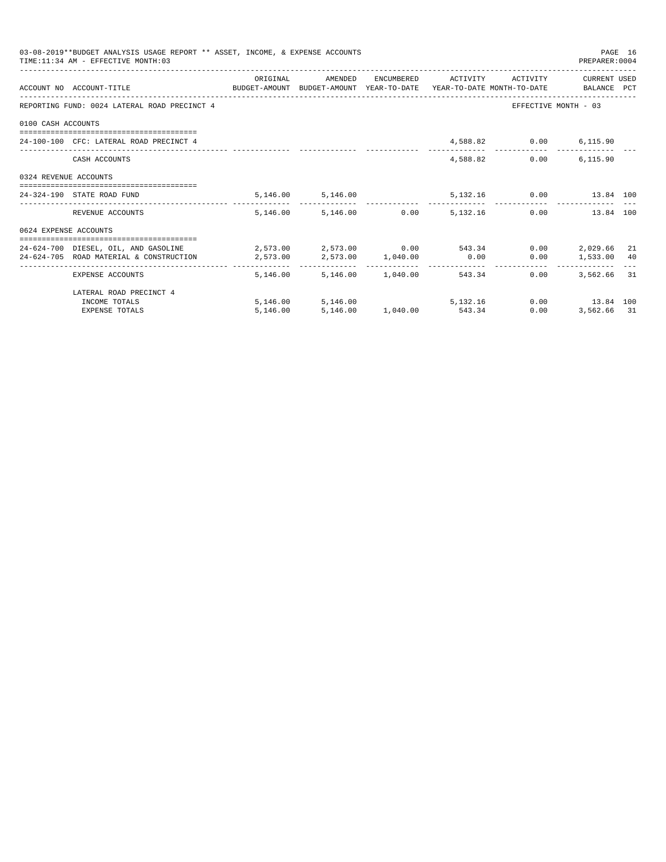|                       | 03-08-2019**BUDGET ANALYSIS USAGE REPORT ** ASSET, INCOME, & EXPENSE ACCOUNTS<br>TIME: 11:34 AM - EFFECTIVE MONTH: 03 |          |                                           |               |                              | PREPARER: 0004                | PAGE 16 |
|-----------------------|-----------------------------------------------------------------------------------------------------------------------|----------|-------------------------------------------|---------------|------------------------------|-------------------------------|---------|
|                       | ACCOUNT NO ACCOUNT-TITLE COMPUTE SUDGET-AMOUNT BUDGET-AMOUNT YEAR-TO-DATE YEAR-TO-DATE MONTH-TO-DATE BALANCE PCT      | ORIGINAL | AMENDED                                   |               | ENCUMBERED ACTIVITY ACTIVITY | CURRENT USED                  |         |
|                       | REPORTING FUND: 0024 LATERAL ROAD PRECINCT 4                                                                          |          |                                           |               |                              | EFFECTIVE MONTH - 03          |         |
| 0100 CASH ACCOUNTS    |                                                                                                                       |          |                                           |               |                              |                               |         |
|                       | 24-100-100 CFC: LATERAL ROAD PRECINCT 4                                                                               |          |                                           |               | 4,588.82 0.00 6,115.90       |                               |         |
|                       | CASH ACCOUNTS                                                                                                         |          |                                           |               | 4,588.82 0.00 6,115.90       |                               |         |
| 0324 REVENUE ACCOUNTS |                                                                                                                       |          |                                           |               |                              |                               |         |
|                       | 24-324-190 STATE ROAD FUND                                                                                            |          | 5,146.00 5,146.00                         |               |                              | 5,132.16   0.00   13.84   100 |         |
|                       | REVENUE ACCOUNTS                                                                                                      |          | 5,146.00 5,146.00 0.00 5,132.16           |               |                              | 0.00<br>13.84 100             |         |
| 0624 EXPENSE ACCOUNTS |                                                                                                                       |          |                                           |               |                              |                               |         |
|                       | 24-624-700 DIESEL, OIL, AND GASOLINE 2,573.00 2,573.00 0.00 543.34                                                    |          |                                           |               |                              | $0.00$ 2,029.66 21            |         |
|                       | 24-624-705 ROAD MATERIAL & CONSTRUCTION 2,573.00 2,573.00 1,040.00 0.00                                               |          |                                           |               |                              | $0.00$ 1,533.00 40            |         |
|                       | EXPENSE ACCOUNTS                                                                                                      |          | 5,146.00 5,146.00 1,040.00 543.34         | ------------- | $0.00 -$                     | 3,562.66 31                   |         |
|                       | LATERAL ROAD PRECINCT 4                                                                                               |          |                                           |               |                              |                               |         |
|                       | INCOME TOTALS                                                                                                         |          | 5,146.00 5,146.00 5,132.16 0.00 13.84 100 |               |                              |                               |         |
|                       | <b>EXPENSE TOTALS</b>                                                                                                 | 5.146.00 | 5, 146, 00 1, 040, 00 543, 34             |               | 0.00                         | 3,562.66 31                   |         |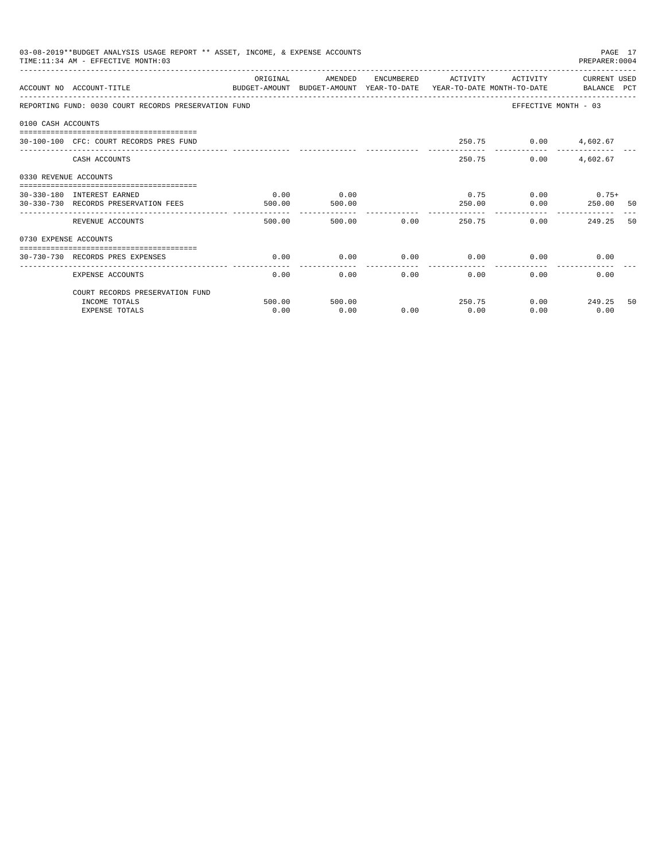|                                                                                                                                                                                                                                                                     | 03-08-2019**BUDGET ANALYSIS USAGE REPORT ** ASSET, INCOME, & EXPENSE ACCOUNTS<br>TIME: 11:34 AM - EFFECTIVE MONTH: 03 |           |         |                     |                       |                      | PAGE 17<br>PREPARER: 0004   |    |
|---------------------------------------------------------------------------------------------------------------------------------------------------------------------------------------------------------------------------------------------------------------------|-----------------------------------------------------------------------------------------------------------------------|-----------|---------|---------------------|-----------------------|----------------------|-----------------------------|----|
|                                                                                                                                                                                                                                                                     | ACCOUNT NO ACCOUNT-TITLE<br>BUDGET-AMOUNT BUDGET-AMOUNT YEAR-TO-DATE YEAR-TO-DATE MONTH-TO-DATE BALANCE PCT           | ORIGINAL  | AMENDED |                     | ENCUMBERED ACTIVITY   |                      | ACTIVITY CURRENT USED       |    |
|                                                                                                                                                                                                                                                                     |                                                                                                                       |           |         |                     |                       |                      |                             |    |
|                                                                                                                                                                                                                                                                     | REPORTING FUND: 0030 COURT RECORDS PRESERVATION FUND                                                                  |           |         |                     |                       |                      | EFFECTIVE MONTH - 03        |    |
|                                                                                                                                                                                                                                                                     |                                                                                                                       |           |         |                     |                       |                      |                             |    |
|                                                                                                                                                                                                                                                                     |                                                                                                                       |           |         |                     |                       | 250.75 0.00 4,602.67 |                             |    |
|                                                                                                                                                                                                                                                                     |                                                                                                                       |           |         |                     |                       |                      |                             |    |
|                                                                                                                                                                                                                                                                     | CASH ACCOUNTS                                                                                                         |           |         |                     |                       | 250.75<br>0.00       | 4,602.67                    |    |
|                                                                                                                                                                                                                                                                     |                                                                                                                       |           |         |                     |                       |                      |                             |    |
|                                                                                                                                                                                                                                                                     |                                                                                                                       | 0.00      | 0.00    |                     |                       | 0.75                 | $0.00$ 0.75+                |    |
| 0100 CASH ACCOUNTS<br>30-100-100 CFC: COURT RECORDS PRES FUND<br>0330 REVENUE ACCOUNTS<br>30-330-180 INTEREST EARNED<br>30-330-730 RECORDS PRESERVATION FEES<br>500.00<br>500.00<br>250.00<br>0.00<br>500.00<br>500.00<br>REVENUE ACCOUNTS<br>0730 EXPENSE ACCOUNTS | 0.00                                                                                                                  | 250.00 50 |         |                     |                       |                      |                             |    |
|                                                                                                                                                                                                                                                                     |                                                                                                                       |           |         |                     |                       | 250.75               | $0.00$ and $0.00$<br>249.25 | 50 |
|                                                                                                                                                                                                                                                                     |                                                                                                                       |           |         |                     |                       |                      |                             |    |
|                                                                                                                                                                                                                                                                     | ==============================                                                                                        |           |         |                     |                       |                      |                             |    |
|                                                                                                                                                                                                                                                                     | 30-730-730 RECORDS PRES EXPENSES                                                                                      | 0.00      | 0.00    | 0.00<br>----------- | 0.00<br>------------- |                      | 0.00<br>0.00                |    |
|                                                                                                                                                                                                                                                                     | EXPENSE ACCOUNTS                                                                                                      | 0.00      | 0.00    |                     | 0.00                  | 0.00<br>0.00         | 0.00                        |    |
|                                                                                                                                                                                                                                                                     | COURT RECORDS PRESERVATION FUND                                                                                       |           |         |                     |                       |                      |                             |    |
|                                                                                                                                                                                                                                                                     | INCOME TOTALS                                                                                                         | 500.00    | 500.00  |                     | 250.75                |                      | $0.00$ 249.25               | 50 |
|                                                                                                                                                                                                                                                                     | <b>EXPENSE TOTALS</b>                                                                                                 | 0.00      | 0.00    | 0.00                | 0.00                  | 0.00                 | 0.00                        |    |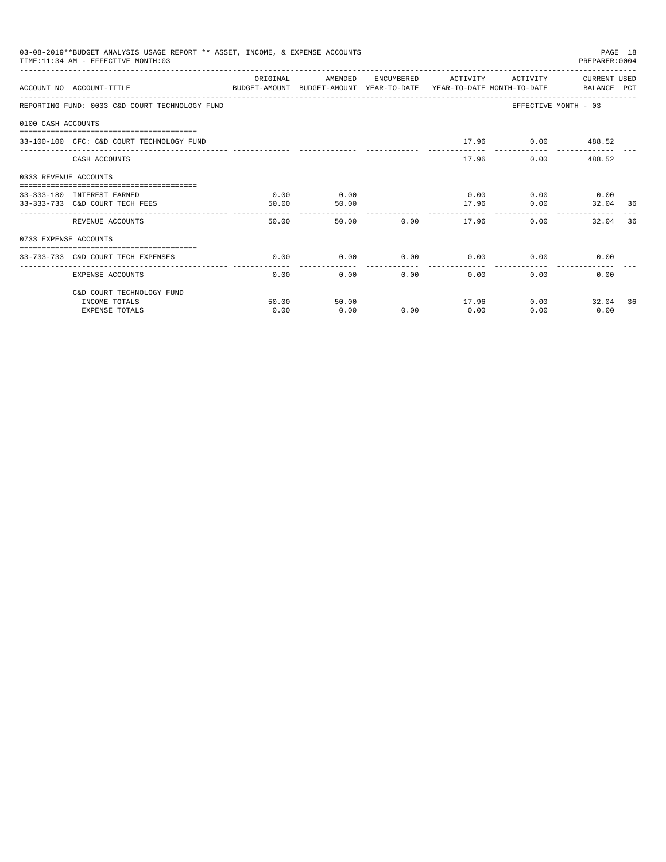| 03-08-2019**BUDGET ANALYSIS USAGE REPORT ** ASSET, INCOME, & EXPENSE ACCOUNTS<br>PAGE 18<br>TIME: 11:34 AM - EFFECTIVE MONTH: 03<br>PREPARER: 0004<br>AMENDED<br>CURRENT USED<br>OR TGTNAL<br>ENCUMBERED<br>ACTIVITY<br>ACTIVITY<br>ACCOUNT NO ACCOUNT-TITLE CONTROL SUDGET-AMOUNT BUDGET-AMOUNT YEAR-TO-DATE YEAR-TO-DATE MONTH-TO-DATE BALANCE PCT<br>EFFECTIVE MONTH - 03<br>REPORTING FUND: 0033 C&D COURT TECHNOLOGY FUND<br>0100 CASH ACCOUNTS<br>17.96 0.00 488.52<br>33-100-100 CFC: C&D COURT TECHNOLOGY FUND<br>17.96<br>0.00<br>488.52<br>CASH ACCOUNTS<br>0333 REVENUE ACCOUNTS<br>0.00<br>0.00<br>33-333-180 INTEREST EARNED<br>0.00<br>$0.00$ 0.00<br>33-333-733 C&D COURT TECH FEES<br>17.96<br>50.00<br>50.00<br>0.00<br>32.04 36<br>-------------<br>0.00<br>0.00<br>50.00<br>50.00<br>17.96<br>32.04<br>REVENUE ACCOUNTS<br>0733 EXPENSE ACCOUNTS<br>------------------------------------<br>0.00<br>0.00<br>0.00<br>0.00<br>0.00<br>0.00<br>33-733-733 C&D COURT TECH EXPENSES<br>.<br>--------------<br>-------------<br>0.00<br>0.00<br>0.00<br>EXPENSE ACCOUNTS<br>0.00<br>0.00<br>0.00<br>C&D COURT TECHNOLOGY FUND |                       |       |       |      |      |       |                  |    |
|--------------------------------------------------------------------------------------------------------------------------------------------------------------------------------------------------------------------------------------------------------------------------------------------------------------------------------------------------------------------------------------------------------------------------------------------------------------------------------------------------------------------------------------------------------------------------------------------------------------------------------------------------------------------------------------------------------------------------------------------------------------------------------------------------------------------------------------------------------------------------------------------------------------------------------------------------------------------------------------------------------------------------------------------------------------------------------------------------------------------------------------------|-----------------------|-------|-------|------|------|-------|------------------|----|
|                                                                                                                                                                                                                                                                                                                                                                                                                                                                                                                                                                                                                                                                                                                                                                                                                                                                                                                                                                                                                                                                                                                                            |                       |       |       |      |      |       |                  |    |
|                                                                                                                                                                                                                                                                                                                                                                                                                                                                                                                                                                                                                                                                                                                                                                                                                                                                                                                                                                                                                                                                                                                                            |                       |       |       |      |      |       |                  |    |
|                                                                                                                                                                                                                                                                                                                                                                                                                                                                                                                                                                                                                                                                                                                                                                                                                                                                                                                                                                                                                                                                                                                                            |                       |       |       |      |      |       |                  |    |
|                                                                                                                                                                                                                                                                                                                                                                                                                                                                                                                                                                                                                                                                                                                                                                                                                                                                                                                                                                                                                                                                                                                                            |                       |       |       |      |      |       |                  |    |
|                                                                                                                                                                                                                                                                                                                                                                                                                                                                                                                                                                                                                                                                                                                                                                                                                                                                                                                                                                                                                                                                                                                                            |                       |       |       |      |      |       |                  |    |
|                                                                                                                                                                                                                                                                                                                                                                                                                                                                                                                                                                                                                                                                                                                                                                                                                                                                                                                                                                                                                                                                                                                                            |                       |       |       |      |      |       |                  |    |
|                                                                                                                                                                                                                                                                                                                                                                                                                                                                                                                                                                                                                                                                                                                                                                                                                                                                                                                                                                                                                                                                                                                                            |                       |       |       |      |      |       |                  |    |
|                                                                                                                                                                                                                                                                                                                                                                                                                                                                                                                                                                                                                                                                                                                                                                                                                                                                                                                                                                                                                                                                                                                                            |                       |       |       |      |      |       |                  |    |
|                                                                                                                                                                                                                                                                                                                                                                                                                                                                                                                                                                                                                                                                                                                                                                                                                                                                                                                                                                                                                                                                                                                                            |                       |       |       |      |      |       |                  | 36 |
|                                                                                                                                                                                                                                                                                                                                                                                                                                                                                                                                                                                                                                                                                                                                                                                                                                                                                                                                                                                                                                                                                                                                            |                       |       |       |      |      |       |                  |    |
|                                                                                                                                                                                                                                                                                                                                                                                                                                                                                                                                                                                                                                                                                                                                                                                                                                                                                                                                                                                                                                                                                                                                            |                       |       |       |      |      |       |                  |    |
|                                                                                                                                                                                                                                                                                                                                                                                                                                                                                                                                                                                                                                                                                                                                                                                                                                                                                                                                                                                                                                                                                                                                            |                       |       |       |      |      |       |                  |    |
|                                                                                                                                                                                                                                                                                                                                                                                                                                                                                                                                                                                                                                                                                                                                                                                                                                                                                                                                                                                                                                                                                                                                            |                       |       |       |      |      |       |                  |    |
|                                                                                                                                                                                                                                                                                                                                                                                                                                                                                                                                                                                                                                                                                                                                                                                                                                                                                                                                                                                                                                                                                                                                            | INCOME TOTALS         | 50.00 | 50.00 |      |      | 17.96 | 0.00<br>32.04 36 |    |
|                                                                                                                                                                                                                                                                                                                                                                                                                                                                                                                                                                                                                                                                                                                                                                                                                                                                                                                                                                                                                                                                                                                                            | <b>EXPENSE TOTALS</b> | 0.00  | 0.00  | 0.00 | 0.00 | 0.00  | 0.00             |    |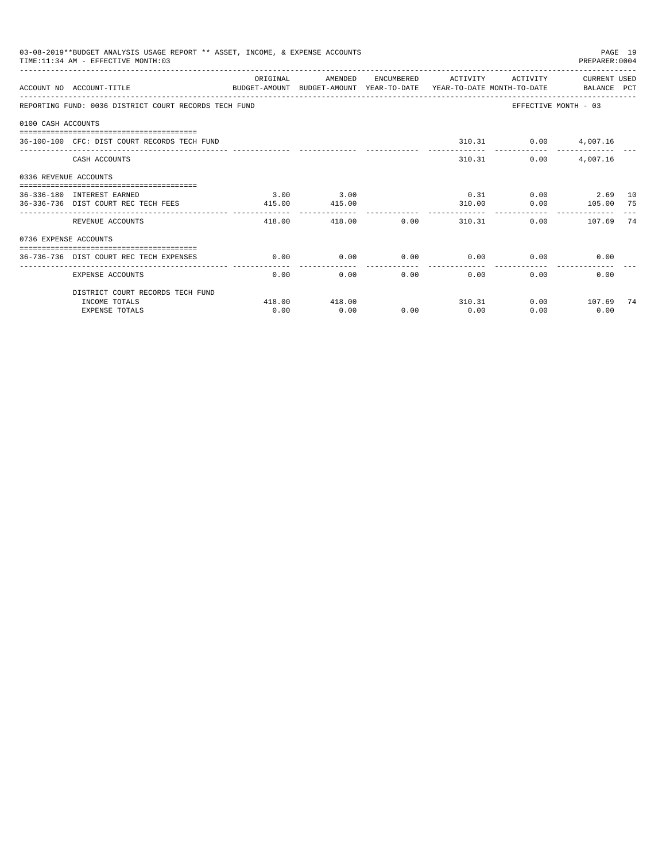| 03-08-2019**BUDGET ANALYSIS USAGE REPORT ** ASSET, INCOME, & EXPENSE ACCOUNTS<br>PAGE 19<br>TIME: 11:34 AM - EFFECTIVE MONTH: 03<br>PREPARER: 0004<br>ORIGINAL<br>AMENDED<br>ENCUMBERED ACTIVITY ACTIVITY CURRENT USED<br>ACCOUNT NO ACCOUNT-TITLE<br>BUDGET-AMOUNT BUDGET-AMOUNT YEAR-TO-DATE YEAR-TO-DATE MONTH-TO-DATE BALANCE PCT<br>REPORTING FUND: 0036 DISTRICT COURT RECORDS TECH FUND<br>EFFECTIVE MONTH - 03<br>0100 CASH ACCOUNTS<br>310.31 0.00 4.007.16<br>36-100-100 CFC: DIST COURT RECORDS TECH FUND<br>310.31<br>0.00<br>4,007.16<br>CASH ACCOUNTS<br>0336 REVENUE ACCOUNTS<br>3.00<br>3.00<br>$0.31$ $0.00$ $2.69$ 10<br>36-336-180 INTEREST EARNED<br>310.00   0.00   105.00   75<br>36-336-736 DIST COURT REC TECH FEES 415.00<br>415.00<br>--------------<br>$0.00$ 310.31<br>418.00<br>418.00<br>0.00 107.69 74<br>REVENUE ACCOUNTS<br>0736 EXPENSE ACCOUNTS<br>0.00<br>$0.00$ $0.00$ $0.00$ $0.00$ $0.00$<br>0.00<br>36-736-736 DIST COURT REC TECH EXPENSES<br>0.00<br>0.00<br>0.00<br>EXPENSE ACCOUNTS<br>0.00<br>0.00<br>0.00 |      |               |      |        |      |                  |  |
|---------------------------------------------------------------------------------------------------------------------------------------------------------------------------------------------------------------------------------------------------------------------------------------------------------------------------------------------------------------------------------------------------------------------------------------------------------------------------------------------------------------------------------------------------------------------------------------------------------------------------------------------------------------------------------------------------------------------------------------------------------------------------------------------------------------------------------------------------------------------------------------------------------------------------------------------------------------------------------------------------------------------------------------------------------|------|---------------|------|--------|------|------------------|--|
|                                                                                                                                                                                                                                                                                                                                                                                                                                                                                                                                                                                                                                                                                                                                                                                                                                                                                                                                                                                                                                                         |      |               |      |        |      |                  |  |
|                                                                                                                                                                                                                                                                                                                                                                                                                                                                                                                                                                                                                                                                                                                                                                                                                                                                                                                                                                                                                                                         |      |               |      |        |      |                  |  |
|                                                                                                                                                                                                                                                                                                                                                                                                                                                                                                                                                                                                                                                                                                                                                                                                                                                                                                                                                                                                                                                         |      |               |      |        |      |                  |  |
|                                                                                                                                                                                                                                                                                                                                                                                                                                                                                                                                                                                                                                                                                                                                                                                                                                                                                                                                                                                                                                                         |      |               |      |        |      |                  |  |
|                                                                                                                                                                                                                                                                                                                                                                                                                                                                                                                                                                                                                                                                                                                                                                                                                                                                                                                                                                                                                                                         |      |               |      |        |      |                  |  |
|                                                                                                                                                                                                                                                                                                                                                                                                                                                                                                                                                                                                                                                                                                                                                                                                                                                                                                                                                                                                                                                         |      |               |      |        |      |                  |  |
|                                                                                                                                                                                                                                                                                                                                                                                                                                                                                                                                                                                                                                                                                                                                                                                                                                                                                                                                                                                                                                                         |      |               |      |        |      |                  |  |
|                                                                                                                                                                                                                                                                                                                                                                                                                                                                                                                                                                                                                                                                                                                                                                                                                                                                                                                                                                                                                                                         |      |               |      |        |      |                  |  |
|                                                                                                                                                                                                                                                                                                                                                                                                                                                                                                                                                                                                                                                                                                                                                                                                                                                                                                                                                                                                                                                         |      |               |      |        |      |                  |  |
|                                                                                                                                                                                                                                                                                                                                                                                                                                                                                                                                                                                                                                                                                                                                                                                                                                                                                                                                                                                                                                                         |      |               |      |        |      |                  |  |
|                                                                                                                                                                                                                                                                                                                                                                                                                                                                                                                                                                                                                                                                                                                                                                                                                                                                                                                                                                                                                                                         |      |               |      |        |      |                  |  |
|                                                                                                                                                                                                                                                                                                                                                                                                                                                                                                                                                                                                                                                                                                                                                                                                                                                                                                                                                                                                                                                         |      |               |      |        |      |                  |  |
|                                                                                                                                                                                                                                                                                                                                                                                                                                                                                                                                                                                                                                                                                                                                                                                                                                                                                                                                                                                                                                                         |      |               |      |        |      |                  |  |
| DISTRICT COURT RECORDS TECH FUND                                                                                                                                                                                                                                                                                                                                                                                                                                                                                                                                                                                                                                                                                                                                                                                                                                                                                                                                                                                                                        |      |               |      |        |      |                  |  |
| INCOME TOTALS                                                                                                                                                                                                                                                                                                                                                                                                                                                                                                                                                                                                                                                                                                                                                                                                                                                                                                                                                                                                                                           |      | 418.00 418.00 |      | 310.31 |      | $0.00$ 107.69 74 |  |
| <b>EXPENSE TOTALS</b>                                                                                                                                                                                                                                                                                                                                                                                                                                                                                                                                                                                                                                                                                                                                                                                                                                                                                                                                                                                                                                   | 0.00 | 0.00          | 0.00 | 0.00   | 0.00 | 0.00             |  |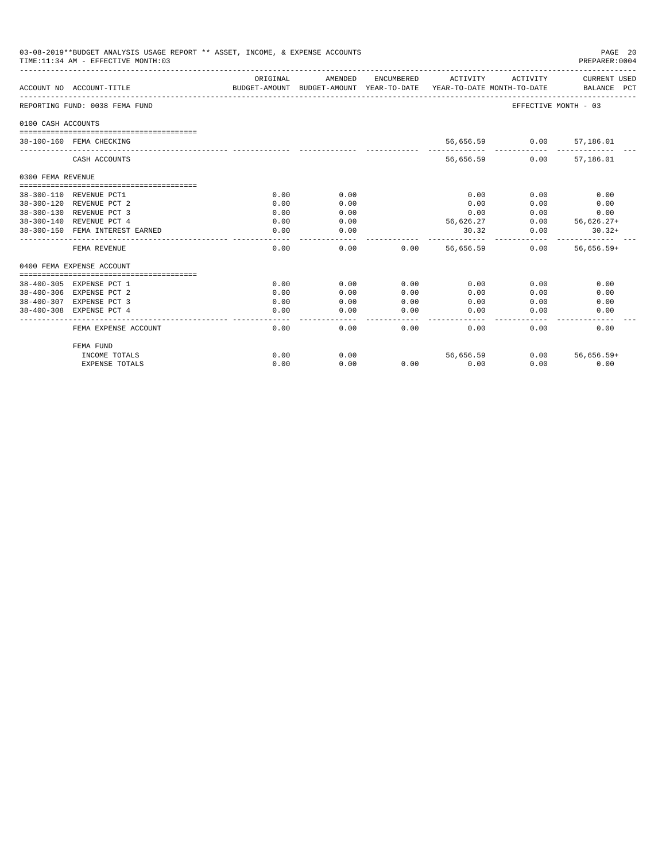|                    | 03-08-2019**BUDGET ANALYSIS USAGE REPORT ** ASSET, INCOME, & EXPENSE ACCOUNTS<br>TIME:11:34 AM - EFFECTIVE MONTH:03 |                                                                                             |                     |                 |                 |                          | PAGE 20<br>PREPARER: 0004                 |
|--------------------|---------------------------------------------------------------------------------------------------------------------|---------------------------------------------------------------------------------------------|---------------------|-----------------|-----------------|--------------------------|-------------------------------------------|
|                    | ACCOUNT NO ACCOUNT-TITLE                                                                                            | ORIGINAL<br>BUDGET-AMOUNT BUDGET-AMOUNT YEAR-TO-DATE YEAR-TO-DATE MONTH-TO-DATE BALANCE PCT | AMENDED             |                 |                 |                          | ENCUMBERED ACTIVITY ACTIVITY CURRENT USED |
|                    | REPORTING FUND: 0038 FEMA FUND                                                                                      |                                                                                             |                     |                 |                 | EFFECTIVE MONTH - 03     |                                           |
| 0100 CASH ACCOUNTS |                                                                                                                     |                                                                                             |                     |                 |                 |                          |                                           |
|                    | 38-100-160 FEMA CHECKING                                                                                            |                                                                                             |                     |                 |                 | 56,656.59 0.00 57,186.01 |                                           |
|                    | CASH ACCOUNTS                                                                                                       |                                                                                             |                     |                 | 56,656.59       |                          | $0.00$ 57,186.01                          |
| 0300 FEMA REVENUE  |                                                                                                                     |                                                                                             |                     |                 |                 |                          |                                           |
|                    | 38-300-110 REVENUE PCT1                                                                                             | 0.00                                                                                        | 0.00                |                 | 0.00            | 0.00                     | 0.00                                      |
|                    | 38-300-120 REVENUE PCT 2                                                                                            | 0.00                                                                                        | 0.00                |                 | 0.00            | 0.00                     | 0.00                                      |
|                    | 38-300-130 REVENUE PCT 3                                                                                            | 0.00                                                                                        | 0.00                |                 | 0.00            | 0.00                     | 0.00                                      |
|                    | 38-300-140 REVENUE PCT 4                                                                                            | 0.00                                                                                        | 0.00                |                 | 56,626.27       |                          | $0.00$ 56,626.27+                         |
|                    | 38-300-150 FEMA INTEREST EARNED                                                                                     | 0.00                                                                                        | 0.00<br>---------   |                 | 30.32           | 0.00                     | $30.32+$<br>--------------                |
|                    | FEMA REVENUE                                                                                                        | 0.00                                                                                        | 0.00                | 0.00            | 56,656.59       |                          | $0.00$ 56.656.59+                         |
|                    | 0400 FEMA EXPENSE ACCOUNT                                                                                           |                                                                                             |                     |                 |                 |                          |                                           |
|                    | 38-400-305 EXPENSE PCT 1                                                                                            | 0.00                                                                                        | 0.00                | 0.00            | 0.00            | 0.00                     | 0.00                                      |
|                    | 38-400-306 EXPENSE PCT 2                                                                                            | 0.00                                                                                        | 0.00                | 0.00            | 0.00            | 0.00                     | 0.00                                      |
|                    | 38-400-307 EXPENSE PCT 3                                                                                            | 0.00                                                                                        | 0.00                | 0.00            | 0.00            | 0.00                     | 0.00                                      |
|                    | 38-400-308 EXPENSE PCT 4                                                                                            | 0.00<br>.                                                                                   | 0.00<br>----------- | 0.00<br>------- | 0.00<br>------- | 0.00                     | 0.00                                      |
|                    | FEMA EXPENSE ACCOUNT                                                                                                | 0.00                                                                                        | 0.00                | 0.00            | 0.00            | 0.00                     | 0.00                                      |
|                    | FEMA FUND                                                                                                           |                                                                                             |                     |                 |                 |                          |                                           |
|                    | INCOME TOTALS                                                                                                       | 0.00                                                                                        | 0.00                |                 | 56,656.59       |                          | $0.00$ 56,656.59+                         |
|                    | <b>EXPENSE TOTALS</b>                                                                                               | 0.00                                                                                        | 0.00                | 0.00            | 0.00            | 0.00                     | 0.00                                      |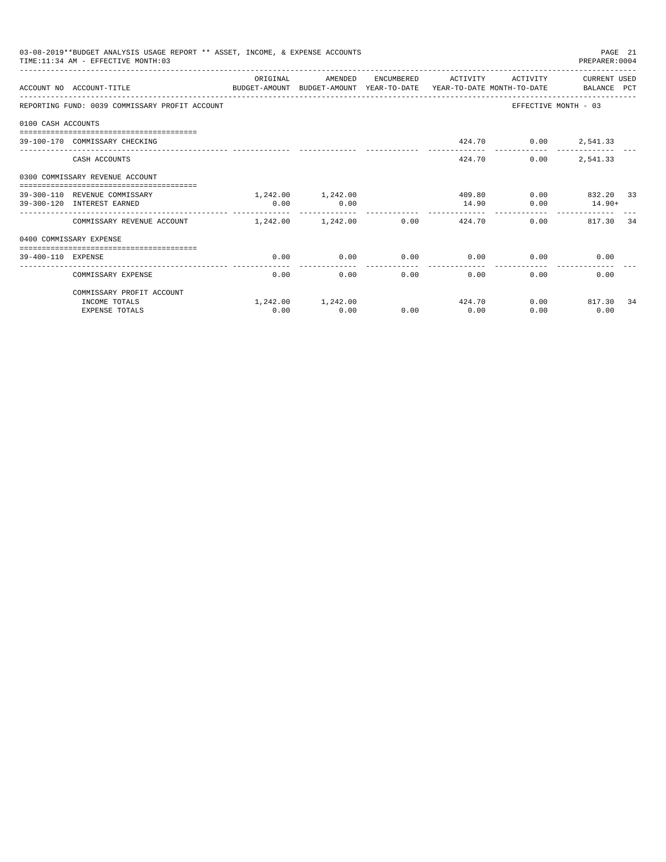| 03-08-2019**BUDGET ANALYSIS USAGE REPORT ** ASSET, INCOME, & EXPENSE ACCOUNTS<br>PAGE 21<br>TIME: 11:34 AM - EFFECTIVE MONTH: 03<br>PREPARER: 0004<br>ORIGINAL<br>AMENDED<br>ENCUMBERED ACTIVITY<br>ACTIVITY<br>CURRENT USED<br>ACCOUNT NO ACCOUNT-TITLE<br>BUDGET-AMOUNT BUDGET-AMOUNT YEAR-TO-DATE YEAR-TO-DATE MONTH-TO-DATE BALANCE PCT<br>EFFECTIVE MONTH - 03<br>REPORTING FUND: 0039 COMMISSARY PROFIT ACCOUNT<br>0100 CASH ACCOUNTS<br>424.70 0.00 2,541.33<br>39-100-170 COMMISSARY CHECKING<br>424.70<br>2,541.33<br>CASH ACCOUNTS<br>0.00<br>0300 COMMISSARY REVENUE ACCOUNT<br>1,242.00 1,242.00<br>409.80 0.00 832.20 33<br>39-300-110 REVENUE COMMISSARY<br>39-300-120 INTEREST EARNED<br>0.00<br>14.90<br>0.00<br>$0.00$ 14.90+<br>$1,242,00$ $1,242,00$ $0.00$<br>0.00<br>COMMISSARY REVENUE ACCOUNT<br>424.70<br>817.30 34<br>0400 COMMISSARY EXPENSE<br>--------------------------------------<br>0.00<br>$0.00$ $0.00$ $0.00$ $0.00$<br>0.00<br>0.00<br>39-400-110 EXPENSE<br>-------------<br>-------------<br>0.00<br>0.00<br>0.00<br>0.00<br>$0.00$ and $0.00$<br>0.00<br>COMMISSARY EXPENSE |      |                   |      |      |        |               |    |
|--------------------------------------------------------------------------------------------------------------------------------------------------------------------------------------------------------------------------------------------------------------------------------------------------------------------------------------------------------------------------------------------------------------------------------------------------------------------------------------------------------------------------------------------------------------------------------------------------------------------------------------------------------------------------------------------------------------------------------------------------------------------------------------------------------------------------------------------------------------------------------------------------------------------------------------------------------------------------------------------------------------------------------------------------------------------------------------------------------------------|------|-------------------|------|------|--------|---------------|----|
|                                                                                                                                                                                                                                                                                                                                                                                                                                                                                                                                                                                                                                                                                                                                                                                                                                                                                                                                                                                                                                                                                                                    |      |                   |      |      |        |               |    |
|                                                                                                                                                                                                                                                                                                                                                                                                                                                                                                                                                                                                                                                                                                                                                                                                                                                                                                                                                                                                                                                                                                                    |      |                   |      |      |        |               |    |
|                                                                                                                                                                                                                                                                                                                                                                                                                                                                                                                                                                                                                                                                                                                                                                                                                                                                                                                                                                                                                                                                                                                    |      |                   |      |      |        |               |    |
|                                                                                                                                                                                                                                                                                                                                                                                                                                                                                                                                                                                                                                                                                                                                                                                                                                                                                                                                                                                                                                                                                                                    |      |                   |      |      |        |               |    |
|                                                                                                                                                                                                                                                                                                                                                                                                                                                                                                                                                                                                                                                                                                                                                                                                                                                                                                                                                                                                                                                                                                                    |      |                   |      |      |        |               |    |
|                                                                                                                                                                                                                                                                                                                                                                                                                                                                                                                                                                                                                                                                                                                                                                                                                                                                                                                                                                                                                                                                                                                    |      |                   |      |      |        |               |    |
|                                                                                                                                                                                                                                                                                                                                                                                                                                                                                                                                                                                                                                                                                                                                                                                                                                                                                                                                                                                                                                                                                                                    |      |                   |      |      |        |               |    |
|                                                                                                                                                                                                                                                                                                                                                                                                                                                                                                                                                                                                                                                                                                                                                                                                                                                                                                                                                                                                                                                                                                                    |      |                   |      |      |        |               |    |
|                                                                                                                                                                                                                                                                                                                                                                                                                                                                                                                                                                                                                                                                                                                                                                                                                                                                                                                                                                                                                                                                                                                    |      |                   |      |      |        |               |    |
|                                                                                                                                                                                                                                                                                                                                                                                                                                                                                                                                                                                                                                                                                                                                                                                                                                                                                                                                                                                                                                                                                                                    |      |                   |      |      |        |               |    |
|                                                                                                                                                                                                                                                                                                                                                                                                                                                                                                                                                                                                                                                                                                                                                                                                                                                                                                                                                                                                                                                                                                                    |      |                   |      |      |        |               |    |
|                                                                                                                                                                                                                                                                                                                                                                                                                                                                                                                                                                                                                                                                                                                                                                                                                                                                                                                                                                                                                                                                                                                    |      |                   |      |      |        |               |    |
|                                                                                                                                                                                                                                                                                                                                                                                                                                                                                                                                                                                                                                                                                                                                                                                                                                                                                                                                                                                                                                                                                                                    |      |                   |      |      |        |               |    |
| COMMISSARY PROFIT ACCOUNT                                                                                                                                                                                                                                                                                                                                                                                                                                                                                                                                                                                                                                                                                                                                                                                                                                                                                                                                                                                                                                                                                          |      |                   |      |      |        |               |    |
| INCOME TOTALS                                                                                                                                                                                                                                                                                                                                                                                                                                                                                                                                                                                                                                                                                                                                                                                                                                                                                                                                                                                                                                                                                                      |      | 1,242.00 1,242.00 |      |      | 424.70 | $0.00$ 817.30 | 34 |
| <b>EXPENSE TOTALS</b>                                                                                                                                                                                                                                                                                                                                                                                                                                                                                                                                                                                                                                                                                                                                                                                                                                                                                                                                                                                                                                                                                              | 0.00 | 0.00              | 0.00 | 0.00 | 0.00   | 0.00          |    |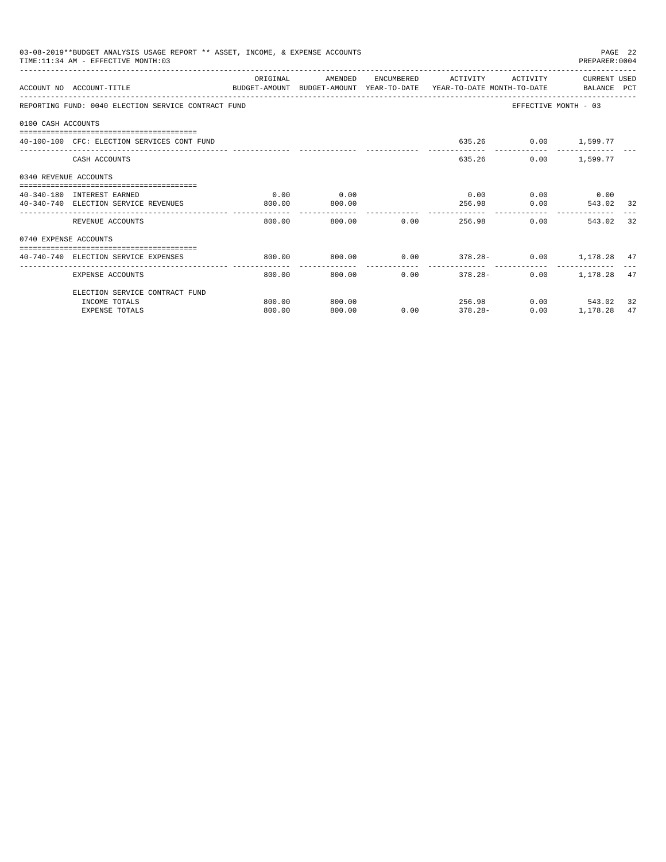| 03-08-2019**BUDGET ANALYSIS USAGE REPORT ** ASSET, INCOME, & EXPENSE ACCOUNTS<br>PAGE 22<br>TIME: 11:34 AM - EFFECTIVE MONTH: 03<br>PREPARER: 0004<br>ORIGINAL<br>ENCUMBERED ACTIVITY ACTIVITY<br>CURRENT USED<br>AMENDED<br>ACCOUNT NO ACCOUNT-TITLE<br>BUDGET-AMOUNT BUDGET-AMOUNT YEAR-TO-DATE YEAR-TO-DATE MONTH-TO-DATE BALANCE PCT<br>REPORTING FUND: 0040 ELECTION SERVICE CONTRACT FUND<br>EFFECTIVE MONTH - 03<br>0100 CASH ACCOUNTS<br>635.26 0.00 1,599.77<br>40-100-100 CFC: ELECTION SERVICES CONT FUND<br>635.26<br>$0.00$ 1,599.77<br>CASH ACCOUNTS<br>0340 REVENUE ACCOUNTS<br>0.00<br>$0.00$ $0.00$ $0.00$ $0.00$<br>0.00<br>40-340-180 INTEREST EARNED<br>$0.00$ 543.02 32<br>40-340-740 ELECTION SERVICE REVENUES<br>800.00<br>256.98<br>800.00<br>800.00 0.00<br>$0.00$ and $0.00$<br>32<br>REVENUE ACCOUNTS<br>800.00<br>256.98<br>543.02<br>0740 EXPENSE ACCOUNTS<br>$0.00$ $378.28 - 0.00$ $1,178.28$ $47$<br>800.00<br>800.00<br>40-740-740 ELECTION SERVICE EXPENSES<br>------------<br>$0.00$ 1,178.28 47<br>800.00<br>0.00<br>EXPENSE ACCOUNTS<br>800.00<br>$378.28 -$ |        |        |  |      |                    |               |    |
|---------------------------------------------------------------------------------------------------------------------------------------------------------------------------------------------------------------------------------------------------------------------------------------------------------------------------------------------------------------------------------------------------------------------------------------------------------------------------------------------------------------------------------------------------------------------------------------------------------------------------------------------------------------------------------------------------------------------------------------------------------------------------------------------------------------------------------------------------------------------------------------------------------------------------------------------------------------------------------------------------------------------------------------------------------------------------------------------------|--------|--------|--|------|--------------------|---------------|----|
|                                                                                                                                                                                                                                                                                                                                                                                                                                                                                                                                                                                                                                                                                                                                                                                                                                                                                                                                                                                                                                                                                                   |        |        |  |      |                    |               |    |
|                                                                                                                                                                                                                                                                                                                                                                                                                                                                                                                                                                                                                                                                                                                                                                                                                                                                                                                                                                                                                                                                                                   |        |        |  |      |                    |               |    |
|                                                                                                                                                                                                                                                                                                                                                                                                                                                                                                                                                                                                                                                                                                                                                                                                                                                                                                                                                                                                                                                                                                   |        |        |  |      |                    |               |    |
|                                                                                                                                                                                                                                                                                                                                                                                                                                                                                                                                                                                                                                                                                                                                                                                                                                                                                                                                                                                                                                                                                                   |        |        |  |      |                    |               |    |
|                                                                                                                                                                                                                                                                                                                                                                                                                                                                                                                                                                                                                                                                                                                                                                                                                                                                                                                                                                                                                                                                                                   |        |        |  |      |                    |               |    |
|                                                                                                                                                                                                                                                                                                                                                                                                                                                                                                                                                                                                                                                                                                                                                                                                                                                                                                                                                                                                                                                                                                   |        |        |  |      |                    |               |    |
|                                                                                                                                                                                                                                                                                                                                                                                                                                                                                                                                                                                                                                                                                                                                                                                                                                                                                                                                                                                                                                                                                                   |        |        |  |      |                    |               |    |
|                                                                                                                                                                                                                                                                                                                                                                                                                                                                                                                                                                                                                                                                                                                                                                                                                                                                                                                                                                                                                                                                                                   |        |        |  |      |                    |               |    |
|                                                                                                                                                                                                                                                                                                                                                                                                                                                                                                                                                                                                                                                                                                                                                                                                                                                                                                                                                                                                                                                                                                   |        |        |  |      |                    |               |    |
|                                                                                                                                                                                                                                                                                                                                                                                                                                                                                                                                                                                                                                                                                                                                                                                                                                                                                                                                                                                                                                                                                                   |        |        |  |      |                    |               |    |
|                                                                                                                                                                                                                                                                                                                                                                                                                                                                                                                                                                                                                                                                                                                                                                                                                                                                                                                                                                                                                                                                                                   |        |        |  |      |                    |               |    |
|                                                                                                                                                                                                                                                                                                                                                                                                                                                                                                                                                                                                                                                                                                                                                                                                                                                                                                                                                                                                                                                                                                   |        |        |  |      |                    |               |    |
| ELECTION SERVICE CONTRACT FUND                                                                                                                                                                                                                                                                                                                                                                                                                                                                                                                                                                                                                                                                                                                                                                                                                                                                                                                                                                                                                                                                    |        |        |  |      |                    |               |    |
| INCOME TOTALS                                                                                                                                                                                                                                                                                                                                                                                                                                                                                                                                                                                                                                                                                                                                                                                                                                                                                                                                                                                                                                                                                     | 800.00 | 800.00 |  |      | 256.98             | $0.00$ 543.02 | 32 |
| <b>EXPENSE TOTALS</b>                                                                                                                                                                                                                                                                                                                                                                                                                                                                                                                                                                                                                                                                                                                                                                                                                                                                                                                                                                                                                                                                             | 800.00 | 800.00 |  | 0.00 | 0.00<br>$378.28 -$ | 1,178.28      | 47 |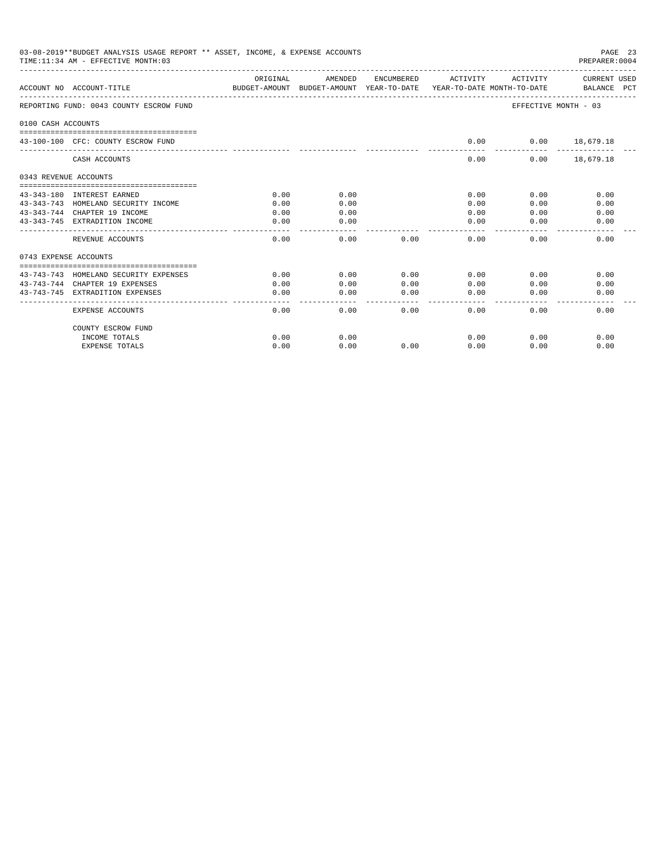| 03-08-2019**BUDGET ANALYSIS USAGE REPORT ** ASSET, INCOME, & EXPENSE ACCOUNTS<br>PAGE 23<br>TIME: 11:34 AM - EFFECTIVE MONTH: 03<br>PREPARER: 0004<br>OR TGTNAL<br>AMENDED<br>ENCUMBERED<br>ACTIVITY<br>ACTIVITY<br>ACCOUNT NO ACCOUNT-TITLE<br>BUDGET-AMOUNT BUDGET-AMOUNT YEAR-TO-DATE YEAR-TO-DATE MONTH-TO-DATE<br>REPORTING FUND: 0043 COUNTY ESCROW FUND<br>EFFECTIVE MONTH - 03<br>0100 CASH ACCOUNTS<br>43-100-100 CFC: COUNTY ESCROW FUND<br>0.00<br>$0.00$ 18,679.18<br>------------<br>$- - - - -$<br>CASH ACCOUNTS<br>0.00<br>$0.00$ 18,679.18<br>0343 REVENUE ACCOUNTS<br>0.00<br>0.00<br>43-343-180 INTEREST EARNED<br>0.00<br>0.00<br>0.00<br>43-343-743 HOMELAND SECURITY INCOME<br>0.00<br>0.00<br>0.00<br>0.00<br>0.00<br>43-343-744 CHAPTER 19 INCOME<br>0.00<br>0.00<br>0.00<br>0.00<br>0.00<br>43-343-745 EXTRADITION INCOME<br>0.00<br>0.00<br>0.00<br>0.00<br>0.00<br>$\frac{1}{2} \frac{1}{2} \frac{1}{2} \frac{1}{2} \frac{1}{2} \frac{1}{2} \frac{1}{2} \frac{1}{2} \frac{1}{2} \frac{1}{2} \frac{1}{2} \frac{1}{2} \frac{1}{2} \frac{1}{2} \frac{1}{2} \frac{1}{2} \frac{1}{2} \frac{1}{2} \frac{1}{2} \frac{1}{2} \frac{1}{2} \frac{1}{2} \frac{1}{2} \frac{1}{2} \frac{1}{2} \frac{1}{2} \frac{1}{2} \frac{1}{2} \frac{1}{2} \frac{1}{2} \frac{1}{2} \frac{$<br>0.00<br>0.00<br>REVENUE ACCOUNTS<br>0.00<br>0.00<br>0.00<br>0.00<br>0743 EXPENSE ACCOUNTS<br>43-743-743 HOMELAND SECURITY EXPENSES<br>0.00<br>0.00<br>0.00<br>0.00<br>0.00<br>0.00<br>43-743-744 CHAPTER 19 EXPENSES<br>0.00<br>0.00<br>0.00<br>0.00<br>0.00<br>0.00<br>43-743-745 EXTRADITION EXPENSES<br>0.00<br>0.00<br>0.00<br>0.00<br>0.00<br>0.00<br>$- - - - - -$<br>$- - - - - -$ |                       |      |      |      |      |      |                             |
|----------------------------------------------------------------------------------------------------------------------------------------------------------------------------------------------------------------------------------------------------------------------------------------------------------------------------------------------------------------------------------------------------------------------------------------------------------------------------------------------------------------------------------------------------------------------------------------------------------------------------------------------------------------------------------------------------------------------------------------------------------------------------------------------------------------------------------------------------------------------------------------------------------------------------------------------------------------------------------------------------------------------------------------------------------------------------------------------------------------------------------------------------------------------------------------------------------------------------------------------------------------------------------------------------------------------------------------------------------------------------------------------------------------------------------------------------------------------------------------------------------------------------------------------------------------------------------------------------------------------------------------------------------------------------------------|-----------------------|------|------|------|------|------|-----------------------------|
|                                                                                                                                                                                                                                                                                                                                                                                                                                                                                                                                                                                                                                                                                                                                                                                                                                                                                                                                                                                                                                                                                                                                                                                                                                                                                                                                                                                                                                                                                                                                                                                                                                                                                        |                       |      |      |      |      |      | CURRENT USED<br>BALANCE PCT |
|                                                                                                                                                                                                                                                                                                                                                                                                                                                                                                                                                                                                                                                                                                                                                                                                                                                                                                                                                                                                                                                                                                                                                                                                                                                                                                                                                                                                                                                                                                                                                                                                                                                                                        |                       |      |      |      |      |      |                             |
|                                                                                                                                                                                                                                                                                                                                                                                                                                                                                                                                                                                                                                                                                                                                                                                                                                                                                                                                                                                                                                                                                                                                                                                                                                                                                                                                                                                                                                                                                                                                                                                                                                                                                        |                       |      |      |      |      |      |                             |
|                                                                                                                                                                                                                                                                                                                                                                                                                                                                                                                                                                                                                                                                                                                                                                                                                                                                                                                                                                                                                                                                                                                                                                                                                                                                                                                                                                                                                                                                                                                                                                                                                                                                                        |                       |      |      |      |      |      |                             |
|                                                                                                                                                                                                                                                                                                                                                                                                                                                                                                                                                                                                                                                                                                                                                                                                                                                                                                                                                                                                                                                                                                                                                                                                                                                                                                                                                                                                                                                                                                                                                                                                                                                                                        |                       |      |      |      |      |      |                             |
|                                                                                                                                                                                                                                                                                                                                                                                                                                                                                                                                                                                                                                                                                                                                                                                                                                                                                                                                                                                                                                                                                                                                                                                                                                                                                                                                                                                                                                                                                                                                                                                                                                                                                        |                       |      |      |      |      |      |                             |
|                                                                                                                                                                                                                                                                                                                                                                                                                                                                                                                                                                                                                                                                                                                                                                                                                                                                                                                                                                                                                                                                                                                                                                                                                                                                                                                                                                                                                                                                                                                                                                                                                                                                                        |                       |      |      |      |      |      |                             |
|                                                                                                                                                                                                                                                                                                                                                                                                                                                                                                                                                                                                                                                                                                                                                                                                                                                                                                                                                                                                                                                                                                                                                                                                                                                                                                                                                                                                                                                                                                                                                                                                                                                                                        |                       |      |      |      |      |      |                             |
|                                                                                                                                                                                                                                                                                                                                                                                                                                                                                                                                                                                                                                                                                                                                                                                                                                                                                                                                                                                                                                                                                                                                                                                                                                                                                                                                                                                                                                                                                                                                                                                                                                                                                        |                       |      |      |      |      |      |                             |
|                                                                                                                                                                                                                                                                                                                                                                                                                                                                                                                                                                                                                                                                                                                                                                                                                                                                                                                                                                                                                                                                                                                                                                                                                                                                                                                                                                                                                                                                                                                                                                                                                                                                                        |                       |      |      |      |      |      |                             |
|                                                                                                                                                                                                                                                                                                                                                                                                                                                                                                                                                                                                                                                                                                                                                                                                                                                                                                                                                                                                                                                                                                                                                                                                                                                                                                                                                                                                                                                                                                                                                                                                                                                                                        |                       |      |      |      |      |      |                             |
|                                                                                                                                                                                                                                                                                                                                                                                                                                                                                                                                                                                                                                                                                                                                                                                                                                                                                                                                                                                                                                                                                                                                                                                                                                                                                                                                                                                                                                                                                                                                                                                                                                                                                        |                       |      |      |      |      |      |                             |
|                                                                                                                                                                                                                                                                                                                                                                                                                                                                                                                                                                                                                                                                                                                                                                                                                                                                                                                                                                                                                                                                                                                                                                                                                                                                                                                                                                                                                                                                                                                                                                                                                                                                                        |                       |      |      |      |      |      |                             |
|                                                                                                                                                                                                                                                                                                                                                                                                                                                                                                                                                                                                                                                                                                                                                                                                                                                                                                                                                                                                                                                                                                                                                                                                                                                                                                                                                                                                                                                                                                                                                                                                                                                                                        |                       |      |      |      |      |      |                             |
|                                                                                                                                                                                                                                                                                                                                                                                                                                                                                                                                                                                                                                                                                                                                                                                                                                                                                                                                                                                                                                                                                                                                                                                                                                                                                                                                                                                                                                                                                                                                                                                                                                                                                        |                       |      |      |      |      |      |                             |
|                                                                                                                                                                                                                                                                                                                                                                                                                                                                                                                                                                                                                                                                                                                                                                                                                                                                                                                                                                                                                                                                                                                                                                                                                                                                                                                                                                                                                                                                                                                                                                                                                                                                                        | EXPENSE ACCOUNTS      | 0.00 | 0.00 | 0.00 | 0.00 | 0.00 | 0.00                        |
|                                                                                                                                                                                                                                                                                                                                                                                                                                                                                                                                                                                                                                                                                                                                                                                                                                                                                                                                                                                                                                                                                                                                                                                                                                                                                                                                                                                                                                                                                                                                                                                                                                                                                        | COUNTY ESCROW FUND    |      |      |      |      |      |                             |
|                                                                                                                                                                                                                                                                                                                                                                                                                                                                                                                                                                                                                                                                                                                                                                                                                                                                                                                                                                                                                                                                                                                                                                                                                                                                                                                                                                                                                                                                                                                                                                                                                                                                                        | INCOME TOTALS         | 0.00 | 0.00 |      | 0.00 | 0.00 | 0.00                        |
|                                                                                                                                                                                                                                                                                                                                                                                                                                                                                                                                                                                                                                                                                                                                                                                                                                                                                                                                                                                                                                                                                                                                                                                                                                                                                                                                                                                                                                                                                                                                                                                                                                                                                        | <b>EXPENSE TOTALS</b> | 0.00 | 0.00 | 0.00 | 0.00 | 0.00 | 0.00                        |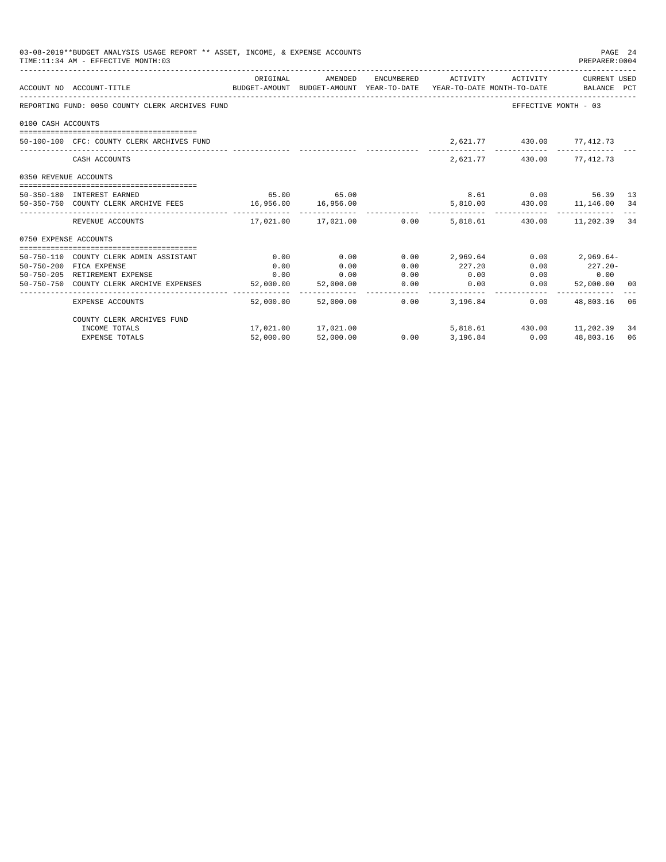|                       | 03-08-2019**BUDGET ANALYSIS USAGE REPORT ** ASSET, INCOME, & EXPENSE ACCOUNTS<br>TIME: 11:34 AM - EFFECTIVE MONTH: 03 |              |                        |              |                                                                     |                                    | PAGE 24<br>PREPARER: 0004 |    |
|-----------------------|-----------------------------------------------------------------------------------------------------------------------|--------------|------------------------|--------------|---------------------------------------------------------------------|------------------------------------|---------------------------|----|
|                       | ACCOUNT NO ACCOUNT-TITLE<br>BUDGET-AMOUNT BUDGET-AMOUNT YEAR-TO-DATE YEAR-TO-DATE MONTH-TO-DATE BALANCE PCT           | ORIGINAL     | AMENDED                |              | ENCUMBERED ACTIVITY ACTIVITY                                        |                                    | CURRENT USED              |    |
|                       | REPORTING FUND: 0050 COUNTY CLERK ARCHIVES FUND                                                                       |              |                        |              |                                                                     | EFFECTIVE MONTH - 03               |                           |    |
| 0100 CASH ACCOUNTS    |                                                                                                                       |              |                        |              |                                                                     |                                    |                           |    |
|                       | 50-100-100 CFC: COUNTY CLERK ARCHIVES FUND                                                                            |              |                        |              |                                                                     | 2,621.77 430.00 77,412.73          |                           |    |
|                       | CASH ACCOUNTS                                                                                                         |              |                        |              |                                                                     | 2.621.77 430.00 77.412.73          |                           |    |
| 0350 REVENUE ACCOUNTS |                                                                                                                       |              |                        |              |                                                                     |                                    |                           |    |
|                       | 50-350-180 INTEREST EARNED                                                                                            |              | 65.00 65.00            |              |                                                                     | 8.61 0.00                          | 56.39 13                  |    |
|                       | 50-350-750 COUNTY CLERK ARCHIVE FEES 16,956.00 16,956.00                                                              |              |                        |              |                                                                     | 5,810.00   430.00   11,146.00   34 |                           |    |
|                       | REVENUE ACCOUNTS                                                                                                      |              |                        |              | $17,021.00$ $17,021.00$ $0.00$ $5,818.61$ $430.00$ $11,202.39$ $34$ |                                    |                           |    |
| 0750 EXPENSE ACCOUNTS |                                                                                                                       |              |                        |              |                                                                     |                                    |                           |    |
|                       |                                                                                                                       |              | 0.00                   |              |                                                                     |                                    |                           |    |
|                       | 50-750-110 COUNTY CLERK ADMIN ASSISTANT<br>50-750-200 FICA EXPENSE                                                    | 0.00<br>0.00 | 0.00                   | 0.00<br>0.00 | 2,969.64<br>227.20                                                  | 0.00<br>0.00                       | $2,969.64-$<br>$227.20-$  |    |
|                       | 50-750-205 RETIREMENT EXPENSE                                                                                         | 0.00         | 0.00                   | 0.00         | 0.00                                                                |                                    | 0.00                      |    |
|                       | 50-750-750 COUNTY CLERK ARCHIVE EXPENSES                                                                              | 52,000.00    | 52,000.00              | 0.00         | 0.00                                                                | $0.00$<br>$0.00$                   | 52,000.00 00              |    |
|                       | EXPENSE ACCOUNTS                                                                                                      |              | 52.000.00 52.000.00    | 0.00         | 3,196.84                                                            | 0.00                               | 48,803.16 06              |    |
|                       | COUNTY CLERK ARCHIVES FUND                                                                                            |              |                        |              |                                                                     |                                    |                           |    |
|                       | INCOME TOTALS                                                                                                         |              | 17,021.00    17,021.00 |              |                                                                     | 5,818.61 430.00 11,202.39 34       |                           |    |
|                       | EXPENSE TOTALS                                                                                                        |              | 52,000.00 52,000.00    |              | $0.00$ $3,196.84$ $0.00$                                            |                                    | 48,803.16                 | 06 |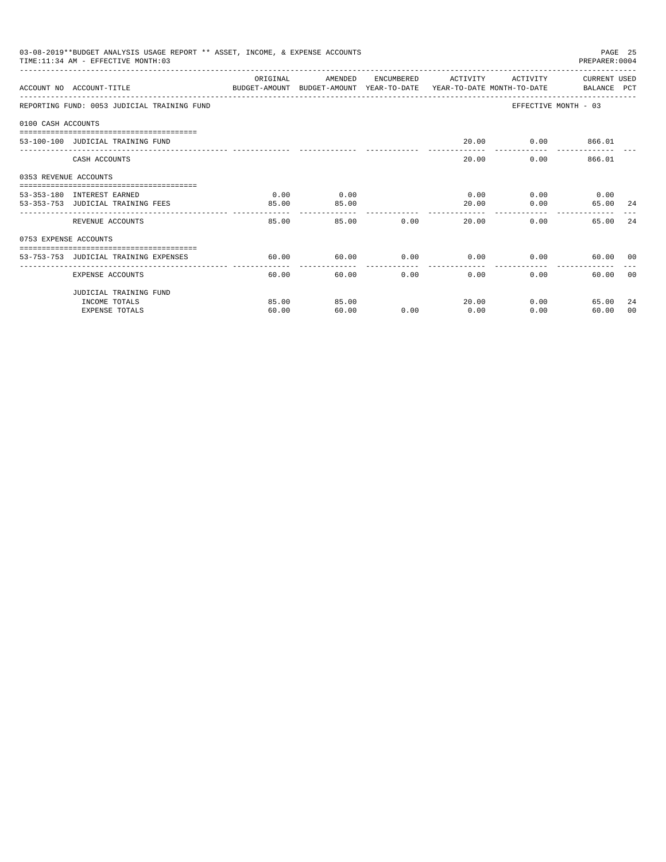| 03-08-2019**BUDGET ANALYSIS USAGE REPORT ** ASSET, INCOME, & EXPENSE ACCOUNTS<br>PAGE 25<br>TIME: 11:34 AM - EFFECTIVE MONTH: 03<br>PREPARER: 0004<br>ORIGINAL<br>AMENDED<br>CURRENT USED<br>ENCUMBERED ACTIVITY<br>ACTIVITY<br>ACCOUNT NO ACCOUNT-TITLE CONTROL SUDGET-AMOUNT BUDGET-AMOUNT YEAR-TO-DATE YEAR-TO-DATE MONTH-TO-DATE BALANCE PCT<br>EFFECTIVE MONTH - 03<br>REPORTING FUND: 0053 JUDICIAL TRAINING FUND<br>0100 CASH ACCOUNTS<br>20.00   0.00   866.01<br>53-100-100 JUDICIAL TRAINING FUND<br>. <u>.</u><br>20.00<br>$0.00$ 866.01<br>CASH ACCOUNTS<br>0353 REVENUE ACCOUNTS<br>---------------------------------<br>0.00<br>53-353-180 INTEREST EARNED<br>0.00<br>0.00<br>$0.00$ 0.00<br>53-353-753 JUDICIAL TRAINING FEES<br>85.00<br>85.00<br>20.00<br>0.00<br>65.00 24<br>------------<br>0.00<br>24<br>REVENUE ACCOUNTS<br>85.00<br>20.00<br>$0.00$ and $0.00$<br>85.00<br>65.00<br>0753 EXPENSE ACCOUNTS<br>60.00<br>$0.00$ 0.00<br>0.00<br>53-753-753 JUDICIAL TRAINING EXPENSES<br>60.00<br>60.00 00<br>--------------<br>60.00<br>60.00<br>0.00<br>0.00<br>$0.00 -$<br>EXPENSE ACCOUNTS<br>60.00 00 |       |       |      |       |      |               |     |
|-------------------------------------------------------------------------------------------------------------------------------------------------------------------------------------------------------------------------------------------------------------------------------------------------------------------------------------------------------------------------------------------------------------------------------------------------------------------------------------------------------------------------------------------------------------------------------------------------------------------------------------------------------------------------------------------------------------------------------------------------------------------------------------------------------------------------------------------------------------------------------------------------------------------------------------------------------------------------------------------------------------------------------------------------------------------------------------------------------------------------------|-------|-------|------|-------|------|---------------|-----|
|                                                                                                                                                                                                                                                                                                                                                                                                                                                                                                                                                                                                                                                                                                                                                                                                                                                                                                                                                                                                                                                                                                                               |       |       |      |       |      |               |     |
|                                                                                                                                                                                                                                                                                                                                                                                                                                                                                                                                                                                                                                                                                                                                                                                                                                                                                                                                                                                                                                                                                                                               |       |       |      |       |      |               |     |
|                                                                                                                                                                                                                                                                                                                                                                                                                                                                                                                                                                                                                                                                                                                                                                                                                                                                                                                                                                                                                                                                                                                               |       |       |      |       |      |               |     |
|                                                                                                                                                                                                                                                                                                                                                                                                                                                                                                                                                                                                                                                                                                                                                                                                                                                                                                                                                                                                                                                                                                                               |       |       |      |       |      |               |     |
|                                                                                                                                                                                                                                                                                                                                                                                                                                                                                                                                                                                                                                                                                                                                                                                                                                                                                                                                                                                                                                                                                                                               |       |       |      |       |      |               |     |
|                                                                                                                                                                                                                                                                                                                                                                                                                                                                                                                                                                                                                                                                                                                                                                                                                                                                                                                                                                                                                                                                                                                               |       |       |      |       |      |               |     |
|                                                                                                                                                                                                                                                                                                                                                                                                                                                                                                                                                                                                                                                                                                                                                                                                                                                                                                                                                                                                                                                                                                                               |       |       |      |       |      |               |     |
|                                                                                                                                                                                                                                                                                                                                                                                                                                                                                                                                                                                                                                                                                                                                                                                                                                                                                                                                                                                                                                                                                                                               |       |       |      |       |      |               |     |
|                                                                                                                                                                                                                                                                                                                                                                                                                                                                                                                                                                                                                                                                                                                                                                                                                                                                                                                                                                                                                                                                                                                               |       |       |      |       |      |               |     |
|                                                                                                                                                                                                                                                                                                                                                                                                                                                                                                                                                                                                                                                                                                                                                                                                                                                                                                                                                                                                                                                                                                                               |       |       |      |       |      |               |     |
|                                                                                                                                                                                                                                                                                                                                                                                                                                                                                                                                                                                                                                                                                                                                                                                                                                                                                                                                                                                                                                                                                                                               |       |       |      |       |      |               |     |
|                                                                                                                                                                                                                                                                                                                                                                                                                                                                                                                                                                                                                                                                                                                                                                                                                                                                                                                                                                                                                                                                                                                               |       |       |      |       |      |               |     |
| JUDICIAL TRAINING FUND                                                                                                                                                                                                                                                                                                                                                                                                                                                                                                                                                                                                                                                                                                                                                                                                                                                                                                                                                                                                                                                                                                        |       |       |      |       |      |               |     |
| INCOME TOTALS                                                                                                                                                                                                                                                                                                                                                                                                                                                                                                                                                                                                                                                                                                                                                                                                                                                                                                                                                                                                                                                                                                                 | 85.00 | 85.00 |      | 20.00 |      | 0.00<br>65.00 | -24 |
| <b>EXPENSE TOTALS</b>                                                                                                                                                                                                                                                                                                                                                                                                                                                                                                                                                                                                                                                                                                                                                                                                                                                                                                                                                                                                                                                                                                         | 60.00 | 60.00 | 0.00 | 0.00  | 0.00 | 60.00         | 00  |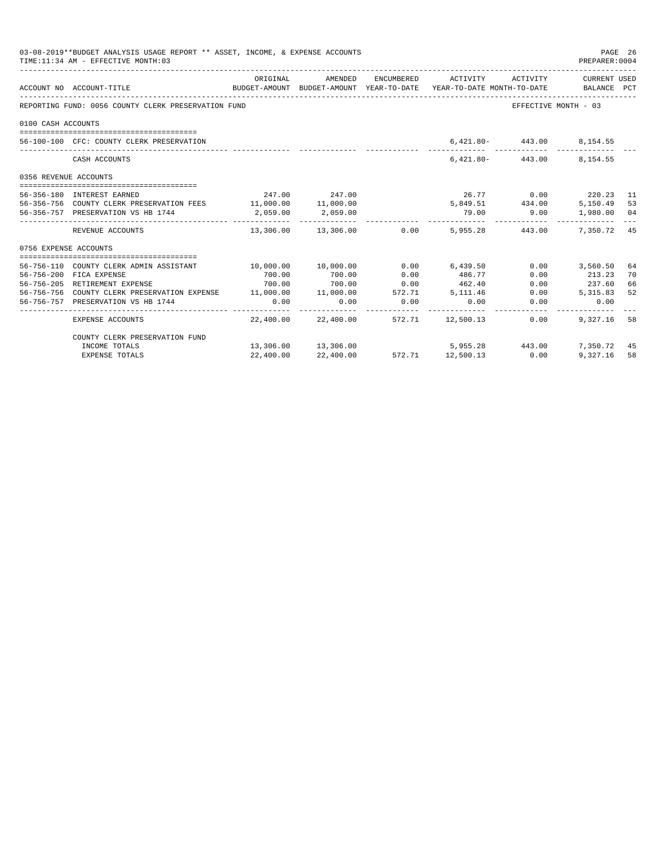|                       | 03-08-2019**BUDGET ANALYSIS USAGE REPORT ** ASSET, INCOME, & EXPENSE ACCOUNTS<br>TIME: 11:34 AM - EFFECTIVE MONTH: 03 |                         |                                                                                |                       |                     |                           | PAGE 26<br>PREPARER: 0004   |    |
|-----------------------|-----------------------------------------------------------------------------------------------------------------------|-------------------------|--------------------------------------------------------------------------------|-----------------------|---------------------|---------------------------|-----------------------------|----|
|                       | ACCOUNT NO ACCOUNT-TITLE                                                                                              | ORIGINAL                | AMENDED<br>BUDGET-AMOUNT BUDGET-AMOUNT YEAR-TO-DATE YEAR-TO-DATE MONTH-TO-DATE |                       | ENCUMBERED ACTIVITY | ACTIVITY                  | CURRENT USED<br>BALANCE PCT |    |
|                       | REPORTING FUND: 0056 COUNTY CLERK PRESERVATION FUND                                                                   |                         |                                                                                |                       |                     |                           | EFFECTIVE MONTH - 03        |    |
| 0100 CASH ACCOUNTS    |                                                                                                                       |                         |                                                                                |                       |                     |                           |                             |    |
|                       | 56-100-100 CFC: COUNTY CLERK PRESERVATION                                                                             |                         |                                                                                |                       |                     | 6,421.80- 443.00 8,154.55 |                             |    |
|                       | CASH ACCOUNTS                                                                                                         |                         |                                                                                |                       |                     | $6,421.80 - 443.00$       | 8,154.55                    |    |
| 0356 REVENUE ACCOUNTS |                                                                                                                       |                         |                                                                                |                       |                     |                           |                             |    |
|                       | 56-356-180 INTEREST EARNED                                                                                            |                         | 247.00 247.00                                                                  |                       |                     |                           | 26.77 0.00 220.23 11        |    |
|                       | 56-356-756 COUNTY CLERK PRESERVATION FEES 11,000.00 11,000.00                                                         |                         |                                                                                |                       |                     | 5,849.51 434.00           | 5,150.49 53                 |    |
|                       | 56-356-757 PRESERVATION VS HB 1744                                                                                    | 2,059.00                | 2,059.00                                                                       |                       |                     | 79.00 9.00                | 1,980.00 04                 |    |
|                       | REVENUE ACCOUNTS                                                                                                      |                         | $13.306.00$ $13.306.00$ 0.00 5.955.28 443.00                                   |                       |                     |                           | 7.350.72 45                 |    |
| 0756 EXPENSE ACCOUNTS |                                                                                                                       |                         |                                                                                |                       |                     |                           |                             |    |
|                       |                                                                                                                       |                         |                                                                                |                       |                     |                           |                             |    |
|                       | 56-756-110 COUNTY CLERK ADMIN ASSISTANT                                                                               | $10,000.00$ $10,000.00$ |                                                                                | 0.00                  | 6.439.50            |                           | $0.00$ 3.560.50             | 64 |
|                       | 56-756-200 FICA EXPENSE                                                                                               | 700.00                  | 700.00                                                                         | 0.00                  | 486.77              | 0.00                      | 213.23                      | 70 |
|                       | 56-756-205 RETIREMENT EXPENSE                                                                                         | 700.00                  | 700.00                                                                         | 0.00                  | 462.40              | 0.00                      | 237.60                      | 66 |
|                       | 56-756-756 COUNTY CLERK PRESERVATION EXPENSE 11,000.00 11,000.00 572.71 5,111.46                                      |                         |                                                                                |                       |                     | 0.00                      | 5, 315.83                   | 52 |
|                       | 56-756-757 PRESERVATION VS HB 1744                                                                                    | 0.00                    | 0.00                                                                           | 0.00<br>------------- | 0.00                | 0.00                      | 0.00                        |    |
|                       | EXPENSE ACCOUNTS                                                                                                      |                         | 22.400.00 22.400.00                                                            |                       | 572.71 12.500.13    | 0.00                      | 9.327.16                    | 58 |
|                       | COUNTY CLERK PRESERVATION FUND                                                                                        |                         |                                                                                |                       |                     |                           |                             |    |
|                       | INCOME TOTALS                                                                                                         |                         | $13,306.00$ $13,306.00$ $5,955.28$ $443.00$                                    |                       |                     |                           | 7,350.72 45                 |    |
|                       | <b>EXPENSE TOTALS</b>                                                                                                 | 22,400.00               | 22,400.00                                                                      |                       | 572.71 12,500.13    | 0.00                      | 9,327,16 58                 |    |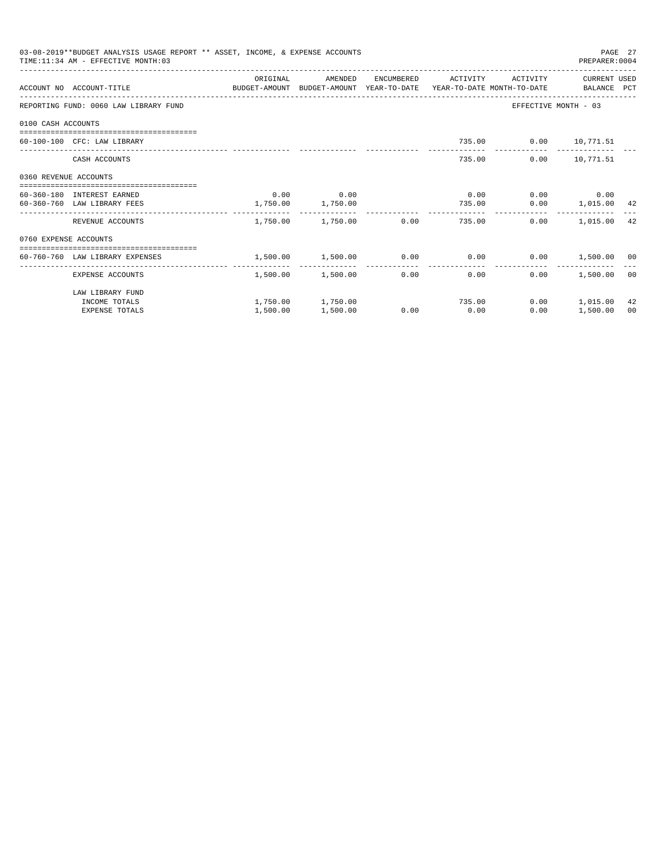|                       | 03-08-2019**BUDGET ANALYSIS USAGE REPORT ** ASSET, INCOME, & EXPENSE ACCOUNTS<br>TIME: 11:34 AM - EFFECTIVE MONTH: 03 |                   |                   |            |                                                            |                           | PAGE 27<br>PREPARER: 0004 |    |
|-----------------------|-----------------------------------------------------------------------------------------------------------------------|-------------------|-------------------|------------|------------------------------------------------------------|---------------------------|---------------------------|----|
|                       |                                                                                                                       | ORIGINAL          | AMENDED           | ENCUMBERED | ACTIVITY                                                   | ACTIVITY                  | CURRENT USED              |    |
|                       | ACCOUNT NO ACCOUNT-TITLE CONTROL SUDGET-AMOUNT BUDGET-AMOUNT YEAR-TO-DATE YEAR-TO-DATE MONTH-TO-DATE BALANCE PCT      |                   |                   |            |                                                            |                           |                           |    |
|                       | REPORTING FUND: 0060 LAW LIBRARY FUND                                                                                 |                   |                   |            |                                                            | EFFECTIVE MONTH - 03      |                           |    |
| 0100 CASH ACCOUNTS    |                                                                                                                       |                   |                   |            |                                                            |                           |                           |    |
|                       | 60-100-100 CFC: LAW LIBRARY                                                                                           |                   |                   |            |                                                            | 735.00   0.00   10,771.51 |                           |    |
|                       | CASH ACCOUNTS                                                                                                         |                   |                   |            | 735.00                                                     |                           | $0.00$ 10,771.51          |    |
| 0360 REVENUE ACCOUNTS |                                                                                                                       |                   |                   |            |                                                            |                           |                           |    |
|                       | 60-360-180 INTEREST EARNED                                                                                            |                   | $0.00$ 0.00       |            | 0.00                                                       |                           | $0.00$ 0.00               |    |
|                       | 60-360-760 LAW LIBRARY FEES                                                                                           | 1,750.00 1,750.00 |                   |            | 735.00                                                     |                           | $0.00$ 1,015.00 42        |    |
|                       | REVENUE ACCOUNTS                                                                                                      |                   |                   |            | $1.750.00$ $1.750.00$ $0.00$ $735.00$                      |                           | $0.00$ 1,015.00 42        |    |
| 0760 EXPENSE ACCOUNTS |                                                                                                                       |                   |                   |            |                                                            |                           |                           |    |
|                       | ---------------------------------<br>60-760-760 LAW LIBRARY EXPENSES                                                  |                   |                   |            | $1,500.00$ $1,500.00$ $0.00$ $0.00$ $0.00$ $1,500.00$ $00$ |                           |                           |    |
|                       | EXPENSE ACCOUNTS                                                                                                      |                   | 1,500.00 1,500.00 |            | 0.00<br>0.00                                               | 0.00                      | 1,500.00 00               |    |
|                       | LAW LIBRARY FUND                                                                                                      |                   |                   |            |                                                            |                           |                           |    |
|                       | INCOME TOTALS                                                                                                         |                   | 1,750.00 1,750.00 |            | 735.00                                                     |                           | $0.00$ 1,015.00           | 42 |
|                       | <b>EXPENSE TOTALS</b>                                                                                                 | 1,500.00          | 1,500.00          | 0.00       | 0.00                                                       | 0.00                      | 1,500.00                  | 00 |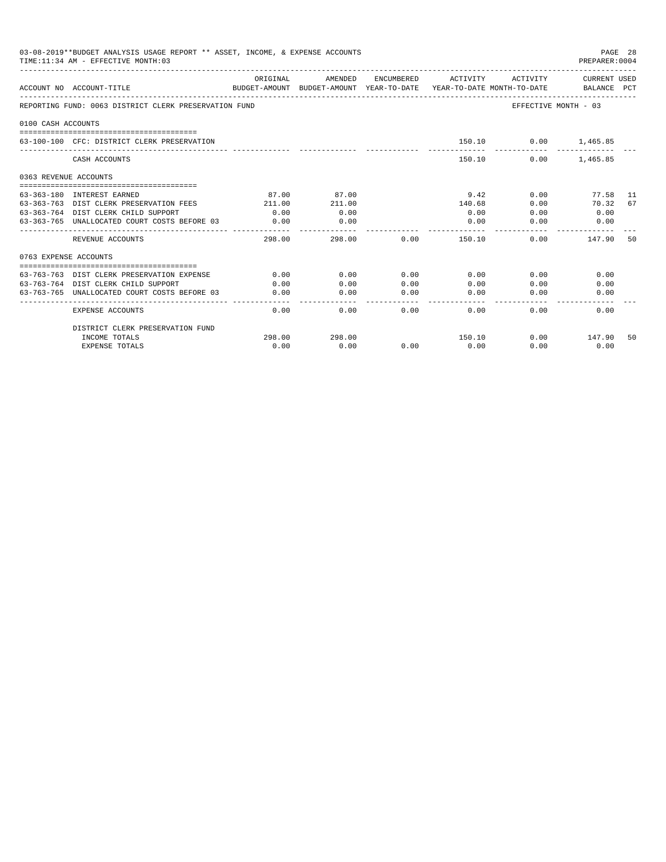|                       | 03-08-2019**BUDGET ANALYSIS USAGE REPORT ** ASSET, INCOME, & EXPENSE ACCOUNTS<br>TIME: 11:34 AM - EFFECTIVE MONTH: 03 |               |              |                     |                     |                          | PAGE 28<br>PREPARER: 0004 |    |
|-----------------------|-----------------------------------------------------------------------------------------------------------------------|---------------|--------------|---------------------|---------------------|--------------------------|---------------------------|----|
|                       |                                                                                                                       | ORIGINAL      | AMENDED      |                     | ENCUMBERED ACTIVITY | ACTIVITY                 | CURRENT USED              |    |
|                       | BUDGET-AMOUNT BUDGET-AMOUNT YEAR-TO-DATE YEAR-TO-DATE MONTH-TO-DATE BALANCE PCT<br>ACCOUNT NO ACCOUNT-TITLE           |               |              |                     |                     |                          |                           |    |
|                       | REPORTING FUND: 0063 DISTRICT CLERK PRESERVATION FUND                                                                 |               |              |                     |                     |                          | EFFECTIVE MONTH - 03      |    |
| 0100 CASH ACCOUNTS    |                                                                                                                       |               |              |                     |                     |                          |                           |    |
|                       |                                                                                                                       |               |              |                     |                     |                          |                           |    |
|                       | 63-100-100 CFC: DISTRICT CLERK PRESERVATION                                                                           |               |              |                     |                     | 150.10   0.00   1,465.85 |                           |    |
|                       | CASH ACCOUNTS                                                                                                         |               |              |                     |                     | 150.10<br>0.00           | 1,465.85                  |    |
| 0363 REVENUE ACCOUNTS |                                                                                                                       |               |              |                     |                     |                          |                           |    |
|                       |                                                                                                                       |               |              |                     |                     |                          |                           |    |
|                       | 63-363-180 INTEREST EARNED                                                                                            | 87.00         | 87.00        |                     | 9.42                | 0.00                     | 77.58 11                  |    |
|                       | 63-363-763 DIST CLERK PRESERVATION FEES                                                                               | 211.00        | 211.00       |                     | 140.68              | 0.00                     | 70.32 67                  |    |
|                       | 63-363-764 DIST CLERK CHILD SUPPORT                                                                                   | 0.00<br>0.00  | 0.00<br>0.00 |                     | 0.00<br>0.00        | 0.00<br>0.00             | 0.00<br>0.00              |    |
|                       | 63-363-765 UNALLOCATED COURT COSTS BEFORE 03                                                                          | ------------- | --------     |                     | --------            |                          |                           |    |
|                       | REVENUE ACCOUNTS                                                                                                      | 298.00        | 298.00       | 0.00                | 150.10              |                          | 0.00<br>147.90            | 50 |
| 0763 EXPENSE ACCOUNTS |                                                                                                                       |               |              |                     |                     |                          |                           |    |
|                       |                                                                                                                       |               |              |                     |                     |                          |                           |    |
|                       | 63-763-763 DIST CLERK PRESERVATION EXPENSE                                                                            | 0.00          | 0.00         | 0.00                | 0.00                | 0.00                     | 0.00                      |    |
|                       | 63-763-764 DIST CLERK CHILD SUPPORT                                                                                   | 0.00          | 0.00         | 0.00                | 0.00                | 0.00                     | 0.00                      |    |
|                       | 63-763-765 UNALLOCATED COURT COSTS BEFORE 03                                                                          | 0.00          | 0.00         | 0.00<br>$- - - - -$ | 0.00<br>-------     | 0.00                     | 0.00                      |    |
|                       | <b>EXPENSE ACCOUNTS</b>                                                                                               | 0.00          | 0.00         | 0.00                | 0.00                | $0.00 -$                 | 0.00                      |    |
|                       | DISTRICT CLERK PRESERVATION FUND                                                                                      |               |              |                     |                     |                          |                           |    |
|                       | INCOME TOTALS                                                                                                         | 298.00        | 298.00       |                     | 150.10              |                          | $0.00$ 147.90             | 50 |
|                       | <b>EXPENSE TOTALS</b>                                                                                                 | 0.00          | 0.00         | 0.00                | 0.00                | 0.00                     | 0.00                      |    |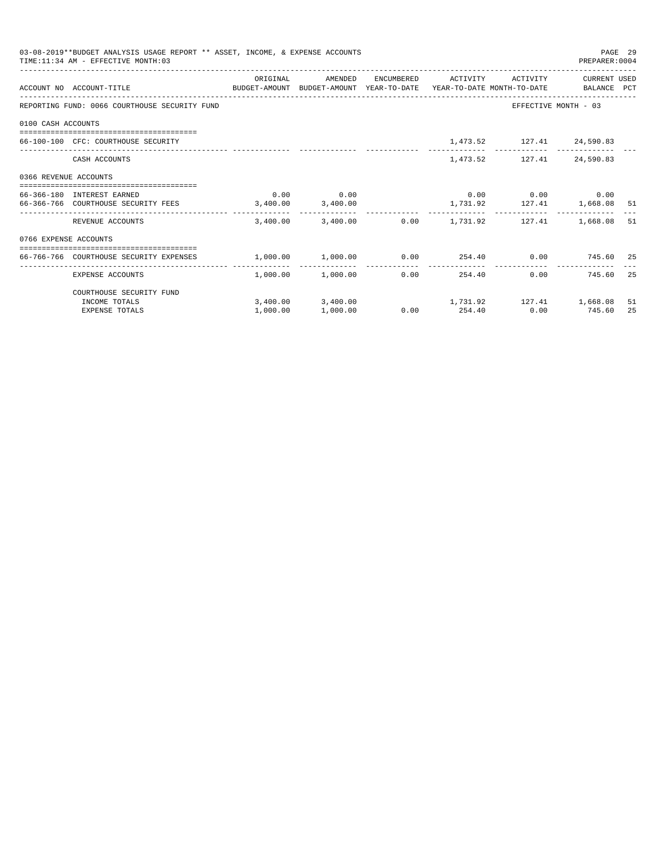|                                                                                                              | 03-08-2019**BUDGET ANALYSIS USAGE REPORT ** ASSET, INCOME, & EXPENSE ACCOUNTS<br>TIME: 11:34 AM - EFFECTIVE MONTH: 03 |                                                            |                                     |      |                                                      |                                      | PAGE 29<br>PREPARER:0004 |     |
|--------------------------------------------------------------------------------------------------------------|-----------------------------------------------------------------------------------------------------------------------|------------------------------------------------------------|-------------------------------------|------|------------------------------------------------------|--------------------------------------|--------------------------|-----|
|                                                                                                              |                                                                                                                       | ORIGINAL                                                   | AMENDED                             |      | ENCUMBERED ACTIVITY                                  |                                      | ACTIVITY CURRENT USED    |     |
|                                                                                                              | ACCOUNT NO ACCOUNT-TITLE CONTROL SUDGET-AMOUNT BUDGET-AMOUNT YEAR-TO-DATE YEAR-TO-DATE MONTH-TO-DATE BALANCE PCT      |                                                            |                                     |      |                                                      |                                      |                          |     |
|                                                                                                              | REPORTING FUND: 0066 COURTHOUSE SECURITY FUND                                                                         |                                                            |                                     |      |                                                      | EFFECTIVE MONTH - 03                 |                          |     |
| 0100 CASH ACCOUNTS                                                                                           |                                                                                                                       |                                                            |                                     |      |                                                      |                                      |                          |     |
|                                                                                                              | 66-100-100 CFC: COURTHOUSE SECURITY                                                                                   |                                                            |                                     |      |                                                      | 1,473.52 127.41 24,590.83            |                          |     |
|                                                                                                              | CASH ACCOUNTS                                                                                                         |                                                            |                                     |      |                                                      | 1,473.52 127.41 24,590.83            |                          |     |
|                                                                                                              |                                                                                                                       |                                                            |                                     |      |                                                      |                                      |                          |     |
|                                                                                                              |                                                                                                                       |                                                            | $0.00$ 0.00                         |      |                                                      | $0.00$ $0.00$ $0.00$ $0.00$          |                          |     |
| 0366 REVENUE ACCOUNTS<br>66-366-180 INTEREST EARNED<br>66-366-766 COURTHOUSE SECURITY FEES 3,400.00 3,400.00 |                                                                                                                       |                                                            |                                     |      |                                                      | 1,731.92    127.41    1,668.08    51 |                          |     |
|                                                                                                              | REVENUE ACCOUNTS                                                                                                      |                                                            |                                     |      | $3.400.00$ $3.400.00$ $0.00$ $1.731.92$ $127.41$     |                                      | 1,668.08                 | -51 |
| 0766 EXPENSE ACCOUNTS                                                                                        |                                                                                                                       |                                                            |                                     |      |                                                      |                                      |                          |     |
|                                                                                                              | 66-766-766 COURTHOUSE SECURITY EXPENSES                                                                               | $1,000.00$ $1,000.00$ $0.00$ $254.40$ $0.00$ $745.60$ $25$ |                                     |      |                                                      |                                      |                          |     |
|                                                                                                              | EXPENSE ACCOUNTS                                                                                                      |                                                            | . <u>.</u><br>$1.000.00$ $1.000.00$ | 0.00 | 254.40                                               | $0.00$ and $0.00$                    | 745.60                   | 25  |
|                                                                                                              | COURTHOUSE SECURITY FUND                                                                                              |                                                            |                                     |      |                                                      |                                      |                          |     |
|                                                                                                              | INCOME TOTALS                                                                                                         |                                                            |                                     |      | $3,400.00$ $3,400.00$ $1,731.92$ $127.41$ $1,668.08$ |                                      |                          | 51  |
|                                                                                                              | <b>EXPENSE TOTALS</b>                                                                                                 | 1,000.00                                                   | 1,000.00                            |      | $0.00$ 254.40                                        | 0.00                                 | 745.60                   | 25  |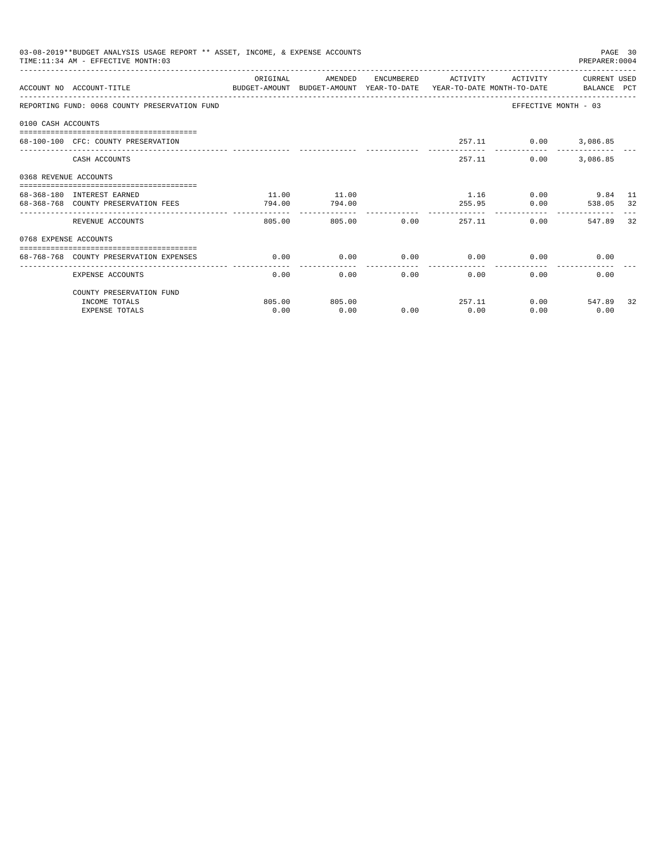|                       | 03-08-2019**BUDGET ANALYSIS USAGE REPORT ** ASSET, INCOME, & EXPENSE ACCOUNTS<br>TIME: 11:34 AM - EFFECTIVE MONTH: 03 |          |                        |              |                      |                             | PREPARER: 0004              | PAGE 30 |
|-----------------------|-----------------------------------------------------------------------------------------------------------------------|----------|------------------------|--------------|----------------------|-----------------------------|-----------------------------|---------|
|                       | ACCOUNT NO ACCOUNT-TITLE<br>BUDGET-AMOUNT BUDGET-AMOUNT YEAR-TO-DATE YEAR-TO-DATE MONTH-TO-DATE BALANCE PCT           | ORIGINAL | AMENDED                |              | ENCUMBERED ACTIVITY  | ACTIVITY                    | CURRENT USED                |         |
|                       | REPORTING FUND: 0068 COUNTY PRESERVATION FUND                                                                         |          |                        |              |                      |                             | EFFECTIVE MONTH - 03        |         |
| 0100 CASH ACCOUNTS    |                                                                                                                       |          |                        |              |                      |                             |                             |         |
|                       | 68-100-100 CFC: COUNTY PRESERVATION                                                                                   |          |                        |              |                      | 257.11 0.00 3,086.85        |                             |         |
|                       | CASH ACCOUNTS                                                                                                         |          |                        |              |                      | 257.11<br>0.00              | 3,086.85                    |         |
| 0368 REVENUE ACCOUNTS |                                                                                                                       |          |                        |              |                      |                             |                             |         |
|                       | 68-368-180 INTEREST EARNED                                                                                            | 11.00    | 11.00                  |              |                      | $1.16$ 0.00 9.84 11         |                             |         |
|                       | 68-368-768 COUNTY PRESERVATION FEES                                                                                   | 794.00   | 794.00                 |              |                      | 255.95                      | 0.00 538.05 32              |         |
|                       | REVENUE ACCOUNTS                                                                                                      | 805.00   | ------------<br>805.00 |              | 0.00                 | 257.11                      | $0.00$ and $0.00$<br>547.89 | 32      |
| 0768 EXPENSE ACCOUNTS |                                                                                                                       |          |                        |              |                      |                             |                             |         |
|                       | 68-768-768 COUNTY PRESERVATION EXPENSES                                                                               | 0.00     | 0.00                   |              |                      | $0.00$ $0.00$ $0.00$ $0.00$ | 0.00                        |         |
|                       | EXPENSE ACCOUNTS                                                                                                      | 0.00     | 0.00                   | ------------ | . <i>.</i> .<br>0.00 | 0.00<br>0.00                | 0.00                        |         |
|                       | COUNTY PRESERVATION FUND                                                                                              |          |                        |              |                      |                             |                             |         |
|                       | INCOME TOTALS                                                                                                         | 805.00   | 805.00                 |              |                      | 257.11                      | $0.00$ 547.89               | -32     |
|                       | <b>EXPENSE TOTALS</b>                                                                                                 | 0.00     | 0.00                   | 0.00         | 0.00                 | 0.00                        | 0.00                        |         |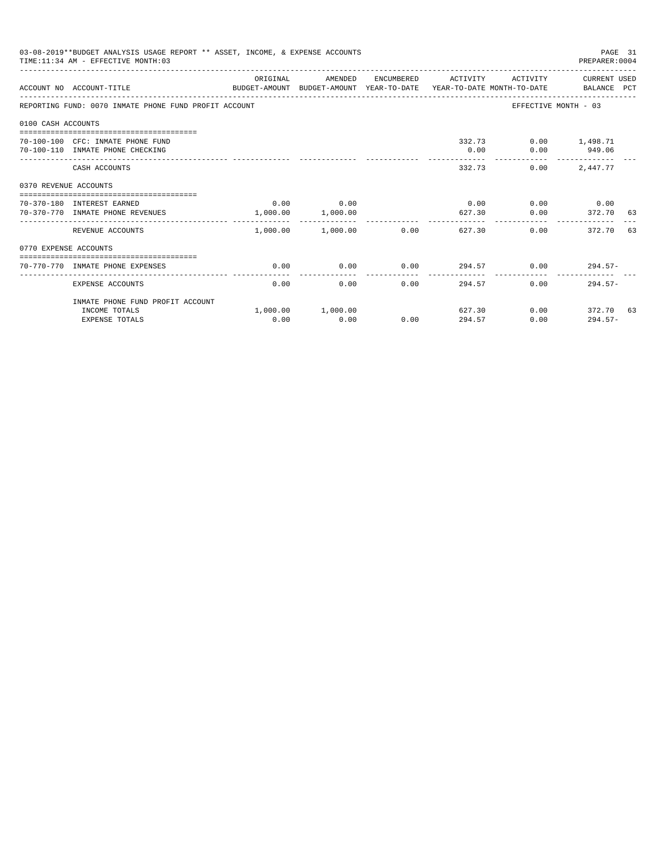|                       | 03-08-2019**BUDGET ANALYSIS USAGE REPORT ** ASSET, INCOME, & EXPENSE ACCOUNTS<br>TIME: 11:34 AM - EFFECTIVE MONTH: 03 |          |                                         |      |                     |                                            | PAGE 31<br>PREPARER: 0004                         |  |
|-----------------------|-----------------------------------------------------------------------------------------------------------------------|----------|-----------------------------------------|------|---------------------|--------------------------------------------|---------------------------------------------------|--|
|                       | ACCOUNT NO ACCOUNT-TITLE<br>BUDGET-AMOUNT BUDGET-AMOUNT YEAR-TO-DATE YEAR-TO-DATE MONTH-TO-DATE BALANCE PCT           | ORIGINAL | AMENDED                                 |      | ENCUMBERED ACTIVITY | ACTIVITY                                   | CURRENT USED                                      |  |
|                       | REPORTING FUND: 0070 INMATE PHONE FUND PROFIT ACCOUNT                                                                 |          |                                         |      |                     | EFFECTIVE MONTH - 03                       |                                                   |  |
| 0100 CASH ACCOUNTS    |                                                                                                                       |          |                                         |      |                     |                                            |                                                   |  |
|                       | 70-100-100 CFC: INMATE PHONE FUND<br>70-100-110 INMATE PHONE CHECKING                                                 |          |                                         |      | 0.00                | 332.73                                     | $0.00$ 1,498.71<br>$0.00$ 949.06<br>------------- |  |
|                       | CASH ACCOUNTS                                                                                                         |          |                                         |      |                     | 332.73<br>0.00                             | 2,447.77                                          |  |
| 0370 REVENUE ACCOUNTS |                                                                                                                       |          |                                         |      |                     |                                            |                                                   |  |
|                       | 70-370-180 INTEREST EARNED<br>70-370-770 INMATE PHONE REVENUES                                                        |          | $0.00$ 0.00<br>1,000.00 1,000.00        |      | 627.30              | $0.00$ $0.00$ $0.00$ $0.00$ $0.00$<br>0.00 | 372.70 63                                         |  |
|                       | REVENUE ACCOUNTS                                                                                                      | .        | --------------<br>$1.000.00$ $1.000.00$ | 0.00 |                     | 627.30<br>0.00                             | 372.70 63                                         |  |
| 0770 EXPENSE ACCOUNTS |                                                                                                                       |          |                                         |      |                     |                                            |                                                   |  |
|                       | 70-770-770 INMATE PHONE EXPENSES                                                                                      | 0.00     | 0.00                                    | 0.00 |                     | $294.57$ 0.00 294.57-                      |                                                   |  |
|                       | EXPENSE ACCOUNTS                                                                                                      | 0.00     | 0.00                                    | 0.00 | 294.57              | 0.00                                       | $294.57-$                                         |  |
|                       | INMATE PHONE FUND PROFIT ACCOUNT                                                                                      |          |                                         |      |                     |                                            |                                                   |  |
|                       | INCOME TOTALS<br><b>EXPENSE TOTALS</b>                                                                                | 0.00     | 1,000.00 1,000.00<br>0.00               | 0.00 | 294.57              | 627.30<br>0.00                             | $0.00$ 372.70 63<br>$294.57-$                     |  |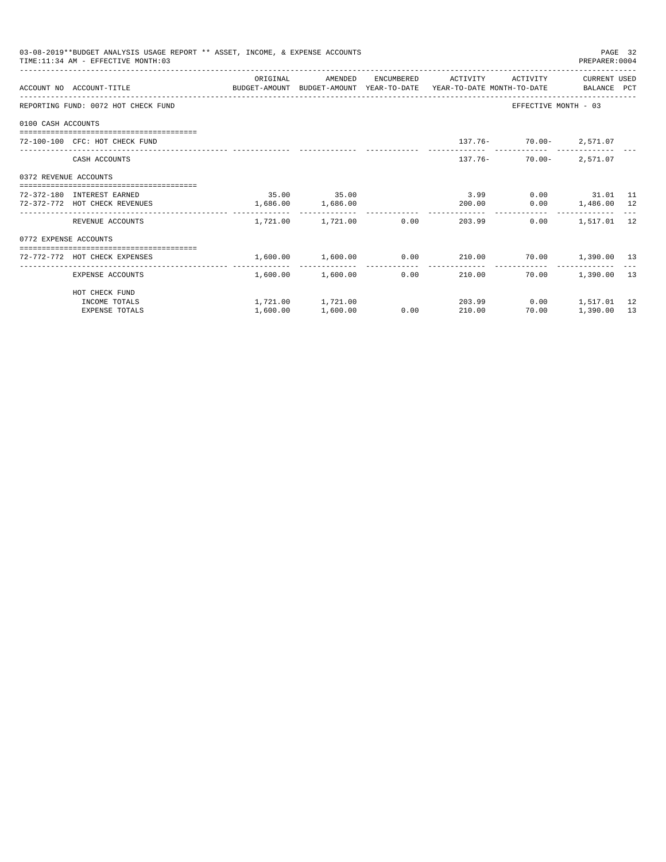| 03-08-2019**BUDGET ANALYSIS USAGE REPORT ** ASSET, INCOME, & EXPENSE ACCOUNTS<br>PAGE 32<br>PREPARER: 0004<br>TIME: 11:34 AM - EFFECTIVE MONTH: 03<br>ORIGINAL<br>AMENDED<br>CURRENT USED<br>ENCUMBERED ACTIVITY<br>ACTIVITY<br>ACCOUNT NO ACCOUNT-TITLE CONTROL BUDGET-AMOUNT BUDGET-AMOUNT YEAR-TO-DATE YEAR-TO-DATE MONTH-TO-DATE BALANCE PCT<br>EFFECTIVE MONTH - 03<br>REPORTING FUND: 0072 HOT CHECK FUND<br>0100 CASH ACCOUNTS<br>137.76- 70.00- 2,571.07<br>72-100-100 CFC: HOT CHECK FUND<br>$70.00 - 2.571.07$<br>$137.76-$<br>CASH ACCOUNTS<br>0372 REVENUE ACCOUNTS<br>----------------------------------<br>35.00 35.00<br>3.99<br>$0.00$ 31.01 11<br>72-372-180 INTEREST EARNED<br>1,686.00<br>72-372-772 HOT CHECK REVENUES<br>1,686.00<br>200.00<br>$0.00$ 1,486.00 12<br>1,721.00 1,721.00 0.00<br>0.00<br>1,517.01 12<br>REVENUE ACCOUNTS<br>203.99<br>0772 EXPENSE ACCOUNTS<br>--------------------------------------<br>1,600.00 1,600.00 0.00<br>210.00 70.00 1,390.00 13<br>72-772-772 HOT CHECK EXPENSES |                       |          |                   |      |                         |                                      |             |     |
|---------------------------------------------------------------------------------------------------------------------------------------------------------------------------------------------------------------------------------------------------------------------------------------------------------------------------------------------------------------------------------------------------------------------------------------------------------------------------------------------------------------------------------------------------------------------------------------------------------------------------------------------------------------------------------------------------------------------------------------------------------------------------------------------------------------------------------------------------------------------------------------------------------------------------------------------------------------------------------------------------------------------------------|-----------------------|----------|-------------------|------|-------------------------|--------------------------------------|-------------|-----|
|                                                                                                                                                                                                                                                                                                                                                                                                                                                                                                                                                                                                                                                                                                                                                                                                                                                                                                                                                                                                                                 |                       |          |                   |      |                         |                                      |             |     |
|                                                                                                                                                                                                                                                                                                                                                                                                                                                                                                                                                                                                                                                                                                                                                                                                                                                                                                                                                                                                                                 |                       |          |                   |      |                         |                                      |             |     |
|                                                                                                                                                                                                                                                                                                                                                                                                                                                                                                                                                                                                                                                                                                                                                                                                                                                                                                                                                                                                                                 |                       |          |                   |      |                         |                                      |             |     |
|                                                                                                                                                                                                                                                                                                                                                                                                                                                                                                                                                                                                                                                                                                                                                                                                                                                                                                                                                                                                                                 |                       |          |                   |      |                         |                                      |             |     |
|                                                                                                                                                                                                                                                                                                                                                                                                                                                                                                                                                                                                                                                                                                                                                                                                                                                                                                                                                                                                                                 |                       |          |                   |      |                         |                                      |             |     |
|                                                                                                                                                                                                                                                                                                                                                                                                                                                                                                                                                                                                                                                                                                                                                                                                                                                                                                                                                                                                                                 |                       |          |                   |      |                         |                                      |             |     |
|                                                                                                                                                                                                                                                                                                                                                                                                                                                                                                                                                                                                                                                                                                                                                                                                                                                                                                                                                                                                                                 |                       |          |                   |      |                         |                                      |             |     |
|                                                                                                                                                                                                                                                                                                                                                                                                                                                                                                                                                                                                                                                                                                                                                                                                                                                                                                                                                                                                                                 |                       |          |                   |      |                         |                                      |             |     |
|                                                                                                                                                                                                                                                                                                                                                                                                                                                                                                                                                                                                                                                                                                                                                                                                                                                                                                                                                                                                                                 |                       |          |                   |      |                         |                                      |             |     |
|                                                                                                                                                                                                                                                                                                                                                                                                                                                                                                                                                                                                                                                                                                                                                                                                                                                                                                                                                                                                                                 |                       |          |                   |      |                         |                                      |             |     |
|                                                                                                                                                                                                                                                                                                                                                                                                                                                                                                                                                                                                                                                                                                                                                                                                                                                                                                                                                                                                                                 |                       |          |                   |      |                         |                                      |             |     |
|                                                                                                                                                                                                                                                                                                                                                                                                                                                                                                                                                                                                                                                                                                                                                                                                                                                                                                                                                                                                                                 | EXPENSE ACCOUNTS      |          | 1,600.00 1,600.00 | 0.00 | -------------<br>210.00 | ------------- -------------<br>70.00 | 1,390.00 13 |     |
|                                                                                                                                                                                                                                                                                                                                                                                                                                                                                                                                                                                                                                                                                                                                                                                                                                                                                                                                                                                                                                 | HOT CHECK FUND        |          |                   |      |                         |                                      |             |     |
|                                                                                                                                                                                                                                                                                                                                                                                                                                                                                                                                                                                                                                                                                                                                                                                                                                                                                                                                                                                                                                 | INCOME TOTALS         |          | 1,721.00 1,721.00 |      | 203.99                  | $0.00$ 1,517.01                      |             | -12 |
|                                                                                                                                                                                                                                                                                                                                                                                                                                                                                                                                                                                                                                                                                                                                                                                                                                                                                                                                                                                                                                 | <b>EXPENSE TOTALS</b> | 1,600.00 | 1,600.00          | 0.00 | 210.00                  | 70.00                                | 1,390.00    | 13  |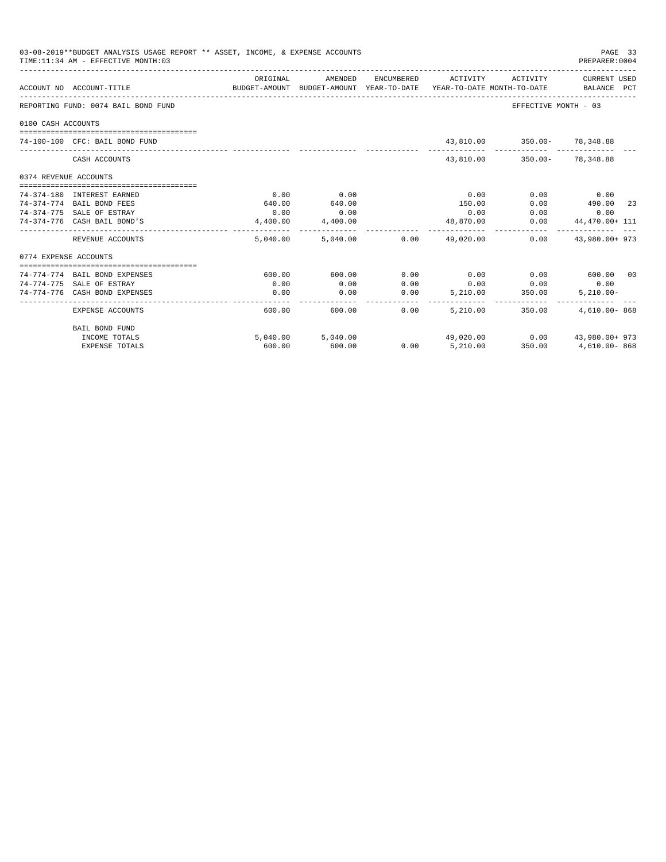| 03-08-2019**BUDGET ANALYSIS USAGE REPORT ** ASSET, INCOME, & EXPENSE ACCOUNTS<br>PAGE 33<br>TIME: 11:34 AM - EFFECTIVE MONTH: 03<br>PREPARER: 0004<br>ORIGINAL<br>AMENDED<br>ENCUMBERED<br>CURRENT USED<br>ACTIVITY<br>ACTIVITY<br>BALANCE PCT<br>ACCOUNT NO ACCOUNT-TITLE<br>BUDGET-AMOUNT BUDGET-AMOUNT YEAR-TO-DATE<br>YEAR-TO-DATE MONTH-TO-DATE<br>EFFECTIVE MONTH - 03<br>REPORTING FUND: 0074 BAIL BOND FUND<br>0100 CASH ACCOUNTS<br>43,810.00 350.00 - 78,348.88<br>74-100-100 CFC: BAIL BOND FUND<br>CASH ACCOUNTS<br>43,810.00<br>350.00- 78,348.88<br>0374 REVENUE ACCOUNTS<br>0.00<br>74-374-180 INTEREST EARNED<br>0.00<br>0.00<br>0.00<br>0.00<br>74-374-774 BAIL BOND FEES<br>640.00<br>640.00<br>150.00<br>0.00<br>490.00<br>-23<br>0.00<br>0.00<br>74-374-775 SALE OF ESTRAY<br>0.00<br>0.00<br>0.00<br>74-374-776 CASH BAIL BOND'S<br>4,400.00<br>4,400.00<br>48,870.00<br>0.00<br>44,470.00+ 111<br>.<br>43,980.00+973<br>0.00<br>0.00<br>REVENUE ACCOUNTS<br>5.040.00<br>5.040.00<br>49,020.00<br>0774 EXPENSE ACCOUNTS<br>600.00 00<br>0.00<br>0.00<br>74-774-774 BAIL BOND EXPENSES<br>600.00<br>600.00<br>0.00<br>74-774-775 SALE OF ESTRAY<br>0.00<br>0.00<br>0.00<br>0.00<br>0.00<br>0.00<br>74-774-776 CASH BOND EXPENSES<br>0.00<br>0.00<br>0.00<br>5.210.00<br>350.00<br>$5.210.00 -$<br>------ -<br>___________<br>0.00<br>5,210,00<br>350.00 |                         |        |                   |      |          |        |                                   |
|-----------------------------------------------------------------------------------------------------------------------------------------------------------------------------------------------------------------------------------------------------------------------------------------------------------------------------------------------------------------------------------------------------------------------------------------------------------------------------------------------------------------------------------------------------------------------------------------------------------------------------------------------------------------------------------------------------------------------------------------------------------------------------------------------------------------------------------------------------------------------------------------------------------------------------------------------------------------------------------------------------------------------------------------------------------------------------------------------------------------------------------------------------------------------------------------------------------------------------------------------------------------------------------------------------------------------------------------------------------------------------|-------------------------|--------|-------------------|------|----------|--------|-----------------------------------|
|                                                                                                                                                                                                                                                                                                                                                                                                                                                                                                                                                                                                                                                                                                                                                                                                                                                                                                                                                                                                                                                                                                                                                                                                                                                                                                                                                                             |                         |        |                   |      |          |        |                                   |
|                                                                                                                                                                                                                                                                                                                                                                                                                                                                                                                                                                                                                                                                                                                                                                                                                                                                                                                                                                                                                                                                                                                                                                                                                                                                                                                                                                             |                         |        |                   |      |          |        |                                   |
|                                                                                                                                                                                                                                                                                                                                                                                                                                                                                                                                                                                                                                                                                                                                                                                                                                                                                                                                                                                                                                                                                                                                                                                                                                                                                                                                                                             |                         |        |                   |      |          |        |                                   |
|                                                                                                                                                                                                                                                                                                                                                                                                                                                                                                                                                                                                                                                                                                                                                                                                                                                                                                                                                                                                                                                                                                                                                                                                                                                                                                                                                                             |                         |        |                   |      |          |        |                                   |
|                                                                                                                                                                                                                                                                                                                                                                                                                                                                                                                                                                                                                                                                                                                                                                                                                                                                                                                                                                                                                                                                                                                                                                                                                                                                                                                                                                             |                         |        |                   |      |          |        |                                   |
|                                                                                                                                                                                                                                                                                                                                                                                                                                                                                                                                                                                                                                                                                                                                                                                                                                                                                                                                                                                                                                                                                                                                                                                                                                                                                                                                                                             |                         |        |                   |      |          |        |                                   |
|                                                                                                                                                                                                                                                                                                                                                                                                                                                                                                                                                                                                                                                                                                                                                                                                                                                                                                                                                                                                                                                                                                                                                                                                                                                                                                                                                                             |                         |        |                   |      |          |        |                                   |
|                                                                                                                                                                                                                                                                                                                                                                                                                                                                                                                                                                                                                                                                                                                                                                                                                                                                                                                                                                                                                                                                                                                                                                                                                                                                                                                                                                             |                         |        |                   |      |          |        |                                   |
|                                                                                                                                                                                                                                                                                                                                                                                                                                                                                                                                                                                                                                                                                                                                                                                                                                                                                                                                                                                                                                                                                                                                                                                                                                                                                                                                                                             |                         |        |                   |      |          |        |                                   |
|                                                                                                                                                                                                                                                                                                                                                                                                                                                                                                                                                                                                                                                                                                                                                                                                                                                                                                                                                                                                                                                                                                                                                                                                                                                                                                                                                                             |                         |        |                   |      |          |        |                                   |
|                                                                                                                                                                                                                                                                                                                                                                                                                                                                                                                                                                                                                                                                                                                                                                                                                                                                                                                                                                                                                                                                                                                                                                                                                                                                                                                                                                             |                         |        |                   |      |          |        |                                   |
|                                                                                                                                                                                                                                                                                                                                                                                                                                                                                                                                                                                                                                                                                                                                                                                                                                                                                                                                                                                                                                                                                                                                                                                                                                                                                                                                                                             |                         |        |                   |      |          |        |                                   |
|                                                                                                                                                                                                                                                                                                                                                                                                                                                                                                                                                                                                                                                                                                                                                                                                                                                                                                                                                                                                                                                                                                                                                                                                                                                                                                                                                                             |                         |        |                   |      |          |        |                                   |
|                                                                                                                                                                                                                                                                                                                                                                                                                                                                                                                                                                                                                                                                                                                                                                                                                                                                                                                                                                                                                                                                                                                                                                                                                                                                                                                                                                             |                         |        |                   |      |          |        |                                   |
|                                                                                                                                                                                                                                                                                                                                                                                                                                                                                                                                                                                                                                                                                                                                                                                                                                                                                                                                                                                                                                                                                                                                                                                                                                                                                                                                                                             |                         |        |                   |      |          |        |                                   |
|                                                                                                                                                                                                                                                                                                                                                                                                                                                                                                                                                                                                                                                                                                                                                                                                                                                                                                                                                                                                                                                                                                                                                                                                                                                                                                                                                                             | <b>EXPENSE ACCOUNTS</b> | 600.00 | 600.00            |      |          |        | $4.610.00 - 868$                  |
|                                                                                                                                                                                                                                                                                                                                                                                                                                                                                                                                                                                                                                                                                                                                                                                                                                                                                                                                                                                                                                                                                                                                                                                                                                                                                                                                                                             | <b>BAIL BOND FUND</b>   |        |                   |      |          |        |                                   |
|                                                                                                                                                                                                                                                                                                                                                                                                                                                                                                                                                                                                                                                                                                                                                                                                                                                                                                                                                                                                                                                                                                                                                                                                                                                                                                                                                                             | INCOME TOTALS           |        | 5,040.00 5,040.00 |      |          |        | 49,020.00   0.00   43,980.00+ 973 |
|                                                                                                                                                                                                                                                                                                                                                                                                                                                                                                                                                                                                                                                                                                                                                                                                                                                                                                                                                                                                                                                                                                                                                                                                                                                                                                                                                                             | <b>EXPENSE TOTALS</b>   | 600.00 | 600.00            | 0.00 | 5,210.00 | 350.00 | 4,610.00-868                      |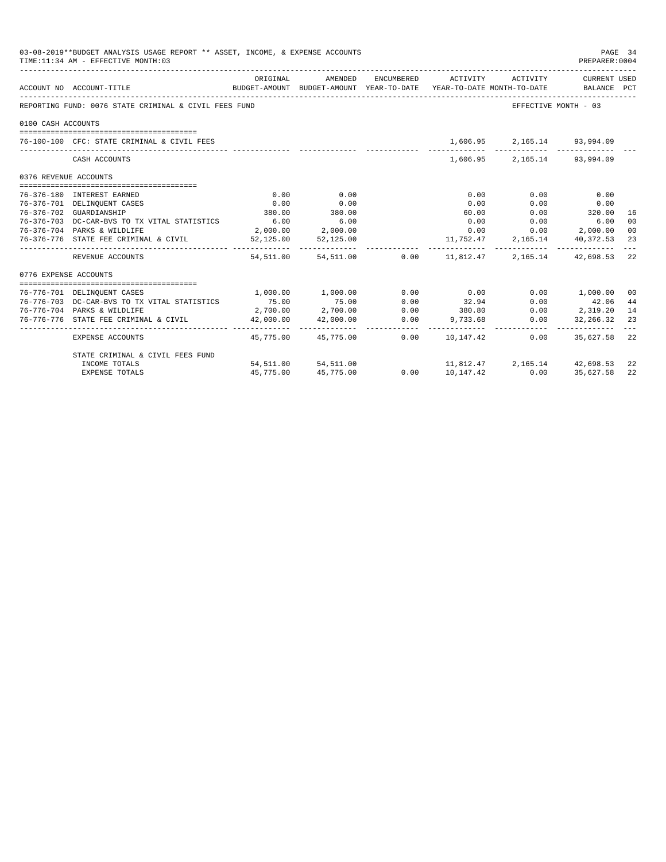|                       | 03-08-2019**BUDGET ANALYSIS USAGE REPORT ** ASSET, INCOME, & EXPENSE ACCOUNTS<br>TIME: 11:34 AM - EFFECTIVE MONTH: 03 |           |                       |                                                                                                                                      |                             | PAGE 34<br>PREPARER: 0004                                                               |                 |
|-----------------------|-----------------------------------------------------------------------------------------------------------------------|-----------|-----------------------|--------------------------------------------------------------------------------------------------------------------------------------|-----------------------------|-----------------------------------------------------------------------------------------|-----------------|
|                       | ACCOUNT NO ACCOUNT-TITLE                                                                                              | ORIGINAL  |                       | AMENDED ENCUMBERED ACTIVITY ACTIVITY CURRENT USED<br>BUDGET-AMOUNT BUDGET-AMOUNT YEAR-TO-DATE YEAR-TO-DATE MONTH-TO-DATE BALANCE PCT |                             |                                                                                         |                 |
|                       | REPORTING FUND: 0076 STATE CRIMINAL & CIVIL FEES FUND                                                                 |           |                       |                                                                                                                                      | EFFECTIVE MONTH - 03        |                                                                                         |                 |
| 0100 CASH ACCOUNTS    |                                                                                                                       |           |                       |                                                                                                                                      |                             |                                                                                         |                 |
|                       | 76-100-100 CFC: STATE CRIMINAL & CIVIL FEES                                                                           |           |                       |                                                                                                                                      | 1,606.95 2,165.14 93,994.09 |                                                                                         |                 |
|                       | CASH ACCOUNTS                                                                                                         |           |                       |                                                                                                                                      | 1,606.95 2,165.14 93,994.09 |                                                                                         |                 |
| 0376 REVENUE ACCOUNTS |                                                                                                                       |           |                       |                                                                                                                                      |                             |                                                                                         |                 |
|                       | 76-376-180 INTEREST EARNED                                                                                            | 0.00      | 0.00                  | 0.00                                                                                                                                 | 0.00                        | 0.00                                                                                    |                 |
|                       | 76-376-701 DELINQUENT CASES                                                                                           | 0.00      | 0.00                  | 0.00                                                                                                                                 | 0.00                        | 0.00                                                                                    |                 |
|                       | 76-376-702 GUARDIANSHIP                                                                                               | 380.00    | 380.00                | 60.00                                                                                                                                |                             | $0.00$ 320.00                                                                           | 16              |
|                       | 76-376-703 DC-CAR-BVS TO TX VITAL STATISTICS                                                                          | 6.00      | 6.00                  | 0.00                                                                                                                                 | 0.00                        | 6.00                                                                                    | 00              |
|                       | 76-376-704 PARKS & WILDLIFE                                                                                           |           | 2,000.00 2,000.00     | 0.00                                                                                                                                 |                             | $0.00$ 2,000.00                                                                         | 00              |
|                       | 76-376-776 STATE FEE CRIMINAL & CIVIL                                                                                 |           | 52,125.00 52,125.00   | 11, 752.47 2, 165.14 40, 372.53                                                                                                      |                             |                                                                                         | -23             |
|                       | REVENUE ACCOUNTS                                                                                                      | 54,511.00 |                       |                                                                                                                                      |                             |                                                                                         | $- - - -$<br>22 |
| 0776 EXPENSE ACCOUNTS |                                                                                                                       |           |                       |                                                                                                                                      |                             |                                                                                         |                 |
|                       | 76-776-701 DELINQUENT CASES                                                                                           |           | 1,000.00 1,000.00     | $0.00$ 0.00                                                                                                                          |                             | 0.00 1,000.00                                                                           | 00              |
|                       | 76-776-703 DC-CAR-BVS TO TX VITAL STATISTICS                                                                          | 75.00     | 75.00                 |                                                                                                                                      |                             |                                                                                         |                 |
|                       | 76-776-704 PARKS & WILDLIFE                                                                                           |           | $2,700.00$ $2,700.00$ |                                                                                                                                      |                             | $\begin{array}{cccc} 0.00 & & & 42.06 & & 44 \\ 0.00 & & & 2,319.20 & & 14 \end{array}$ |                 |
|                       | 76-776-776 STATE FEE CRIMINAL & CIVIL                                                                                 | 42,000.00 | 42,000.00             | $0.00$ $32.94$<br>$0.00$ $380.80$<br>$0.00$ $9,733.68$                                                                               | 0.00                        | 32, 266. 32 23                                                                          |                 |
|                       | EXPENSE ACCOUNTS                                                                                                      |           |                       | 45,775.00 45,775.00 0.00 10,147.42                                                                                                   | 0.00                        | 35,627.58                                                                               | 22              |
|                       | STATE CRIMINAL & CIVIL FEES FUND                                                                                      |           |                       |                                                                                                                                      |                             |                                                                                         |                 |
|                       | INCOME TOTALS                                                                                                         |           | 54,511.00 54,511.00   | $11,812.47 \qquad 2,165.14 \qquad 42,698.53$<br>0.00    10,147.42    0.00    35,627.58                                               |                             |                                                                                         | 22              |
|                       | <b>EXPENSE TOTALS</b>                                                                                                 | 45,775.00 | 45,775.00             |                                                                                                                                      |                             |                                                                                         | 22              |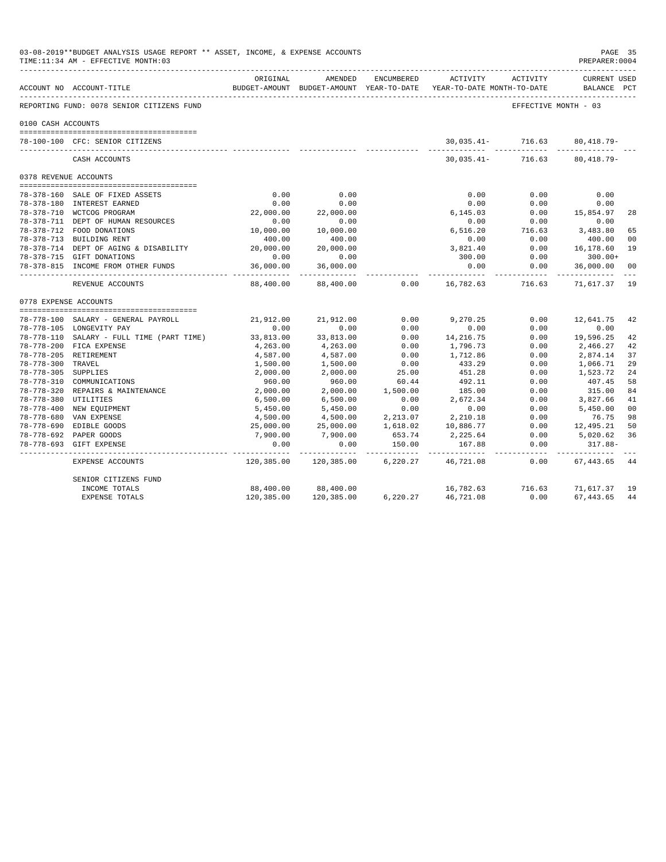|                       | 03-08-2019**BUDGET ANALYSIS USAGE REPORT ** ASSET, INCOME, & EXPENSE ACCOUNTS<br>TIME: 11:34 AM - EFFECTIVE MONTH: 03 |                         |                           |                          |                                                                                 |                                   | PAGE 35<br>PREPARER: 0004          |                |
|-----------------------|-----------------------------------------------------------------------------------------------------------------------|-------------------------|---------------------------|--------------------------|---------------------------------------------------------------------------------|-----------------------------------|------------------------------------|----------------|
|                       | ACCOUNT NO ACCOUNT-TITLE                                                                                              | ORIGINAL                | AMENDED                   | ENCUMBERED               | ACTIVITY<br>BUDGET-AMOUNT BUDGET-AMOUNT YEAR-TO-DATE YEAR-TO-DATE MONTH-TO-DATE | ACTIVITY                          | <b>CURRENT USED</b><br>BALANCE PCT |                |
|                       | REPORTING FUND: 0078 SENIOR CITIZENS FUND                                                                             |                         |                           |                          |                                                                                 | EFFECTIVE MONTH - 03              |                                    |                |
| 0100 CASH ACCOUNTS    |                                                                                                                       |                         |                           |                          |                                                                                 |                                   |                                    |                |
|                       | 78-100-100 CFC: SENIOR CITIZENS                                                                                       |                         |                           |                          |                                                                                 | 30,035.41- 716.63<br>------------ | $80,418.79-$                       |                |
|                       | CASH ACCOUNTS                                                                                                         |                         |                           |                          |                                                                                 | 30,035.41- 716.63                 | $80,418.79-$                       |                |
| 0378 REVENUE ACCOUNTS |                                                                                                                       |                         |                           |                          |                                                                                 |                                   |                                    |                |
|                       | 78-378-160 SALE OF FIXED ASSETS                                                                                       | 0.00                    | 0.00                      |                          | 0.00                                                                            | 0.00                              | 0.00                               |                |
|                       | 78-378-180 INTEREST EARNED                                                                                            | 0.00                    | 0.00                      |                          | 0.00                                                                            | 0.00                              | 0.00                               |                |
|                       | 78-378-710 WCTCOG PROGRAM                                                                                             | 22,000.00               | 22,000.00                 |                          | 6, 145.03                                                                       | 0.00                              | 15,854.97                          | 28             |
|                       | 78-378-711 DEPT OF HUMAN RESOURCES                                                                                    | 0.00                    | 0.00                      |                          | 0.00                                                                            | 0.00                              | 0.00                               |                |
|                       | 78-378-712 FOOD DONATIONS                                                                                             | 10,000.00               | 10,000.00                 |                          | 6,516.20                                                                        | 716.63                            | 3,483.80                           | 65             |
|                       | 78-378-713 BUILDING RENT                                                                                              | 400.00                  | 400.00                    |                          | 0.00                                                                            | 0.00                              | 400.00                             | 00             |
|                       | 78-378-714 DEPT OF AGING & DISABILITY                                                                                 | 20,000.00               | 20,000.00                 |                          | 3,821.40                                                                        | 0.00                              | 16,178.60                          | 19             |
|                       | 78-378-715 GIFT DONATIONS                                                                                             | 0.00                    | 0.00                      |                          | 300.00                                                                          | 0.00                              | $300.00+$                          |                |
|                       | 78-378-815 INCOME FROM OTHER FUNDS                                                                                    | 36,000.00<br>---------- | 36,000.00<br>.            |                          | 0.00<br>----------                                                              | 0.00<br>.                         | 36,000.00<br>-----------           | 00             |
|                       | REVENUE ACCOUNTS                                                                                                      | 88,400.00               | 88,400.00                 | 0.00                     | 16,782.63                                                                       | 716.63                            | 71,617.37 19                       |                |
| 0778 EXPENSE ACCOUNTS |                                                                                                                       |                         |                           |                          |                                                                                 |                                   |                                    |                |
|                       |                                                                                                                       |                         |                           |                          |                                                                                 |                                   |                                    |                |
|                       | 78-778-100 SALARY - GENERAL PAYROLL<br>78-778-105 LONGEVITY PAY                                                       | 21,912.00<br>0.00       | 21,912.00<br>0.00         | 0.00<br>0.00             | 9,270.25<br>0.00                                                                | 0.00<br>0.00                      | 12,641.75                          | 42             |
|                       | 78-778-110 SALARY - FULL TIME (PART TIME)                                                                             | 33,813.00               | 33,813.00                 | 0.00                     | 14, 216.75                                                                      | 0.00                              | 0.00<br>19,596.25                  | 42             |
|                       | 78-778-200 FICA EXPENSE                                                                                               | 4,263.00                | 4,263.00                  | 0.00                     | 1,796.73                                                                        | 0.00                              | 2,466.27                           | 42             |
|                       | 78-778-205 RETIREMENT                                                                                                 | 4,587.00                | 4,587.00                  | 0.00                     | 1,712.86                                                                        | 0.00                              | 2,874.14                           | 37             |
| 78-778-300 TRAVEL     |                                                                                                                       | 1,500.00                | 1,500.00                  | 0.00                     | 433.29                                                                          | 0.00                              | 1,066.71                           | 29             |
| 78-778-305 SUPPLIES   |                                                                                                                       | 2,000.00                | 2,000.00                  | 25.00                    | 451.28                                                                          | 0.00                              | 1,523.72                           | 24             |
|                       | 78-778-310 COMMUNICATIONS                                                                                             | 960.00                  | 960.00                    | 60.44                    | 492.11                                                                          | 0.00                              | 407.45                             | 58             |
|                       | 78-778-320 REPAIRS & MAINTENANCE                                                                                      | 2,000.00                | 2,000.00                  | 1,500.00                 | 185.00                                                                          | 0.00                              | 315.00                             | 84             |
| 78-778-380 UTILITIES  |                                                                                                                       | 6,500.00                | 6,500.00                  | 0.00                     | 2,672.34                                                                        | 0.00                              | 3,827.66                           | 41             |
|                       | 78-778-400 NEW EQUIPMENT                                                                                              | 5,450.00                | 5,450.00                  | 0.00                     | 0.00                                                                            | 0.00                              | 5,450.00                           | 0 <sub>0</sub> |
|                       | 78-778-680 VAN EXPENSE                                                                                                | 4,500.00                | 4,500.00                  | 2,213.07                 | 2,210.18                                                                        | 0.00                              | 76.75                              | 98             |
|                       | 78-778-690 EDIBLE GOODS                                                                                               | 25,000.00               | 25,000.00                 | 1,618.02                 | 10,886.77                                                                       | 0.00                              | 12,495.21                          | 50             |
|                       | 78-778-692 PAPER GOODS                                                                                                | 7,900.00                | 7,900.00                  | 653.74                   | 2,225.64                                                                        | 0.00                              | 5,020.62                           | 36             |
|                       | 78-778-693 GIFT EXPENSE                                                                                               | 0.00                    | 0.00                      | 150.00                   | 167.88                                                                          | 0.00                              | $317.88 -$                         |                |
|                       | EXPENSE ACCOUNTS                                                                                                      | .<br>120,385.00         | -----------<br>120,385.00 | ------------<br>6,220.27 | -------------<br>46,721.08                                                      | -----------<br>0.00               | -------------<br>67, 443.65        | 44             |
|                       | SENIOR CITIZENS FUND                                                                                                  |                         |                           |                          |                                                                                 |                                   |                                    |                |
|                       | INCOME TOTALS                                                                                                         | 88,400.00               | 88,400.00                 |                          |                                                                                 | 16,782.63 716.63                  | 71,617.37                          | 19             |
|                       | <b>EXPENSE TOTALS</b>                                                                                                 | 120,385.00              | 120,385.00                | 6,220.27 46,721.08       |                                                                                 | 0.00                              | 67, 443.65                         | 44             |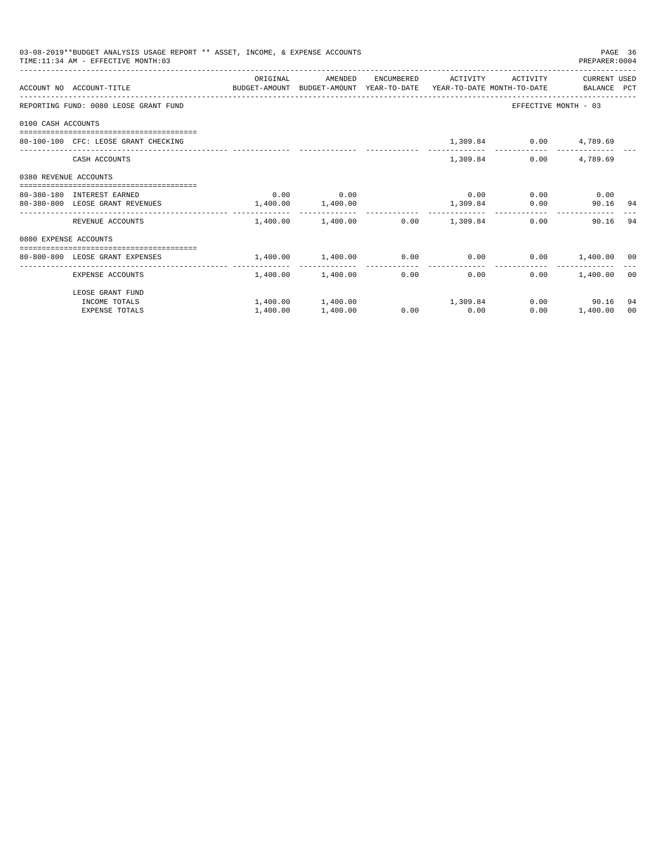|                       | 03-08-2019**BUDGET ANALYSIS USAGE REPORT ** ASSET, INCOME, & EXPENSE ACCOUNTS<br>TIME: 11:34 AM - EFFECTIVE MONTH: 03 |                       |                                                            |              |                     |                             | PREPARER: 0004       | PAGE 36 |
|-----------------------|-----------------------------------------------------------------------------------------------------------------------|-----------------------|------------------------------------------------------------|--------------|---------------------|-----------------------------|----------------------|---------|
|                       |                                                                                                                       | ORIGINAL              | AMENDED                                                    |              | ENCUMBERED ACTIVITY | ACTIVITY                    | CURRENT USED         |         |
|                       | ACCOUNT NO ACCOUNT-TITLE CONTROL SUDGET-AMOUNT BUDGET-AMOUNT YEAR-TO-DATE YEAR-TO-DATE MONTH-TO-DATE BALANCE PCT      |                       |                                                            |              |                     |                             |                      |         |
|                       | REPORTING FUND: 0080 LEOSE GRANT FUND                                                                                 |                       |                                                            |              |                     |                             | EFFECTIVE MONTH - 03 |         |
| 0100 CASH ACCOUNTS    |                                                                                                                       |                       |                                                            |              |                     |                             |                      |         |
|                       | 80-100-100 CFC: LEOSE GRANT CHECKING                                                                                  |                       |                                                            |              |                     | 1,309.84 0.00 4,789.69      |                      |         |
|                       | CASH ACCOUNTS                                                                                                         |                       |                                                            |              | 1,309.84            | 0.00                        | 4,789.69             |         |
| 0380 REVENUE ACCOUNTS |                                                                                                                       |                       |                                                            |              |                     |                             |                      |         |
|                       | 80-380-180 INTEREST EARNED                                                                                            |                       | $0.00$ 0.00                                                |              |                     | $0.00$ $0.00$ $0.00$ $0.00$ |                      |         |
|                       | 80-380-800 LEOSE GRANT REVENUES                                                                                       | $1,400.00$ $1,400.00$ |                                                            |              | 1,309.84            |                             | 0.00<br>90.16 94     |         |
|                       | REVENUE ACCOUNTS                                                                                                      |                       | $1,400.00$ $1,400.00$ $0.00$ $1,309.84$                    |              |                     |                             | 0.00<br>90.16        | 94      |
| 0800 EXPENSE ACCOUNTS |                                                                                                                       |                       |                                                            |              |                     |                             |                      |         |
|                       | ------------------------------------<br>80-800-800 LEOSE GRANT EXPENSES                                               |                       | $1,400.00$ $1,400.00$ $0.00$ $0.00$ $0.00$ $1,400.00$ $00$ |              |                     |                             |                      |         |
|                       |                                                                                                                       |                       |                                                            | ------------ |                     |                             |                      |         |
|                       | EXPENSE ACCOUNTS                                                                                                      |                       | 1,400.00 1,400.00                                          |              | 0.00                | 0.00                        | $0.00$ 1,400.00 00   |         |
|                       | LEOSE GRANT FUND                                                                                                      |                       |                                                            |              |                     |                             |                      |         |
|                       | INCOME TOTALS                                                                                                         |                       | $1,400.00$ $1,400.00$ $1,309.84$                           |              |                     |                             | $0.00$ 90.16         | 94      |
|                       | <b>EXPENSE TOTALS</b>                                                                                                 | 1,400.00              | 1,400.00                                                   |              | $0.00$ 0.00         | 0.00                        | 1,400.00             | 00      |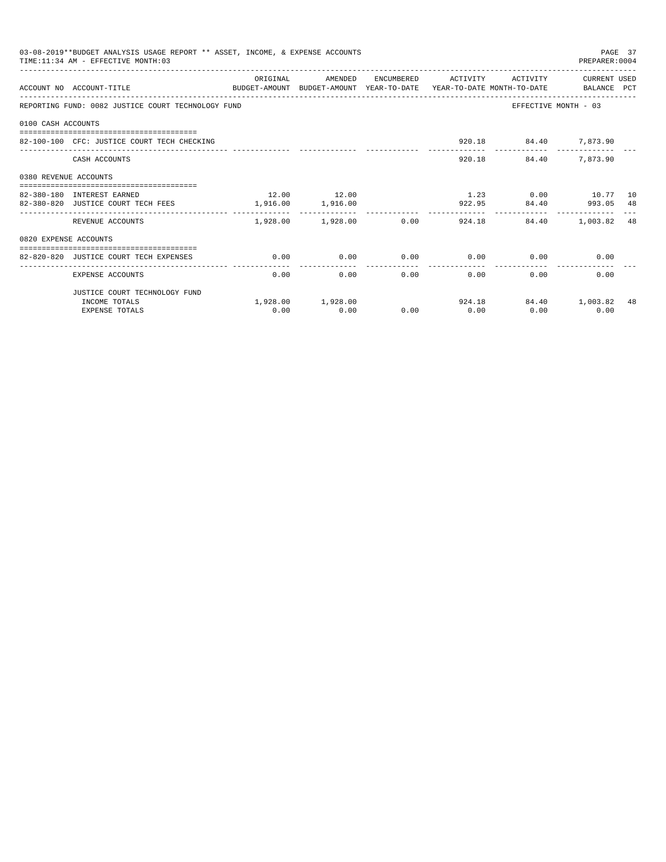| 03-08-2019**BUDGET ANALYSIS USAGE REPORT ** ASSET, INCOME, & EXPENSE ACCOUNTS<br>PAGE 37<br>TIME: 11:34 AM - EFFECTIVE MONTH: 03<br>PREPARER: 0004 |                                                                                                                   |                   |                                                               |      |      |                                                  |                      |           |  |
|----------------------------------------------------------------------------------------------------------------------------------------------------|-------------------------------------------------------------------------------------------------------------------|-------------------|---------------------------------------------------------------|------|------|--------------------------------------------------|----------------------|-----------|--|
|                                                                                                                                                    | ACCOUNT NO ACCOUNT-TITLE CONTROL PROTECT-AMOUNT BUDGET-AMOUNT YEAR-TO-DATE YEAR-TO-DATE MONTH-TO-DATE BALANCE PCT | ORIGINAL          | AMENDED                                                       |      |      | ENCUMBERED ACTIVITY ACTIVITY CURRENT USED        |                      |           |  |
|                                                                                                                                                    | REPORTING FUND: 0082 JUSTICE COURT TECHNOLOGY FUND                                                                |                   |                                                               |      |      |                                                  | EFFECTIVE MONTH - 03 |           |  |
| 0100 CASH ACCOUNTS                                                                                                                                 |                                                                                                                   |                   |                                                               |      |      |                                                  |                      |           |  |
|                                                                                                                                                    | 82-100-100 CFC: JUSTICE COURT TECH CHECKING                                                                       |                   |                                                               |      |      | 920.18 84.40 7,873.90<br>-------------           |                      |           |  |
|                                                                                                                                                    | CASH ACCOUNTS                                                                                                     |                   |                                                               |      |      | 920.18 84.40 7,873.90                            |                      |           |  |
| 0380 REVENUE ACCOUNTS                                                                                                                              |                                                                                                                   |                   |                                                               |      |      |                                                  |                      |           |  |
|                                                                                                                                                    |                                                                                                                   |                   |                                                               |      |      |                                                  |                      |           |  |
|                                                                                                                                                    | 82-380-180 INTEREST EARNED                                                                                        |                   | 12.00 12.00                                                   |      |      | $1.23$ 0.00 $10.77$                              |                      | 10        |  |
|                                                                                                                                                    | 82-380-820 JUSTICE COURT TECH FEES                                                                                | 1,916.00 1,916.00 |                                                               |      |      | 922.95 84.40 993.05 48                           |                      | $- - - -$ |  |
|                                                                                                                                                    | REVENUE ACCOUNTS                                                                                                  |                   | $1.928.00$ $1.928.00$ $0.00$ $924.18$ $84.40$ $1.003.82$ $48$ |      |      |                                                  |                      |           |  |
| 0820 EXPENSE ACCOUNTS                                                                                                                              |                                                                                                                   |                   |                                                               |      |      |                                                  |                      |           |  |
|                                                                                                                                                    |                                                                                                                   |                   |                                                               |      |      |                                                  |                      |           |  |
|                                                                                                                                                    | 82-820-820 JUSTICE COURT TECH EXPENSES                                                                            | 0.00              |                                                               |      |      | $0.00$ $0.00$ $0.00$ $0.00$ $0.00$ $0.00$ $0.00$ |                      |           |  |
|                                                                                                                                                    | EXPENSE ACCOUNTS                                                                                                  | 0.00              |                                                               | 0.00 | 0.00 | 0.00                                             | 0.00<br>0.00         |           |  |
|                                                                                                                                                    | JUSTICE COURT TECHNOLOGY FUND                                                                                     |                   |                                                               |      |      |                                                  |                      |           |  |
|                                                                                                                                                    | INCOME TOTALS                                                                                                     |                   | $1,928.00$ $1,928.00$ $924.18$ $84.40$ $1,003.82$             |      |      |                                                  |                      | 48        |  |
|                                                                                                                                                    | <b>EXPENSE TOTALS</b>                                                                                             | 0.00              | 0.00                                                          | 0.00 | 0.00 | 0.00                                             | 0.00                 |           |  |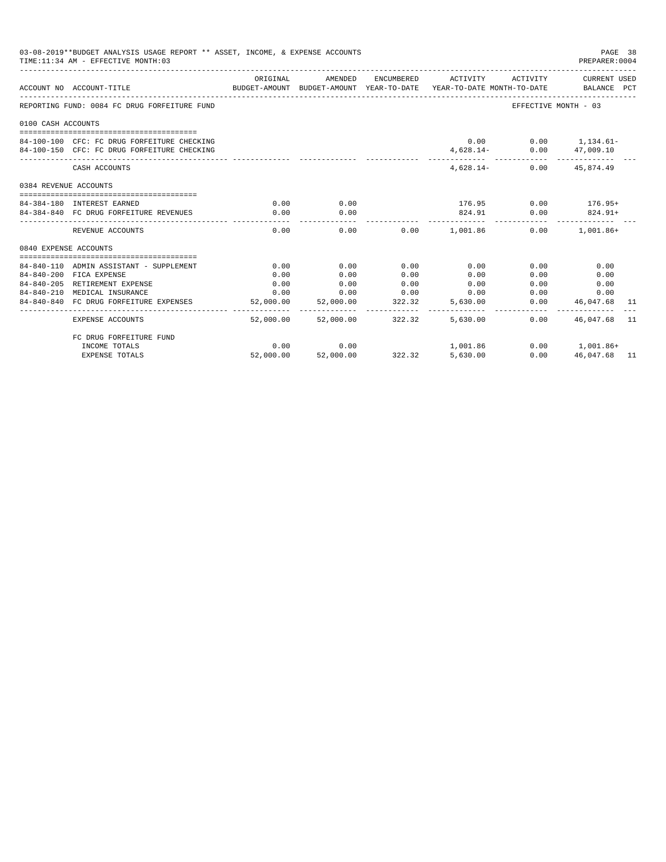| 03-08-2019**BUDGET ANALYSIS USAGE REPORT ** ASSET, INCOME, & EXPENSE ACCOUNTS<br>TIME: 11:34 AM - EFFECTIVE MONTH: 03 |                                                                                            |                                |                        |        |                                                                                                        |                               |                  | PAGE 38<br>PREPARER: 0004 |
|-----------------------------------------------------------------------------------------------------------------------|--------------------------------------------------------------------------------------------|--------------------------------|------------------------|--------|--------------------------------------------------------------------------------------------------------|-------------------------------|------------------|---------------------------|
|                                                                                                                       | ACCOUNT NO ACCOUNT-TITLE                                                                   | ORIGINAL                       | AMENDED                |        | ENCUMBERED ACTIVITY<br>BUDGET-AMOUNT BUDGET-AMOUNT YEAR-TO-DATE YEAR-TO-DATE MONTH-TO-DATE BALANCE PCT | ACTIVITY                      | CURRENT USED     |                           |
|                                                                                                                       | REPORTING FUND: 0084 FC DRUG FORFEITURE FUND                                               |                                |                        |        |                                                                                                        | EFFECTIVE MONTH - 03          |                  |                           |
| 0100 CASH ACCOUNTS                                                                                                    |                                                                                            |                                |                        |        |                                                                                                        |                               |                  |                           |
|                                                                                                                       | 84-100-100 CFC: FC DRUG FORFEITURE CHECKING<br>84-100-150 CFC: FC DRUG FORFEITURE CHECKING |                                |                        |        | $4,628.14-$                                                                                            | $0.00$ $0.00$ $1,134.61-$     | $0.00$ 47,009.10 |                           |
|                                                                                                                       | CASH ACCOUNTS                                                                              |                                |                        |        |                                                                                                        | $4.628.14 - 0.00$ $45.874.49$ |                  |                           |
| 0384 REVENUE ACCOUNTS                                                                                                 |                                                                                            |                                |                        |        |                                                                                                        |                               |                  |                           |
|                                                                                                                       |                                                                                            |                                | 0.00                   |        |                                                                                                        |                               |                  |                           |
|                                                                                                                       | 84-384-180 INTEREST EARNED<br>84-384-840 FC DRUG FORFEITURE REVENUES                       | 0.00<br>0.00                   | $\overline{0.00}$      |        | 824.91                                                                                                 | $176.95$ 0.00 $176.95+$       | $0.00$ $824.91+$ |                           |
|                                                                                                                       | REVENUE ACCOUNTS                                                                           | 0.00                           | --------------<br>0.00 |        | -------------<br>0.00 1,001.86                                                                         | --------------                | $0.00$ 1,001.86+ |                           |
| 0840 EXPENSE ACCOUNTS                                                                                                 |                                                                                            |                                |                        |        |                                                                                                        |                               |                  |                           |
|                                                                                                                       |                                                                                            |                                |                        |        |                                                                                                        |                               |                  |                           |
|                                                                                                                       | 84-840-110 ADMIN ASSISTANT - SUPPLEMENT                                                    | 0.00                           | 0.00                   | 0.00   | 0.00                                                                                                   | 0.00                          | 0.00             |                           |
|                                                                                                                       | 84-840-200 FICA EXPENSE                                                                    | 0.00                           | 0.00                   | 0.00   | 0.00                                                                                                   | 0.00                          | 0.00             |                           |
|                                                                                                                       | 84-840-205 RETIREMENT EXPENSE                                                              | 0.00                           | 0.00                   | 0.00   | 0.00                                                                                                   | 0.00                          | 0.00             |                           |
|                                                                                                                       | 84-840-210 MEDICAL INSURANCE                                                               | 0.00                           | 0.00                   | 0.00   | 0.00                                                                                                   | 0.00                          | 0.00             |                           |
|                                                                                                                       | 84-840-840 FC DRUG FORFEITURE EXPENSES                                                     | 52,000.00<br>. _ _ _ _ _ _ _ _ | 52,000.00              | 322.32 | 5,630,00                                                                                               | 0.00                          | 46,047.68 11     |                           |
|                                                                                                                       | <b>EXPENSE ACCOUNTS</b>                                                                    | 52,000.00                      | 52,000.00              | 322.32 | 5,630,00                                                                                               | 0.00                          | 46,047.68 11     |                           |
|                                                                                                                       | FC DRUG FORFEITURE FUND                                                                    |                                |                        |        |                                                                                                        |                               |                  |                           |
|                                                                                                                       | INCOME TOTALS                                                                              | 0.00                           | 0.00                   |        | 1,001.86                                                                                               |                               | $0.00 1,001.86+$ |                           |
|                                                                                                                       | <b>EXPENSE TOTALS</b>                                                                      | 52,000.00                      | 52,000.00              | 322.32 | 5,630.00                                                                                               | 0.00                          | 46,047.68 11     |                           |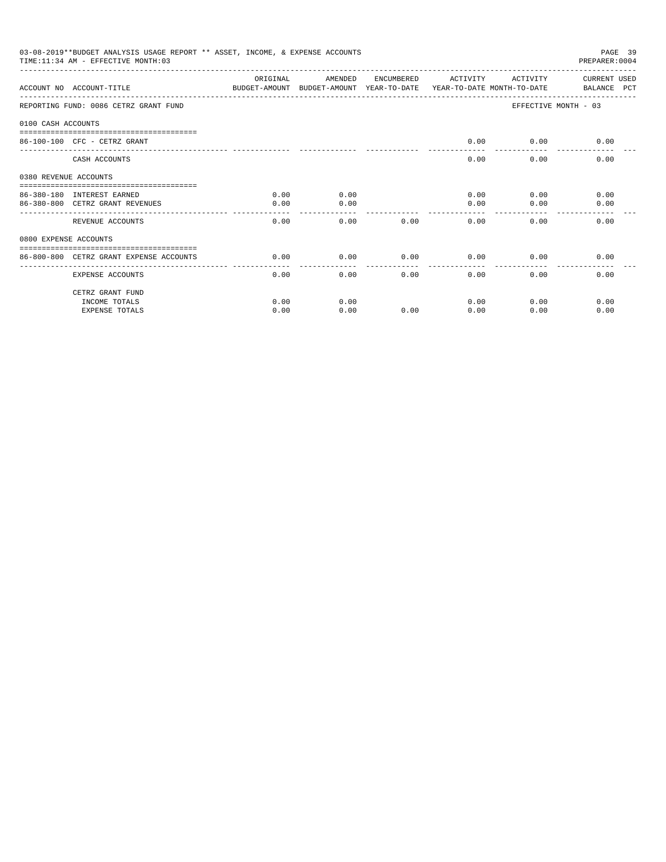| 03-08-2019**BUDGET ANALYSIS USAGE REPORT ** ASSET, INCOME, & EXPENSE ACCOUNTS<br>TIME: 11:34 AM - EFFECTIVE MONTH: 03<br>PREPARER: 0004 |                                                                                                                     |          |         |      |                     |                      |              |  |
|-----------------------------------------------------------------------------------------------------------------------------------------|---------------------------------------------------------------------------------------------------------------------|----------|---------|------|---------------------|----------------------|--------------|--|
|                                                                                                                                         | ACCOUNT NO ACCOUNT-TITLE CONTROL TO BUDGET-AMOUNT BUDGET-AMOUNT YEAR-TO-DATE YEAR-TO-DATE MONTH-TO-DATE BALANCE PCT | ORIGINAL | AMENDED |      | ENCUMBERED ACTIVITY | ACTIVITY             | CURRENT USED |  |
|                                                                                                                                         | REPORTING FUND: 0086 CETRZ GRANT FUND                                                                               |          |         |      |                     | EFFECTIVE MONTH - 03 |              |  |
| 0100 CASH ACCOUNTS                                                                                                                      |                                                                                                                     |          |         |      |                     |                      |              |  |
|                                                                                                                                         | 86-100-100 CFC - CETRZ GRANT                                                                                        |          |         |      | 0.00                | 0.00                 | 0.00         |  |
|                                                                                                                                         | CASH ACCOUNTS                                                                                                       |          |         |      | 0.00                | 0.00                 | 0.00         |  |
| 0380 REVENUE ACCOUNTS                                                                                                                   | =============================                                                                                       |          |         |      |                     |                      |              |  |
|                                                                                                                                         | 86-380-180 INTEREST EARNED                                                                                          | 0.00     | 0.00    |      | 0.00                | 0.00                 | 0.00         |  |
|                                                                                                                                         | 86-380-800 CETRZ GRANT REVENUES                                                                                     | 0.00     | 0.00    |      | 0.00                | 0.00                 | 0.00         |  |
|                                                                                                                                         | REVENUE ACCOUNTS                                                                                                    | 0.00     | 0.00    | 0.00 | 0.00                | 0.00                 | 0.00         |  |
| 0800 EXPENSE ACCOUNTS                                                                                                                   |                                                                                                                     |          |         |      |                     |                      |              |  |
|                                                                                                                                         | 86-800-800 CETRZ GRANT EXPENSE ACCOUNTS                                                                             | 0.00     | 0.00    | 0.00 | 0.00                | 0.00                 | 0.00         |  |
|                                                                                                                                         | EXPENSE ACCOUNTS                                                                                                    | 0.00     | 0.00    | 0.00 | 0.00                | 0.00                 | 0.00         |  |
|                                                                                                                                         | CETRZ GRANT FUND                                                                                                    |          |         |      |                     |                      |              |  |
|                                                                                                                                         | INCOME TOTALS                                                                                                       | 0.00     | 0.00    |      | 0.00                | 0.00                 | 0.00         |  |
|                                                                                                                                         | <b>EXPENSE TOTALS</b>                                                                                               | 0.00     | 0.00    | 0.00 | 0.00                | 0.00                 | 0.00         |  |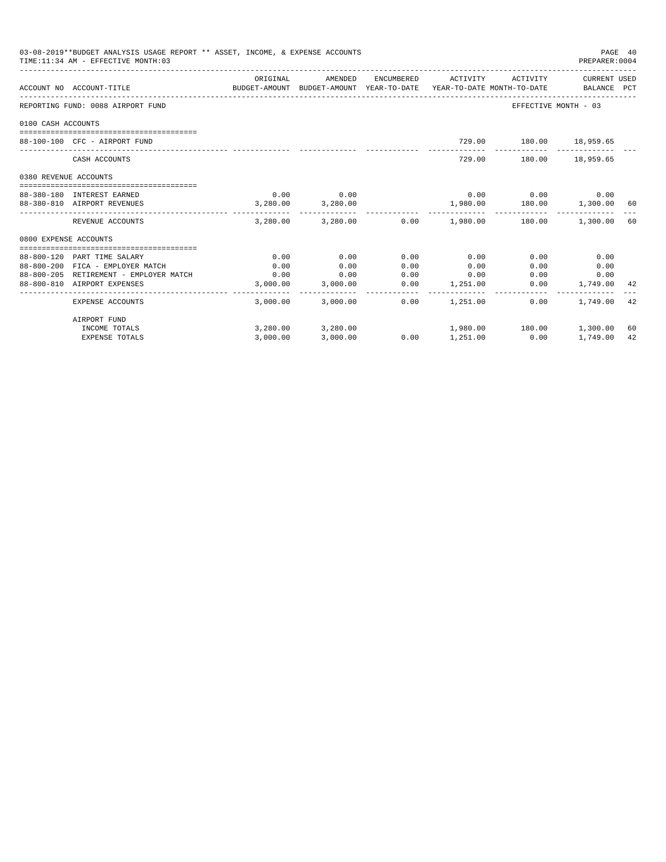|                       | 03-08-2019**BUDGET ANALYSIS USAGE REPORT ** ASSET, INCOME, & EXPENSE ACCOUNTS<br>TIME: 11:34 AM - EFFECTIVE MONTH: 03 |                                                                                             |                   |              |                                                           |                             | PAGE 40<br>PREPARER: 0004 |  |
|-----------------------|-----------------------------------------------------------------------------------------------------------------------|---------------------------------------------------------------------------------------------|-------------------|--------------|-----------------------------------------------------------|-----------------------------|---------------------------|--|
|                       | ACCOUNT NO ACCOUNT-TITLE                                                                                              | ORIGINAL<br>BUDGET-AMOUNT BUDGET-AMOUNT YEAR-TO-DATE YEAR-TO-DATE MONTH-TO-DATE BALANCE PCT | AMENDED           |              | ENCUMBERED ACTIVITY ACTIVITY CURRENT USED                 |                             |                           |  |
|                       | REPORTING FUND: 0088 AIRPORT FUND                                                                                     |                                                                                             |                   |              |                                                           | EFFECTIVE MONTH - 03        |                           |  |
| 0100 CASH ACCOUNTS    |                                                                                                                       |                                                                                             |                   |              |                                                           |                             |                           |  |
|                       | 88-100-100 CFC - AIRPORT FUND                                                                                         |                                                                                             |                   |              |                                                           | 729.00 180.00 18,959.65     |                           |  |
|                       | CASH ACCOUNTS                                                                                                         |                                                                                             |                   |              |                                                           | 729.00 180.00 18,959.65     |                           |  |
| 0380 REVENUE ACCOUNTS |                                                                                                                       |                                                                                             |                   |              |                                                           |                             |                           |  |
|                       | 88-380-180 INTEREST EARNED                                                                                            | 0.00                                                                                        | 0.00              |              |                                                           | $0.00$ $0.00$ $0.00$ $0.00$ |                           |  |
|                       | 88-380-810 AIRPORT REVENUES                                                                                           | $3,280.00$ $3,280.00$                                                                       |                   |              | $1,980.00$ $180.00$ $1,300.00$ $60$                       |                             |                           |  |
|                       | REVENUE ACCOUNTS                                                                                                      |                                                                                             |                   |              | $3,280.00$ $3,280.00$ $0.00$ $1,980.00$ $180.00$          |                             | 1,300.00 60               |  |
| 0800 EXPENSE ACCOUNTS |                                                                                                                       |                                                                                             |                   |              |                                                           |                             |                           |  |
|                       |                                                                                                                       |                                                                                             |                   |              |                                                           |                             |                           |  |
|                       | 88-800-120 PART TIME SALARY                                                                                           | 0.00                                                                                        | 0.00              | 0.00         | 0.00                                                      | 0.00                        | 0.00                      |  |
|                       | 88-800-200 FICA - EMPLOYER MATCH<br>88-800-205 RETIREMENT - EMPLOYER MATCH                                            | 0.00<br>0.00                                                                                | 0.00<br>0.00      | 0.00<br>0.00 | 0.00<br>0.00                                              | 0.00                        | 0.00<br>0.00<br>0.00      |  |
|                       | 88-800-810 AIRPORT EXPENSES                                                                                           |                                                                                             | 3,000.00 3,000.00 |              | 0.00 1,251.00                                             | 0.00                        | 1,749.00 42               |  |
|                       | <b>EXPENSE ACCOUNTS</b>                                                                                               |                                                                                             | 3,000.00 3,000.00 | 0.00         | 1,251.00                                                  | $0.00 -$                    | 1,749.00 42               |  |
|                       | AIRPORT FUND                                                                                                          |                                                                                             |                   |              |                                                           |                             |                           |  |
|                       | INCOME TOTALS                                                                                                         |                                                                                             |                   |              | $3,280.00$ $3,280.00$ $1,980.00$ $180.00$ $1,300.00$ $60$ |                             |                           |  |
|                       | <b>EXPENSE TOTALS</b>                                                                                                 | 3,000.00                                                                                    | 3,000.00          |              | $0.00$ 1,251.00                                           | 0.00                        | 1,749.00 42               |  |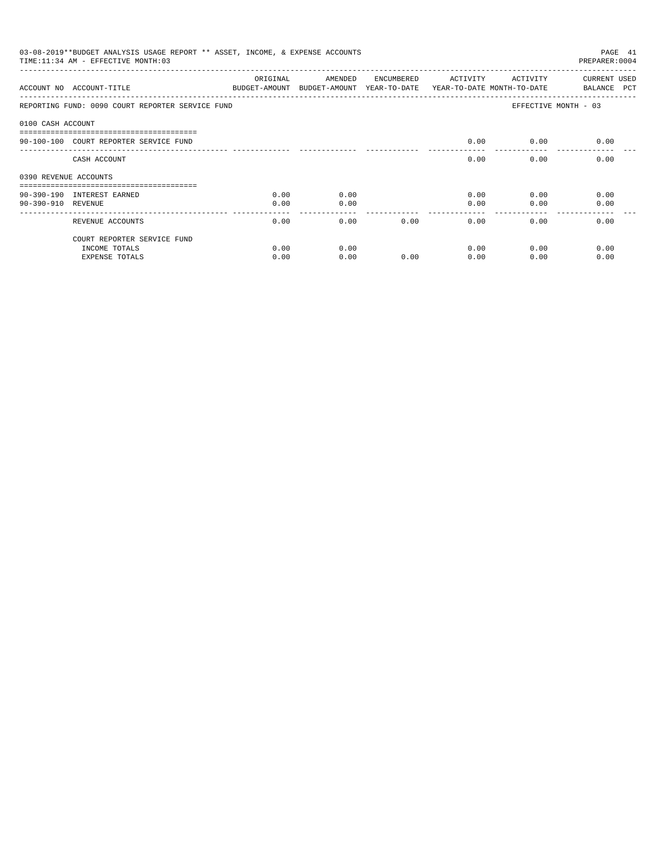| 03-08-2019**BUDGET ANALYSIS USAGE REPORT ** ASSET, INCOME, & EXPENSE ACCOUNTS<br>PAGE 41<br>TIME: 11:34 AM - EFFECTIVE MONTH: 03<br>PREPARER: 0004 |                                                                |          |                                                     |            |          |                                        |                                    |  |
|----------------------------------------------------------------------------------------------------------------------------------------------------|----------------------------------------------------------------|----------|-----------------------------------------------------|------------|----------|----------------------------------------|------------------------------------|--|
|                                                                                                                                                    | ACCOUNT NO ACCOUNT-TITLE                                       | ORIGINAL | AMENDED<br>BUDGET-AMOUNT BUDGET-AMOUNT YEAR-TO-DATE | ENCUMBERED | ACTIVITY | ACTIVITY<br>YEAR-TO-DATE MONTH-TO-DATE | <b>CURRENT USED</b><br>BALANCE PCT |  |
|                                                                                                                                                    | REPORTING FUND: 0090 COURT REPORTER SERVICE FUND               |          |                                                     |            |          |                                        | EFFECTIVE MONTH - 03               |  |
| 0100 CASH ACCOUNT                                                                                                                                  |                                                                |          |                                                     |            |          |                                        |                                    |  |
|                                                                                                                                                    | 90-100-100 COURT REPORTER SERVICE FUND                         |          |                                                     |            | 0.00     | 0.00                                   | 0.00                               |  |
|                                                                                                                                                    | CASH ACCOUNT                                                   |          |                                                     |            | 0.00     | 0.00                                   | 0.00                               |  |
| 0390 REVENUE ACCOUNTS                                                                                                                              |                                                                |          |                                                     |            |          |                                        |                                    |  |
|                                                                                                                                                    | --------------------------------<br>90-390-190 INTEREST EARNED | 0.00     | 0.00                                                |            | 0.00     | 0.00                                   | 0.00                               |  |
| 90-390-910 REVENUE                                                                                                                                 |                                                                | 0.00     | 0.00                                                |            | 0.00     | 0.00                                   | 0.00                               |  |
|                                                                                                                                                    | REVENUE ACCOUNTS                                               | 0.00     | 0.00                                                | 0.00       | 0.00     | 0.00                                   | 0.00                               |  |
|                                                                                                                                                    | COURT REPORTER SERVICE FUND                                    |          |                                                     |            |          |                                        |                                    |  |
|                                                                                                                                                    | INCOME TOTALS                                                  | 0.00     | 0.00                                                |            | 0.00     | 0.00                                   | 0.00                               |  |
|                                                                                                                                                    | <b>EXPENSE TOTALS</b>                                          | 0.00     | 0.00                                                | 0.00       | 0.00     | 0.00                                   | 0.00                               |  |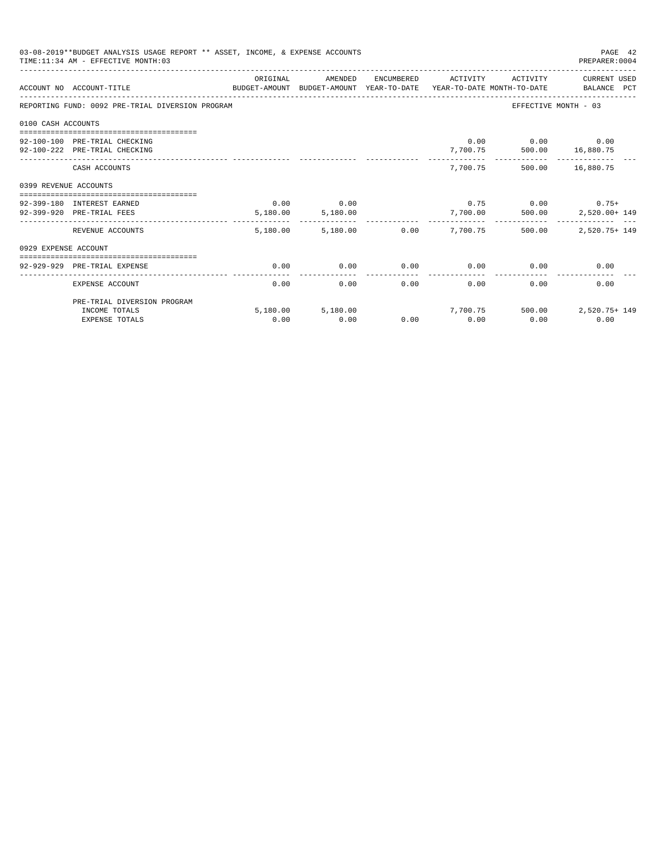|                       | 03-08-2019**BUDGET ANALYSIS USAGE REPORT ** ASSET, INCOME, & EXPENSE ACCOUNTS<br>TIME: 11:34 AM - EFFECTIVE MONTH: 03 |          |                   |               |                     |                                                         | PAGE 42<br>PREPARER: 0004     |
|-----------------------|-----------------------------------------------------------------------------------------------------------------------|----------|-------------------|---------------|---------------------|---------------------------------------------------------|-------------------------------|
|                       | ACCOUNT NO ACCOUNT-TITLE COMPUTER ANOUNT BUDGET-AMOUNT HEAR-TO-DATE YEAR-TO-DATE MONTH-TO-DATE BALANCE PCT            | ORIGINAL | AMENDED           |               | ENCUMBERED ACTIVITY | ACTIVITY                                                | CURRENT USED                  |
|                       | REPORTING FUND: 0092 PRE-TRIAL DIVERSION PROGRAM                                                                      |          |                   |               |                     |                                                         | EFFECTIVE MONTH - 03          |
| 0100 CASH ACCOUNTS    |                                                                                                                       |          |                   |               |                     |                                                         |                               |
|                       |                                                                                                                       |          |                   |               |                     |                                                         |                               |
|                       | 92-100-100 PRE-TRIAL CHECKING                                                                                         |          |                   |               |                     | $0.00$ $0.00$ $0.00$ $0.00$                             |                               |
|                       | 92-100-222 PRE-TRIAL CHECKING                                                                                         |          |                   |               |                     | $7,700.75 \qquad \qquad 500.00 \qquad \qquad 16,880.75$ |                               |
|                       | CASH ACCOUNTS                                                                                                         |          |                   |               |                     | 7,700.75 500.00 16,880.75                               |                               |
| 0399 REVENUE ACCOUNTS |                                                                                                                       |          |                   |               |                     |                                                         |                               |
|                       | 92-399-180 INTEREST EARNED                                                                                            | 0.00     | 0.00              |               |                     |                                                         | $0.75$ $0.00$ $0.75+$         |
|                       | 92-399-920 PRE-TRIAL FEES                                                                                             |          |                   |               |                     |                                                         |                               |
|                       |                                                                                                                       |          | 5,180.00 5,180.00 |               |                     |                                                         | 7,700.00 500.00 2,520.00+ 149 |
|                       | REVENUE ACCOUNTS                                                                                                      | 5,180.00 |                   | 5,180.00 0.00 | 7,700.75            | 500.00                                                  | 2,520.75+ 149                 |
| 0929 EXPENSE ACCOUNT  |                                                                                                                       |          |                   |               |                     |                                                         |                               |
|                       |                                                                                                                       |          |                   |               |                     |                                                         |                               |
|                       | 92-929-929 PRE-TRIAL EXPENSE                                                                                          | 0.00     | 0.00              | 0.00          | 0.00                | 0.00                                                    | 0.00                          |
|                       | EXPENSE ACCOUNT                                                                                                       | 0.00     | 0.00              | 0.00          | 0.00                | 0.00                                                    | 0.00                          |
|                       | PRE-TRIAL DIVERSION PROGRAM                                                                                           |          |                   |               |                     |                                                         |                               |
|                       | INCOME TOTALS                                                                                                         |          | 5,180.00 5,180.00 |               |                     | 7,700.75 500.00                                         | 2,520.75+ 149                 |
|                       | <b>EXPENSE TOTALS</b>                                                                                                 | 0.00     | 0.00              | 0.00          | 0.00                | 0.00                                                    | 0.00                          |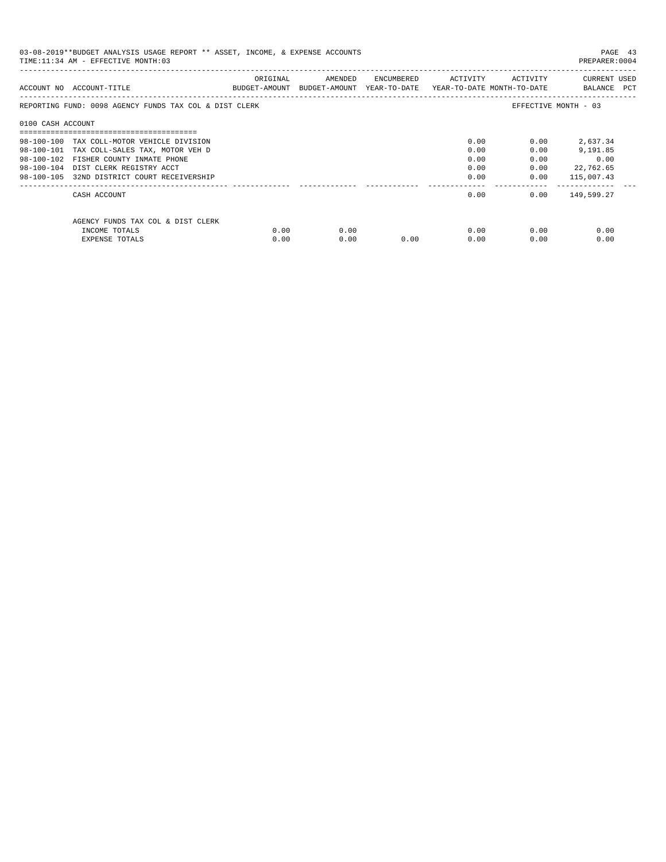| 03-08-2019**BUDGET ANALYSIS USAGE REPORT ** ASSET, INCOME, & EXPENSE ACCOUNTS<br>TIME:11:34 AM - EFFECTIVE MONTH:03 |                                                        |          |                                                                     |                             |      |          |                             |  |
|---------------------------------------------------------------------------------------------------------------------|--------------------------------------------------------|----------|---------------------------------------------------------------------|-----------------------------|------|----------|-----------------------------|--|
|                                                                                                                     | ACCOUNT NO ACCOUNT-TITLE                               | ORIGINAL | BUDGET-AMOUNT BUDGET-AMOUNT YEAR-TO-DATE YEAR-TO-DATE MONTH-TO-DATE | AMENDED ENCUMBERED ACTIVITY |      | ACTIVITY | CURRENT USED<br>BALANCE PCT |  |
|                                                                                                                     | REPORTING FUND: 0098 AGENCY FUNDS TAX COL & DIST CLERK |          |                                                                     |                             |      |          | EFFECTIVE MONTH - 03        |  |
| 0100 CASH ACCOUNT                                                                                                   |                                                        |          |                                                                     |                             |      |          |                             |  |
|                                                                                                                     | 98-100-100 TAX COLL-MOTOR VEHICLE DIVISION             |          |                                                                     |                             | 0.00 | 0.00     | 2,637.34                    |  |
|                                                                                                                     | 98-100-101 TAX COLL-SALES TAX, MOTOR VEH D             |          |                                                                     |                             | 0.00 | 0.00     | 9,191.85                    |  |
|                                                                                                                     | 98-100-102 FISHER COUNTY INMATE PHONE                  |          |                                                                     |                             | 0.00 | 0.00     | 0.00                        |  |
|                                                                                                                     | 98-100-104 DIST CLERK REGISTRY ACCT                    |          |                                                                     |                             | 0.00 | 0.00     | 22,762.65                   |  |
|                                                                                                                     | 98-100-105 32ND DISTRICT COURT RECEIVERSHIP            |          |                                                                     |                             |      | 0.00     | $0.00$ 115,007.43           |  |
|                                                                                                                     | CASH ACCOUNT                                           |          |                                                                     |                             |      | 0.00     | $0.00$ 149,599.27           |  |
|                                                                                                                     | AGENCY FUNDS TAX COL & DIST CLERK                      |          |                                                                     |                             |      |          |                             |  |
|                                                                                                                     | INCOME TOTALS                                          | 0.00     | 0.00                                                                |                             | 0.00 | 0.00     | 0.00                        |  |
|                                                                                                                     | EXPENSE TOTALS                                         | 0.00     | 0.00                                                                | 0.00                        | 0.00 | 0.00     | 0.00                        |  |